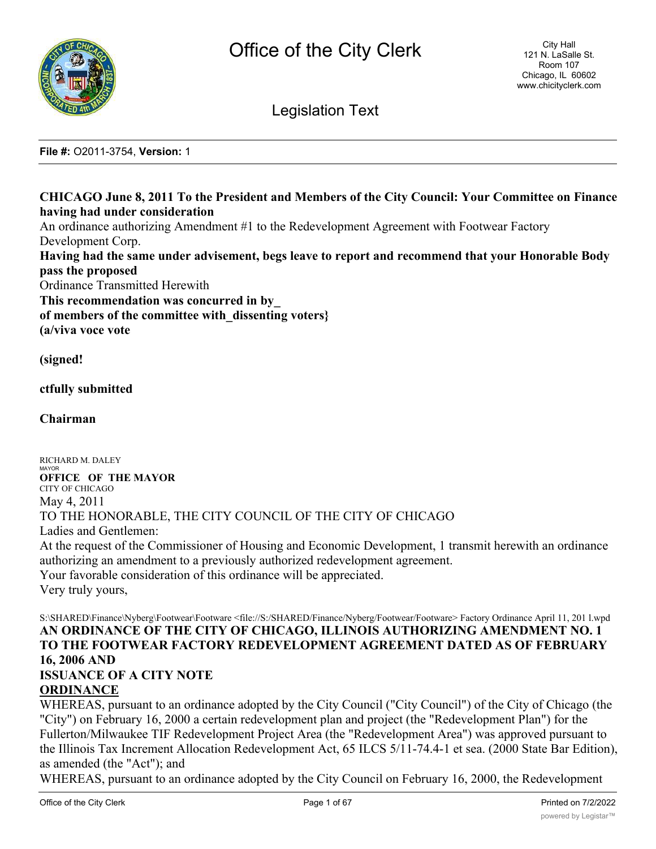

Legislation Text

**File #:** O2011-3754, **Version:** 1

# **CHICAGO June 8, 2011 To the President and Members of the City Council: Your Committee on Finance having had under consideration**

An ordinance authorizing Amendment #1 to the Redevelopment Agreement with Footwear Factory Development Corp.

**Having had the same under advisement, begs leave to report and recommend that your Honorable Body pass the proposed**

Ordinance Transmitted Herewith

**This recommendation was concurred in by\_**

**of members of the committee with\_dissenting voters}**

**(a/viva voce vote**

**(signed!**

**ctfully submitted**

**Chairman**

RICHARD M. DALEY **MAYOR OFFICE OF THE MAYOR** CITY OF CHICAGO May 4, 2011 TO THE HONORABLE, THE CITY COUNCIL OF THE CITY OF CHICAGO Ladies and Gentlemen: At the request of the Commissioner of Housing and Economic Development, 1 transmit herewith an ordinance authorizing an amendment to a previously authorized redevelopment agreement. Your favorable consideration of this ordinance will be appreciated. Very truly yours,

## S:\SHARED\Finance\Nyberg\Footwear\Footware <file://S:/SHARED/Finance/Nyberg/Footwear/Footware> Factory Ordinance April 11, 201 l.wpd **AN ORDINANCE OF THE CITY OF CHICAGO, ILLINOIS AUTHORIZING AMENDMENT NO. 1 TO THE FOOTWEAR FACTORY REDEVELOPMENT AGREEMENT DATED AS OF FEBRUARY 16, 2006 AND ISSUANCE OF A CITY NOTE**

# **ORDINANCE**

WHEREAS, pursuant to an ordinance adopted by the City Council ("City Council") of the City of Chicago (the "City") on February 16, 2000 a certain redevelopment plan and project (the "Redevelopment Plan") for the Fullerton/Milwaukee TIF Redevelopment Project Area (the "Redevelopment Area") was approved pursuant to the Illinois Tax Increment Allocation Redevelopment Act, 65 ILCS 5/11-74.4-1 et sea. (2000 State Bar Edition), as amended (the "Act"); and

WHEREAS, pursuant to an ordinance adopted by the City Council on February 16, 2000, the Redevelopment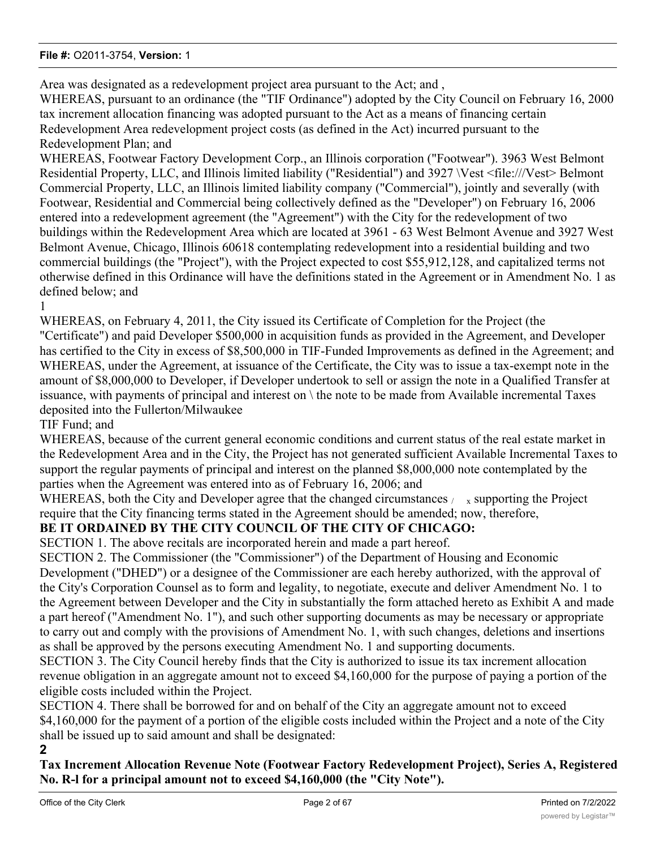Area was designated as a redevelopment project area pursuant to the Act; and ,

WHEREAS, pursuant to an ordinance (the "TIF Ordinance") adopted by the City Council on February 16, 2000 tax increment allocation financing was adopted pursuant to the Act as a means of financing certain Redevelopment Area redevelopment project costs (as defined in the Act) incurred pursuant to the Redevelopment Plan; and

WHEREAS, Footwear Factory Development Corp., an Illinois corporation ("Footwear"). 3963 West Belmont Residential Property, LLC, and Illinois limited liability ("Residential") and 3927 \Vest <file:///Vest> Belmont Commercial Property, LLC, an Illinois limited liability company ("Commercial"), jointly and severally (with Footwear, Residential and Commercial being collectively defined as the "Developer") on February 16, 2006 entered into a redevelopment agreement (the "Agreement") with the City for the redevelopment of two buildings within the Redevelopment Area which are located at 3961 - 63 West Belmont Avenue and 3927 West Belmont Avenue, Chicago, Illinois 60618 contemplating redevelopment into a residential building and two commercial buildings (the "Project"), with the Project expected to cost \$55,912,128, and capitalized terms not otherwise defined in this Ordinance will have the definitions stated in the Agreement or in Amendment No. 1 as defined below; and

1

WHEREAS, on February 4, 2011, the City issued its Certificate of Completion for the Project (the "Certificate") and paid Developer \$500,000 in acquisition funds as provided in the Agreement, and Developer has certified to the City in excess of \$8,500,000 in TIF-Funded Improvements as defined in the Agreement; and WHEREAS, under the Agreement, at issuance of the Certificate, the City was to issue a tax-exempt note in the amount of \$8,000,000 to Developer, if Developer undertook to sell or assign the note in a Qualified Transfer at issuance, with payments of principal and interest on \ the note to be made from Available incremental Taxes deposited into the Fullerton/Milwaukee

TIF Fund; and

WHEREAS, because of the current general economic conditions and current status of the real estate market in the Redevelopment Area and in the City, the Project has not generated sufficient Available Incremental Taxes to support the regular payments of principal and interest on the planned \$8,000,000 note contemplated by the parties when the Agreement was entered into as of February 16, 2006; and

WHEREAS, both the City and Developer agree that the changed circumstances  $\mu_{\rm x}$  supporting the Project require that the City financing terms stated in the Agreement should be amended; now, therefore,

# **BE IT ORDAINED BY THE CITY COUNCIL OF THE CITY OF CHICAGO:**

SECTION 1. The above recitals are incorporated herein and made a part hereof. SECTION 2. The Commissioner (the "Commissioner") of the Department of Housing and Economic Development ("DHED") or a designee of the Commissioner are each hereby authorized, with the approval of the City's Corporation Counsel as to form and legality, to negotiate, execute and deliver Amendment No. 1 to the Agreement between Developer and the City in substantially the form attached hereto as Exhibit A and made a part hereof ("Amendment No. 1"), and such other supporting documents as may be necessary or appropriate to carry out and comply with the provisions of Amendment No. 1, with such changes, deletions and insertions as shall be approved by the persons executing Amendment No. 1 and supporting documents.

SECTION 3. The City Council hereby finds that the City is authorized to issue its tax increment allocation revenue obligation in an aggregate amount not to exceed \$4,160,000 for the purpose of paying a portion of the eligible costs included within the Project.

SECTION 4. There shall be borrowed for and on behalf of the City an aggregate amount not to exceed \$4,160,000 for the payment of a portion of the eligible costs included within the Project and a note of the City shall be issued up to said amount and shall be designated:

**2**

**Tax Increment Allocation Revenue Note (Footwear Factory Redevelopment Project), Series A, Registered No. R-l for a principal amount not to exceed \$4,160,000 (the "City Note").**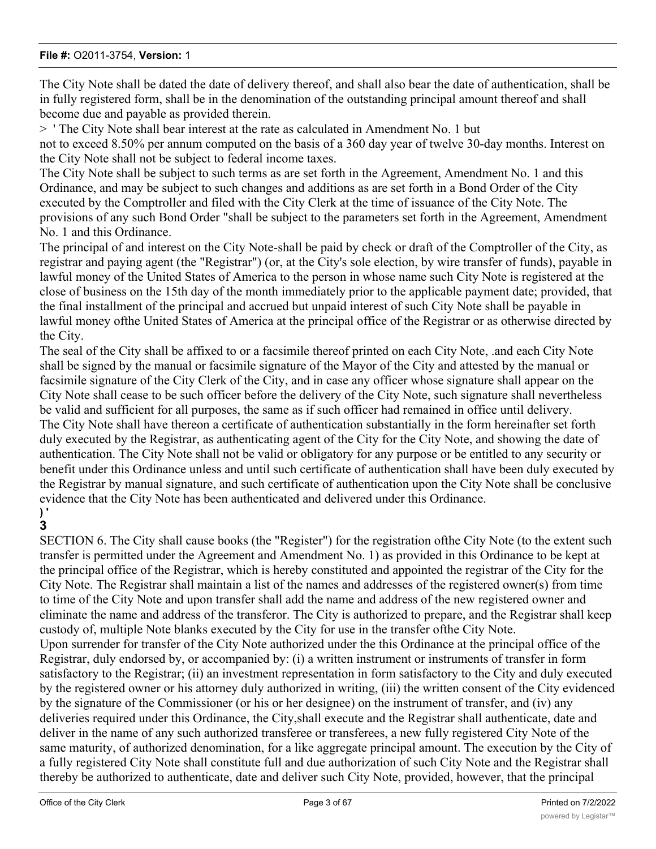The City Note shall be dated the date of delivery thereof, and shall also bear the date of authentication, shall be in fully registered form, shall be in the denomination of the outstanding principal amount thereof and shall become due and payable as provided therein.

> ' The City Note shall bear interest at the rate as calculated in Amendment No. 1 but

not to exceed 8.50% per annum computed on the basis of a 360 day year of twelve 30-day months. Interest on the City Note shall not be subject to federal income taxes.

The City Note shall be subject to such terms as are set forth in the Agreement, Amendment No. 1 and this Ordinance, and may be subject to such changes and additions as are set forth in a Bond Order of the City executed by the Comptroller and filed with the City Clerk at the time of issuance of the City Note. The provisions of any such Bond Order "shall be subject to the parameters set forth in the Agreement, Amendment No. 1 and this Ordinance.

The principal of and interest on the City Note-shall be paid by check or draft of the Comptroller of the City, as registrar and paying agent (the "Registrar") (or, at the City's sole election, by wire transfer of funds), payable in lawful money of the United States of America to the person in whose name such City Note is registered at the close of business on the 15th day of the month immediately prior to the applicable payment date; provided, that the final installment of the principal and accrued but unpaid interest of such City Note shall be payable in lawful money ofthe United States of America at the principal office of the Registrar or as otherwise directed by the City.

The seal of the City shall be affixed to or a facsimile thereof printed on each City Note, .and each City Note shall be signed by the manual or facsimile signature of the Mayor of the City and attested by the manual or facsimile signature of the City Clerk of the City, and in case any officer whose signature shall appear on the City Note shall cease to be such officer before the delivery of the City Note, such signature shall nevertheless be valid and sufficient for all purposes, the same as if such officer had remained in office until delivery. The City Note shall have thereon a certificate of authentication substantially in the form hereinafter set forth duly executed by the Registrar, as authenticating agent of the City for the City Note, and showing the date of authentication. The City Note shall not be valid or obligatory for any purpose or be entitled to any security or benefit under this Ordinance unless and until such certificate of authentication shall have been duly executed by the Registrar by manual signature, and such certificate of authentication upon the City Note shall be conclusive evidence that the City Note has been authenticated and delivered under this Ordinance.

#### **) ' 3**

SECTION 6. The City shall cause books (the "Register") for the registration ofthe City Note (to the extent such transfer is permitted under the Agreement and Amendment No. 1) as provided in this Ordinance to be kept at the principal office of the Registrar, which is hereby constituted and appointed the registrar of the City for the City Note. The Registrar shall maintain a list of the names and addresses of the registered owner(s) from time to time of the City Note and upon transfer shall add the name and address of the new registered owner and eliminate the name and address of the transferor. The City is authorized to prepare, and the Registrar shall keep custody of, multiple Note blanks executed by the City for use in the transfer ofthe City Note. Upon surrender for transfer of the City Note authorized under the this Ordinance at the principal office of the

Registrar, duly endorsed by, or accompanied by: (i) a written instrument or instruments of transfer in form satisfactory to the Registrar; (ii) an investment representation in form satisfactory to the City and duly executed by the registered owner or his attorney duly authorized in writing, (iii) the written consent of the City evidenced by the signature of the Commissioner (or his or her designee) on the instrument of transfer, and (iv) any deliveries required under this Ordinance, the City,shall execute and the Registrar shall authenticate, date and deliver in the name of any such authorized transferee or transferees, a new fully registered City Note of the same maturity, of authorized denomination, for a like aggregate principal amount. The execution by the City of a fully registered City Note shall constitute full and due authorization of such City Note and the Registrar shall thereby be authorized to authenticate, date and deliver such City Note, provided, however, that the principal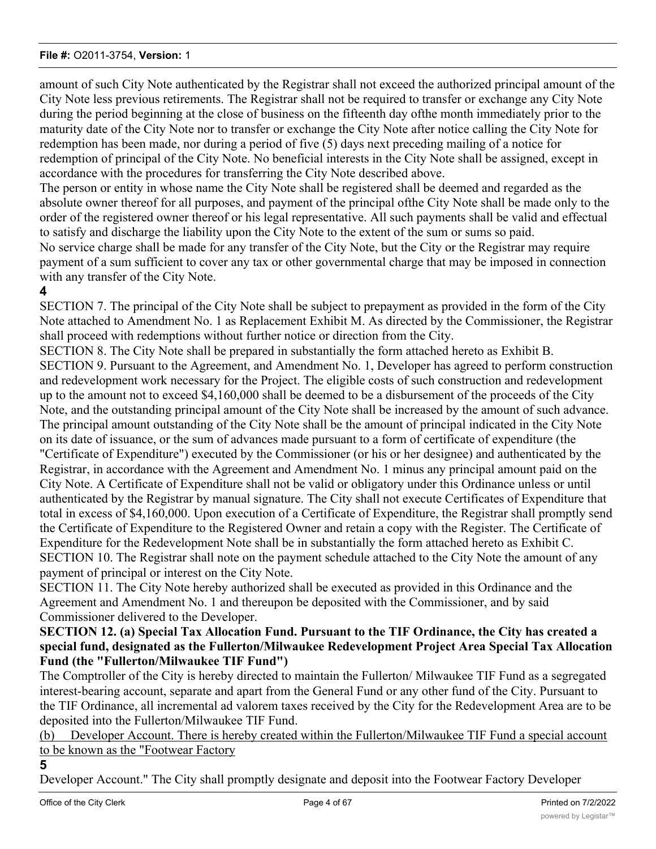amount of such City Note authenticated by the Registrar shall not exceed the authorized principal amount of the City Note less previous retirements. The Registrar shall not be required to transfer or exchange any City Note during the period beginning at the close of business on the fifteenth day ofthe month immediately prior to the maturity date of the City Note nor to transfer or exchange the City Note after notice calling the City Note for redemption has been made, nor during a period of five (5) days next preceding mailing of a notice for redemption of principal of the City Note. No beneficial interests in the City Note shall be assigned, except in accordance with the procedures for transferring the City Note described above. The person or entity in whose name the City Note shall be registered shall be deemed and regarded as the absolute owner thereof for all purposes, and payment of the principal ofthe City Note shall be made only to the order of the registered owner thereof or his legal representative. All such payments shall be valid and effectual to satisfy and discharge the liability upon the City Note to the extent of the sum or sums so paid. No service charge shall be made for any transfer of the City Note, but the City or the Registrar may require payment of a sum sufficient to cover any tax or other governmental charge that may be imposed in connection with any transfer of the City Note.

# **4**

SECTION 7. The principal of the City Note shall be subject to prepayment as provided in the form of the City Note attached to Amendment No. 1 as Replacement Exhibit M. As directed by the Commissioner, the Registrar shall proceed with redemptions without further notice or direction from the City.

SECTION 8. The City Note shall be prepared in substantially the form attached hereto as Exhibit B. SECTION 9. Pursuant to the Agreement, and Amendment No. 1, Developer has agreed to perform construction and redevelopment work necessary for the Project. The eligible costs of such construction and redevelopment up to the amount not to exceed \$4,160,000 shall be deemed to be a disbursement of the proceeds of the City Note, and the outstanding principal amount of the City Note shall be increased by the amount of such advance. The principal amount outstanding of the City Note shall be the amount of principal indicated in the City Note on its date of issuance, or the sum of advances made pursuant to a form of certificate of expenditure (the "Certificate of Expenditure") executed by the Commissioner (or his or her designee) and authenticated by the Registrar, in accordance with the Agreement and Amendment No. 1 minus any principal amount paid on the City Note. A Certificate of Expenditure shall not be valid or obligatory under this Ordinance unless or until authenticated by the Registrar by manual signature. The City shall not execute Certificates of Expenditure that total in excess of \$4,160,000. Upon execution of a Certificate of Expenditure, the Registrar shall promptly send the Certificate of Expenditure to the Registered Owner and retain a copy with the Register. The Certificate of Expenditure for the Redevelopment Note shall be in substantially the form attached hereto as Exhibit C. SECTION 10. The Registrar shall note on the payment schedule attached to the City Note the amount of any payment of principal or interest on the City Note.

SECTION 11. The City Note hereby authorized shall be executed as provided in this Ordinance and the Agreement and Amendment No. 1 and thereupon be deposited with the Commissioner, and by said Commissioner delivered to the Developer.

# **SECTION 12. (a) Special Tax Allocation Fund. Pursuant to the TIF Ordinance, the City has created a special fund, designated as the Fullerton/Milwaukee Redevelopment Project Area Special Tax Allocation Fund (the "Fullerton/Milwaukee TIF Fund")**

The Comptroller of the City is hereby directed to maintain the Fullerton/ Milwaukee TIF Fund as a segregated interest-bearing account, separate and apart from the General Fund or any other fund of the City. Pursuant to the TIF Ordinance, all incremental ad valorem taxes received by the City for the Redevelopment Area are to be deposited into the Fullerton/Milwaukee TIF Fund.

(b) Developer Account. There is hereby created within the Fullerton/Milwaukee TIF Fund a special account to be known as the "Footwear Factory

**5**

Developer Account." The City shall promptly designate and deposit into the Footwear Factory Developer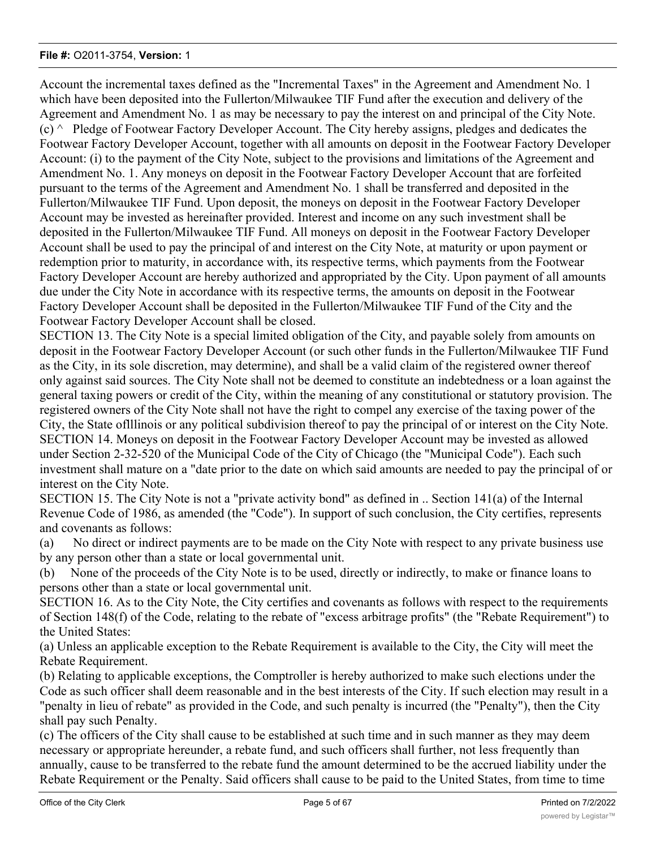Account the incremental taxes defined as the "Incremental Taxes" in the Agreement and Amendment No. 1 which have been deposited into the Fullerton/Milwaukee TIF Fund after the execution and delivery of the Agreement and Amendment No. 1 as may be necessary to pay the interest on and principal of the City Note.  $(c)$   $\land$  Pledge of Footwear Factory Developer Account. The City hereby assigns, pledges and dedicates the Footwear Factory Developer Account, together with all amounts on deposit in the Footwear Factory Developer Account: (i) to the payment of the City Note, subject to the provisions and limitations of the Agreement and Amendment No. 1. Any moneys on deposit in the Footwear Factory Developer Account that are forfeited pursuant to the terms of the Agreement and Amendment No. 1 shall be transferred and deposited in the Fullerton/Milwaukee TIF Fund. Upon deposit, the moneys on deposit in the Footwear Factory Developer Account may be invested as hereinafter provided. Interest and income on any such investment shall be deposited in the Fullerton/Milwaukee TIF Fund. All moneys on deposit in the Footwear Factory Developer Account shall be used to pay the principal of and interest on the City Note, at maturity or upon payment or redemption prior to maturity, in accordance with, its respective terms, which payments from the Footwear Factory Developer Account are hereby authorized and appropriated by the City. Upon payment of all amounts due under the City Note in accordance with its respective terms, the amounts on deposit in the Footwear Factory Developer Account shall be deposited in the Fullerton/Milwaukee TIF Fund of the City and the Footwear Factory Developer Account shall be closed.

SECTION 13. The City Note is a special limited obligation of the City, and payable solely from amounts on deposit in the Footwear Factory Developer Account (or such other funds in the Fullerton/Milwaukee TIF Fund as the City, in its sole discretion, may determine), and shall be a valid claim of the registered owner thereof only against said sources. The City Note shall not be deemed to constitute an indebtedness or a loan against the general taxing powers or credit of the City, within the meaning of any constitutional or statutory provision. The registered owners of the City Note shall not have the right to compel any exercise of the taxing power of the City, the State oflllinois or any political subdivision thereof to pay the principal of or interest on the City Note. SECTION 14. Moneys on deposit in the Footwear Factory Developer Account may be invested as allowed under Section 2-32-520 of the Municipal Code of the City of Chicago (the "Municipal Code"). Each such investment shall mature on a "date prior to the date on which said amounts are needed to pay the principal of or interest on the City Note.

SECTION 15. The City Note is not a "private activity bond" as defined in .. Section 141(a) of the Internal Revenue Code of 1986, as amended (the "Code"). In support of such conclusion, the City certifies, represents and covenants as follows:

(a) No direct or indirect payments are to be made on the City Note with respect to any private business use by any person other than a state or local governmental unit.

(b) None of the proceeds of the City Note is to be used, directly or indirectly, to make or finance loans to persons other than a state or local governmental unit.

SECTION 16. As to the City Note, the City certifies and covenants as follows with respect to the requirements of Section 148(f) of the Code, relating to the rebate of "excess arbitrage profits" (the "Rebate Requirement") to the United States:

(a) Unless an applicable exception to the Rebate Requirement is available to the City, the City will meet the Rebate Requirement.

(b) Relating to applicable exceptions, the Comptroller is hereby authorized to make such elections under the Code as such officer shall deem reasonable and in the best interests of the City. If such election may result in a "penalty in lieu of rebate" as provided in the Code, and such penalty is incurred (the "Penalty"), then the City shall pay such Penalty.

(c) The officers of the City shall cause to be established at such time and in such manner as they may deem necessary or appropriate hereunder, a rebate fund, and such officers shall further, not less frequently than annually, cause to be transferred to the rebate fund the amount determined to be the accrued liability under the Rebate Requirement or the Penalty. Said officers shall cause to be paid to the United States, from time to time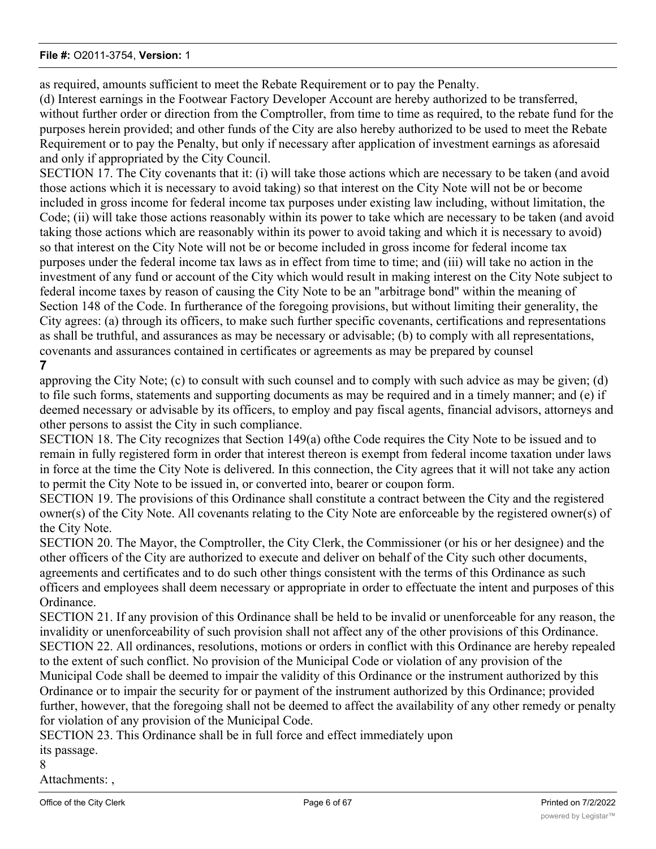as required, amounts sufficient to meet the Rebate Requirement or to pay the Penalty.

(d) Interest earnings in the Footwear Factory Developer Account are hereby authorized to be transferred, without further order or direction from the Comptroller, from time to time as required, to the rebate fund for the purposes herein provided; and other funds of the City are also hereby authorized to be used to meet the Rebate Requirement or to pay the Penalty, but only if necessary after application of investment earnings as aforesaid and only if appropriated by the City Council.

SECTION 17. The City covenants that it: (i) will take those actions which are necessary to be taken (and avoid those actions which it is necessary to avoid taking) so that interest on the City Note will not be or become included in gross income for federal income tax purposes under existing law including, without limitation, the Code; (ii) will take those actions reasonably within its power to take which are necessary to be taken (and avoid taking those actions which are reasonably within its power to avoid taking and which it is necessary to avoid) so that interest on the City Note will not be or become included in gross income for federal income tax purposes under the federal income tax laws as in effect from time to time; and (iii) will take no action in the investment of any fund or account of the City which would result in making interest on the City Note subject to federal income taxes by reason of causing the City Note to be an "arbitrage bond" within the meaning of Section 148 of the Code. In furtherance of the foregoing provisions, but without limiting their generality, the City agrees: (a) through its officers, to make such further specific covenants, certifications and representations as shall be truthful, and assurances as may be necessary or advisable; (b) to comply with all representations, covenants and assurances contained in certificates or agreements as may be prepared by counsel **7**

# approving the City Note; (c) to consult with such counsel and to comply with such advice as may be given; (d) to file such forms, statements and supporting documents as may be required and in a timely manner; and (e) if deemed necessary or advisable by its officers, to employ and pay fiscal agents, financial advisors, attorneys and other persons to assist the City in such compliance.

SECTION 18. The City recognizes that Section 149(a) ofthe Code requires the City Note to be issued and to remain in fully registered form in order that interest thereon is exempt from federal income taxation under laws in force at the time the City Note is delivered. In this connection, the City agrees that it will not take any action to permit the City Note to be issued in, or converted into, bearer or coupon form.

SECTION 19. The provisions of this Ordinance shall constitute a contract between the City and the registered owner(s) of the City Note. All covenants relating to the City Note are enforceable by the registered owner(s) of the City Note.

SECTION 20. The Mayor, the Comptroller, the City Clerk, the Commissioner (or his or her designee) and the other officers of the City are authorized to execute and deliver on behalf of the City such other documents, agreements and certificates and to do such other things consistent with the terms of this Ordinance as such officers and employees shall deem necessary or appropriate in order to effectuate the intent and purposes of this Ordinance.

SECTION 21. If any provision of this Ordinance shall be held to be invalid or unenforceable for any reason, the invalidity or unenforceability of such provision shall not affect any of the other provisions of this Ordinance. SECTION 22. All ordinances, resolutions, motions or orders in conflict with this Ordinance are hereby repealed to the extent of such conflict. No provision of the Municipal Code or violation of any provision of the Municipal Code shall be deemed to impair the validity of this Ordinance or the instrument authorized by this Ordinance or to impair the security for or payment of the instrument authorized by this Ordinance; provided further, however, that the foregoing shall not be deemed to affect the availability of any other remedy or penalty for violation of any provision of the Municipal Code.

SECTION 23. This Ordinance shall be in full force and effect immediately upon its passage.

#### 8

Attachments: ,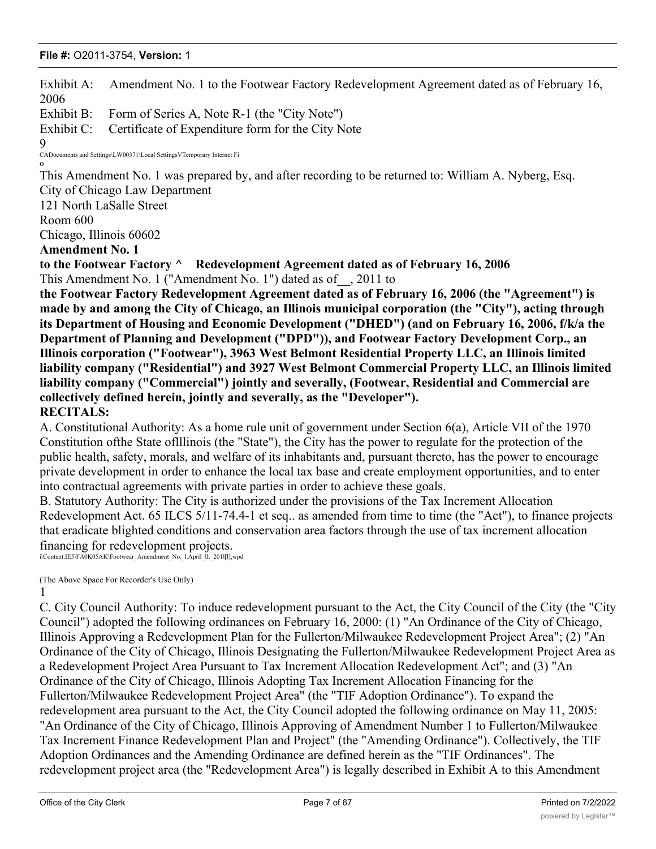2006 Exhibit B: Form of Series A, Note R-1 (the "City Note") Exhibit C: Certificate of Expenditure form for the City Note 9 CADocuments and Settings\LW00371\Local SettingsVTemporary Internet Fi o This Amendment No. 1 was prepared by, and after recording to be returned to: William A. Nyberg, Esq. City of Chicago Law Department 121 North LaSalle Street Room 600 Chicago, Illinois 60602 **Amendment No. 1 to the Footwear Factory ^ Redevelopment Agreement dated as of February 16, 2006** This Amendment No. 1 ("Amendment No. 1") dated as of\_\_, 2011 to **the Footwear Factory Redevelopment Agreement dated as of February 16, 2006 (the "Agreement") is made by and among the City of Chicago, an Illinois municipal corporation (the "City"), acting through its Department of Housing and Economic Development ("DHED") (and on February 16, 2006, f/k/a the Department of Planning and Development ("DPD")), and Footwear Factory Development Corp., an Illinois corporation ("Footwear"), 3963 West Belmont Residential Property LLC, an Illinois limited liability company ("Residential") and 3927 West Belmont Commercial Property LLC, an Illinois limited liability company ("Commercial") jointly and severally, (Footwear, Residential and Commercial are collectively defined herein, jointly and severally, as the "Developer"). RECITALS:** A. Constitutional Authority: As a home rule unit of government under Section 6(a), Article VII of the 1970 Constitution ofthe State oflllinois (the "State"), the City has the power to regulate for the protection of the public health, safety, morals, and welfare of its inhabitants and, pursuant thereto, has the power to encourage private development in order to enhance the local tax base and create employment opportunities, and to enter into contractual agreements with private parties in order to achieve these goals. B. Statutory Authority: The City is authorized under the provisions of the Tax Increment Allocation Redevelopment Act. 65 ILCS 5/11-74.4-1 et seq.. as amended from time to time (the "Act"), to finance projects that eradicate blighted conditions and conservation area factors through the use of tax increment allocation financing for redevelopment projects. i\Content.IE5\FA0K05AK\Footwear\_Amendment\_No.\_l.April\_ll,\_201l[l],wpd (The Above Space For Recorder's Use Only) 1 C. City Council Authority: To induce redevelopment pursuant to the Act, the City Council of the City (the "City Council") adopted the following ordinances on February 16, 2000: (1) "An Ordinance of the City of Chicago, Illinois Approving a Redevelopment Plan for the Fullerton/Milwaukee Redevelopment Project Area"; (2) "An Ordinance of the City of Chicago, Illinois Designating the Fullerton/Milwaukee Redevelopment Project Area as a Redevelopment Project Area Pursuant to Tax Increment Allocation Redevelopment Act"; and (3) "An Ordinance of the City of Chicago, Illinois Adopting Tax Increment Allocation Financing for the Fullerton/Milwaukee Redevelopment Project Area" (the "TIF Adoption Ordinance"). To expand the redevelopment area pursuant to the Act, the City Council adopted the following ordinance on May 11, 2005: "An Ordinance of the City of Chicago, Illinois Approving of Amendment Number 1 to Fullerton/Milwaukee Tax Increment Finance Redevelopment Plan and Project" (the "Amending Ordinance"). Collectively, the TIF Adoption Ordinances and the Amending Ordinance are defined herein as the "TIF Ordinances". The

Exhibit A: Amendment No. 1 to the Footwear Factory Redevelopment Agreement dated as of February 16,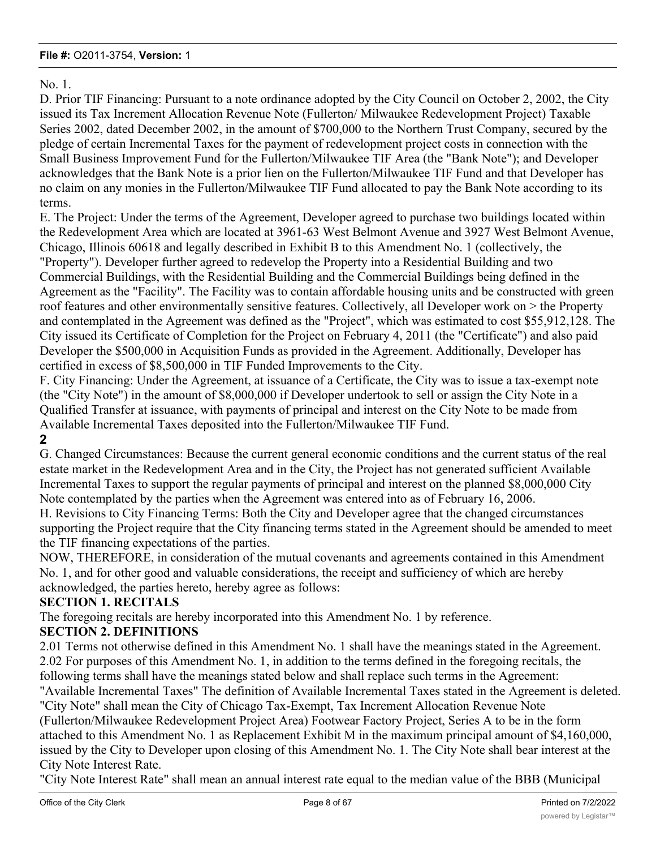# No. 1.

D. Prior TIF Financing: Pursuant to a note ordinance adopted by the City Council on October 2, 2002, the City issued its Tax Increment Allocation Revenue Note (Fullerton/ Milwaukee Redevelopment Project) Taxable Series 2002, dated December 2002, in the amount of \$700,000 to the Northern Trust Company, secured by the pledge of certain Incremental Taxes for the payment of redevelopment project costs in connection with the Small Business Improvement Fund for the Fullerton/Milwaukee TIF Area (the "Bank Note"); and Developer acknowledges that the Bank Note is a prior lien on the Fullerton/Milwaukee TIF Fund and that Developer has no claim on any monies in the Fullerton/Milwaukee TIF Fund allocated to pay the Bank Note according to its terms.

E. The Project: Under the terms of the Agreement, Developer agreed to purchase two buildings located within the Redevelopment Area which are located at 3961-63 West Belmont Avenue and 3927 West Belmont Avenue, Chicago, Illinois 60618 and legally described in Exhibit B to this Amendment No. 1 (collectively, the "Property"). Developer further agreed to redevelop the Property into a Residential Building and two Commercial Buildings, with the Residential Building and the Commercial Buildings being defined in the Agreement as the "Facility". The Facility was to contain affordable housing units and be constructed with green roof features and other environmentally sensitive features. Collectively, all Developer work on > the Property and contemplated in the Agreement was defined as the "Project", which was estimated to cost \$55,912,128. The City issued its Certificate of Completion for the Project on February 4, 2011 (the "Certificate") and also paid Developer the \$500,000 in Acquisition Funds as provided in the Agreement. Additionally, Developer has certified in excess of \$8,500,000 in TIF Funded Improvements to the City.

F. City Financing: Under the Agreement, at issuance of a Certificate, the City was to issue a tax-exempt note (the "City Note") in the amount of \$8,000,000 if Developer undertook to sell or assign the City Note in a Qualified Transfer at issuance, with payments of principal and interest on the City Note to be made from Available Incremental Taxes deposited into the Fullerton/Milwaukee TIF Fund.

**2**

G. Changed Circumstances: Because the current general economic conditions and the current status of the real estate market in the Redevelopment Area and in the City, the Project has not generated sufficient Available Incremental Taxes to support the regular payments of principal and interest on the planned \$8,000,000 City Note contemplated by the parties when the Agreement was entered into as of February 16, 2006.

H. Revisions to City Financing Terms: Both the City and Developer agree that the changed circumstances supporting the Project require that the City financing terms stated in the Agreement should be amended to meet the TIF financing expectations of the parties.

NOW, THEREFORE, in consideration of the mutual covenants and agreements contained in this Amendment No. 1, and for other good and valuable considerations, the receipt and sufficiency of which are hereby acknowledged, the parties hereto, hereby agree as follows:

# **SECTION 1. RECITALS**

The foregoing recitals are hereby incorporated into this Amendment No. 1 by reference.

# **SECTION 2. DEFINITIONS**

2.01 Terms not otherwise defined in this Amendment No. 1 shall have the meanings stated in the Agreement. 2.02 For purposes of this Amendment No. 1, in addition to the terms defined in the foregoing recitals, the following terms shall have the meanings stated below and shall replace such terms in the Agreement: "Available Incremental Taxes" The definition of Available Incremental Taxes stated in the Agreement is deleted.

"City Note" shall mean the City of Chicago Tax-Exempt, Tax Increment Allocation Revenue Note (Fullerton/Milwaukee Redevelopment Project Area) Footwear Factory Project, Series A to be in the form attached to this Amendment No. 1 as Replacement Exhibit M in the maximum principal amount of \$4,160,000, issued by the City to Developer upon closing of this Amendment No. 1. The City Note shall bear interest at the City Note Interest Rate.

"City Note Interest Rate" shall mean an annual interest rate equal to the median value of the BBB (Municipal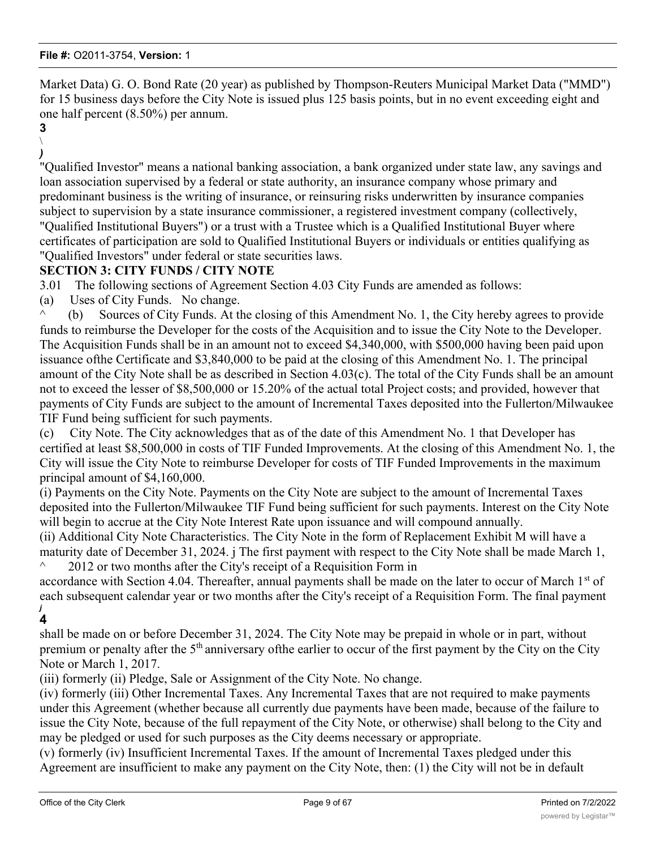Market Data) G. O. Bond Rate (20 year) as published by Thompson-Reuters Municipal Market Data ("MMD") for 15 business days before the City Note is issued plus 125 basis points, but in no event exceeding eight and one half percent (8.50%) per annum.

**3**  $\setminus$ 

*)* "Qualified Investor" means a national banking association, a bank organized under state law, any savings and loan association supervised by a federal or state authority, an insurance company whose primary and predominant business is the writing of insurance, or reinsuring risks underwritten by insurance companies subject to supervision by a state insurance commissioner, a registered investment company (collectively, "Qualified Institutional Buyers") or a trust with a Trustee which is a Qualified Institutional Buyer where certificates of participation are sold to Qualified Institutional Buyers or individuals or entities qualifying as "Qualified Investors" under federal or state securities laws.

# **SECTION 3: CITY FUNDS / CITY NOTE**

3.01 The following sections of Agreement Section 4.03 City Funds are amended as follows:

(a) Uses of City Funds. No change.

 $\wedge$  (b) Sources of City Funds. At the closing of this Amendment No. 1, the City hereby agrees to provide funds to reimburse the Developer for the costs of the Acquisition and to issue the City Note to the Developer. The Acquisition Funds shall be in an amount not to exceed \$4,340,000, with \$500,000 having been paid upon issuance ofthe Certificate and \$3,840,000 to be paid at the closing of this Amendment No. 1. The principal amount of the City Note shall be as described in Section 4.03(c). The total of the City Funds shall be an amount not to exceed the lesser of \$8,500,000 or 15.20% of the actual total Project costs; and provided, however that payments of City Funds are subject to the amount of Incremental Taxes deposited into the Fullerton/Milwaukee TIF Fund being sufficient for such payments.

(c) City Note. The City acknowledges that as of the date of this Amendment No. 1 that Developer has certified at least \$8,500,000 in costs of TIF Funded Improvements. At the closing of this Amendment No. 1, the City will issue the City Note to reimburse Developer for costs of TIF Funded Improvements in the maximum principal amount of \$4,160,000.

(i) Payments on the City Note. Payments on the City Note are subject to the amount of Incremental Taxes deposited into the Fullerton/Milwaukee TIF Fund being sufficient for such payments. Interest on the City Note will begin to accrue at the City Note Interest Rate upon issuance and will compound annually.

(ii) Additional City Note Characteristics. The City Note in the form of Replacement Exhibit M will have a maturity date of December 31, 2024. j The first payment with respect to the City Note shall be made March 1, 2012 or two months after the City's receipt of a Requisition Form in

accordance with Section 4.04. Thereafter, annual payments shall be made on the later to occur of March 1<sup>st</sup> of each subsequent calendar year or two months after the City's receipt of a Requisition Form. The final payment *j* **4**

shall be made on or before December 31, 2024. The City Note may be prepaid in whole or in part, without premium or penalty after the 5<sup>th</sup> anniversary of the earlier to occur of the first payment by the City on the City Note or March 1, 2017.

(iii) formerly (ii) Pledge, Sale or Assignment of the City Note. No change.

(iv) formerly (iii) Other Incremental Taxes. Any Incremental Taxes that are not required to make payments under this Agreement (whether because all currently due payments have been made, because of the failure to issue the City Note, because of the full repayment of the City Note, or otherwise) shall belong to the City and may be pledged or used for such purposes as the City deems necessary or appropriate.

(v) formerly (iv) Insufficient Incremental Taxes. If the amount of Incremental Taxes pledged under this Agreement are insufficient to make any payment on the City Note, then: (1) the City will not be in default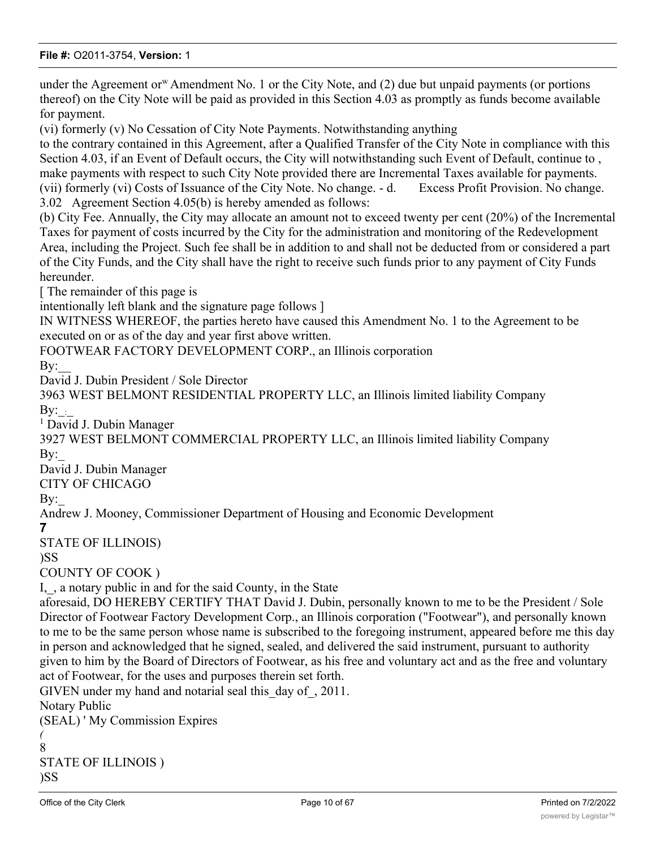under the Agreement or<sup>w</sup> Amendment No. 1 or the City Note, and  $(2)$  due but unpaid payments (or portions thereof) on the City Note will be paid as provided in this Section 4.03 as promptly as funds become available for payment.

(vi) formerly (v) No Cessation of City Note Payments. Notwithstanding anything

to the contrary contained in this Agreement, after a Qualified Transfer of the City Note in compliance with this Section 4.03, if an Event of Default occurs, the City will notwithstanding such Event of Default, continue to , make payments with respect to such City Note provided there are Incremental Taxes available for payments. (vii) formerly (vi) Costs of Issuance of the City Note. No change. - d. Excess Profit Provision. No change. 3.02 Agreement Section 4.05(b) is hereby amended as follows:

(b) City Fee. Annually, the City may allocate an amount not to exceed twenty per cent (20%) of the Incremental Taxes for payment of costs incurred by the City for the administration and monitoring of the Redevelopment Area, including the Project. Such fee shall be in addition to and shall not be deducted from or considered a part of the City Funds, and the City shall have the right to receive such funds prior to any payment of City Funds hereunder.

[ The remainder of this page is

intentionally left blank and the signature page follows ]

IN WITNESS WHEREOF, the parties hereto have caused this Amendment No. 1 to the Agreement to be executed on or as of the day and year first above written.

FOOTWEAR FACTORY DEVELOPMENT CORP., an Illinois corporation

By:

David J. Dubin President / Sole Director

3963 WEST BELMONT RESIDENTIAL PROPERTY LLC, an Illinois limited liability Company By:\_:\_

<sup>1</sup> David J. Dubin Manager

3927 WEST BELMONT COMMERCIAL PROPERTY LLC, an Illinois limited liability Company By:

David J. Dubin Manager

CITY OF CHICAGO

By:

Andrew J. Mooney, Commissioner Department of Housing and Economic Development

**7**

STATE OF ILLINOIS)

```
)SS
```
COUNTY OF COOK )

I, , a notary public in and for the said County, in the State

aforesaid, DO HEREBY CERTIFY THAT David J. Dubin, personally known to me to be the President / Sole Director of Footwear Factory Development Corp., an Illinois corporation ("Footwear"), and personally known to me to be the same person whose name is subscribed to the foregoing instrument, appeared before me this day in person and acknowledged that he signed, sealed, and delivered the said instrument, pursuant to authority given to him by the Board of Directors of Footwear, as his free and voluntary act and as the free and voluntary act of Footwear, for the uses and purposes therein set forth.

GIVEN under my hand and notarial seal this day of, 2011. Notary Public (SEAL) ' My Commission Expires *(* 8 STATE OF ILLINOIS )

```
)SS
```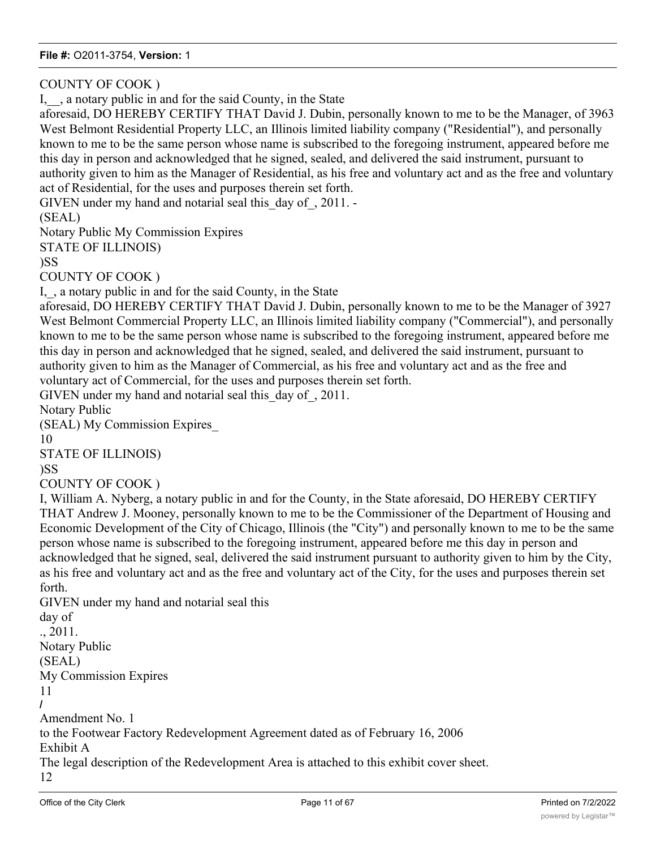COUNTY OF COOK )

I, , a notary public in and for the said County, in the State

aforesaid, DO HEREBY CERTIFY THAT David J. Dubin, personally known to me to be the Manager, of 3963 West Belmont Residential Property LLC, an Illinois limited liability company ("Residential"), and personally known to me to be the same person whose name is subscribed to the foregoing instrument, appeared before me this day in person and acknowledged that he signed, sealed, and delivered the said instrument, pursuant to authority given to him as the Manager of Residential, as his free and voluntary act and as the free and voluntary act of Residential, for the uses and purposes therein set forth.

GIVEN under my hand and notarial seal this day of, 2011. -

(SEAL)

Notary Public My Commission Expires

STATE OF ILLINOIS)

)SS

COUNTY OF COOK )

I, , a notary public in and for the said County, in the State

aforesaid, DO HEREBY CERTIFY THAT David J. Dubin, personally known to me to be the Manager of 3927 West Belmont Commercial Property LLC, an Illinois limited liability company ("Commercial"), and personally known to me to be the same person whose name is subscribed to the foregoing instrument, appeared before me this day in person and acknowledged that he signed, sealed, and delivered the said instrument, pursuant to authority given to him as the Manager of Commercial, as his free and voluntary act and as the free and voluntary act of Commercial, for the uses and purposes therein set forth.

GIVEN under my hand and notarial seal this\_day of\_, 2011.

Notary Public

(SEAL) My Commission Expires\_

10

STATE OF ILLINOIS)

)SS

COUNTY OF COOK )

I, William A. Nyberg, a notary public in and for the County, in the State aforesaid, DO HEREBY CERTIFY THAT Andrew J. Mooney, personally known to me to be the Commissioner of the Department of Housing and Economic Development of the City of Chicago, Illinois (the "City") and personally known to me to be the same person whose name is subscribed to the foregoing instrument, appeared before me this day in person and acknowledged that he signed, seal, delivered the said instrument pursuant to authority given to him by the City, as his free and voluntary act and as the free and voluntary act of the City, for the uses and purposes therein set forth.

GIVEN under my hand and notarial seal this day of ., 2011. Notary Public (SEAL) My Commission Expires 11 **/** Amendment No. 1 to the Footwear Factory Redevelopment Agreement dated as of February 16, 2006 Exhibit A The legal description of the Redevelopment Area is attached to this exhibit cover sheet. 12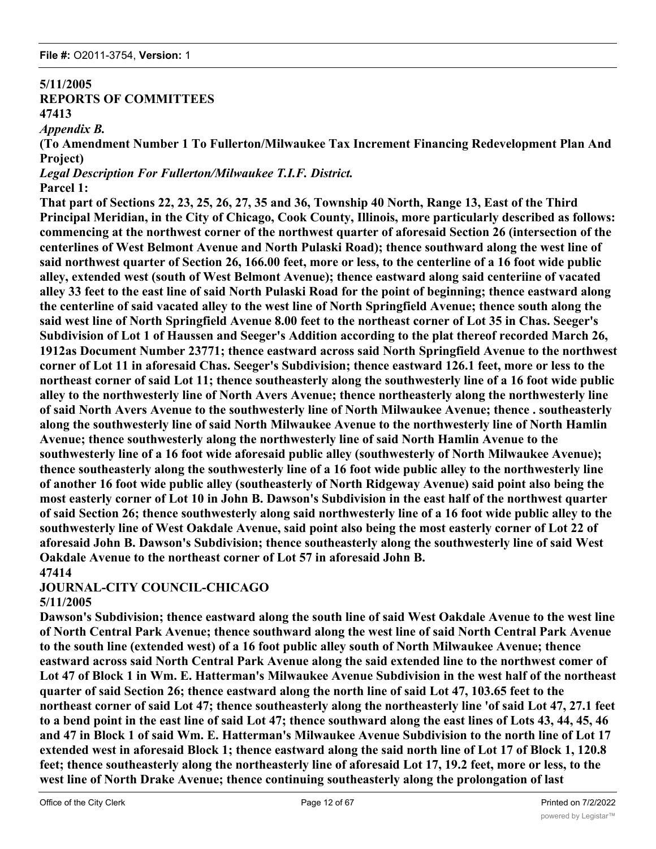#### **5/11/2005 REPORTS OF COMMITTEES**

**47413**

*Appendix B.*

**(To Amendment Number 1 To Fullerton/Milwaukee Tax Increment Financing Redevelopment Plan And Project)**

*Legal Description For Fullerton/Milwaukee T.I.F. District.*

# **Parcel 1:**

**That part of Sections 22, 23, 25, 26, 27, 35 and 36, Township 40 North, Range 13, East of the Third Principal Meridian, in the City of Chicago, Cook County, Illinois, more particularly described as follows: commencing at the northwest corner of the northwest quarter of aforesaid Section 26 (intersection of the centerlines of West Belmont Avenue and North Pulaski Road); thence southward along the west line of said northwest quarter of Section 26, 166.00 feet, more or less, to the centerline of a 16 foot wide public alley, extended west (south of West Belmont Avenue); thence eastward along said centeriine of vacated alley 33 feet to the east line of said North Pulaski Road for the point of beginning; thence eastward along the centerline of said vacated alley to the west line of North Springfield Avenue; thence south along the said west line of North Springfield Avenue 8.00 feet to the northeast corner of Lot 35 in Chas. Seeger's Subdivision of Lot 1 of Haussen and Seeger's Addition according to the plat thereof recorded March 26, 1912as Document Number 23771; thence eastward across said North Springfield Avenue to the northwest corner of Lot 11 in aforesaid Chas. Seeger's Subdivision; thence eastward 126.1 feet, more or less to the northeast corner of said Lot 11; thence southeasterly along the southwesterly line of a 16 foot wide public alley to the northwesterly line of North Avers Avenue; thence northeasterly along the northwesterly line of said North Avers Avenue to the southwesterly line of North Milwaukee Avenue; thence . southeasterly along the southwesterly line of said North Milwaukee Avenue to the northwesterly line of North Hamlin Avenue; thence southwesterly along the northwesterly line of said North Hamlin Avenue to the southwesterly line of a 16 foot wide aforesaid public alley (southwesterly of North Milwaukee Avenue); thence southeasterly along the southwesterly line of a 16 foot wide public alley to the northwesterly line of another 16 foot wide public alley (southeasterly of North Ridgeway Avenue) said point also being the most easterly corner of Lot 10 in John B. Dawson's Subdivision in the east half of the northwest quarter of said Section 26; thence southwesterly along said northwesterly line of a 16 foot wide public alley to the southwesterly line of West Oakdale Avenue, said point also being the most easterly corner of Lot 22 of aforesaid John B. Dawson's Subdivision; thence southeasterly along the southwesterly line of said West Oakdale Avenue to the northeast corner of Lot 57 in aforesaid John B. 47414**

# **JOURNAL-CITY COUNCIL-CHICAGO 5/11/2005**

**Dawson's Subdivision; thence eastward along the south line of said West Oakdale Avenue to the west line of North Central Park Avenue; thence southward along the west line of said North Central Park Avenue to the south line (extended west) of a 16 foot public alley south of North Milwaukee Avenue; thence eastward across said North Central Park Avenue along the said extended line to the northwest comer of Lot 47 of Block 1 in Wm. E. Hatterman's Milwaukee Avenue Subdivision in the west half of the northeast quarter of said Section 26; thence eastward along the north line of said Lot 47, 103.65 feet to the northeast corner of said Lot 47; thence southeasterly along the northeasterly line 'of said Lot 47, 27.1 feet to a bend point in the east line of said Lot 47; thence southward along the east lines of Lots 43, 44, 45, 46 and 47 in Block 1 of said Wm. E. Hatterman's Milwaukee Avenue Subdivision to the north line of Lot 17 extended west in aforesaid Block 1; thence eastward along the said north line of Lot 17 of Block 1, 120.8 feet; thence southeasterly along the northeasterly line of aforesaid Lot 17, 19.2 feet, more or less, to the west line of North Drake Avenue; thence continuing southeasterly along the prolongation of last**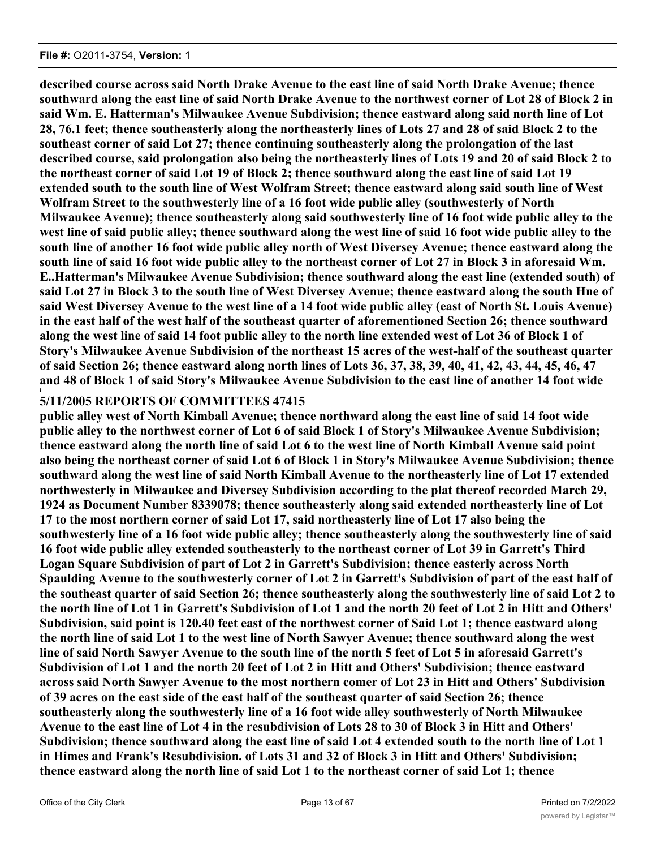**described course across said North Drake Avenue to the east line of said North Drake Avenue; thence southward along the east line of said North Drake Avenue to the northwest corner of Lot 28 of Block 2 in said Wm. E. Hatterman's Milwaukee Avenue Subdivision; thence eastward along said north line of Lot 28, 76.1 feet; thence southeasterly along the northeasterly lines of Lots 27 and 28 of said Block 2 to the southeast corner of said Lot 27; thence continuing southeasterly along the prolongation of the last described course, said prolongation also being the northeasterly lines of Lots 19 and 20 of said Block 2 to the northeast corner of said Lot 19 of Block 2; thence southward along the east line of said Lot 19 extended south to the south line of West Wolfram Street; thence eastward along said south line of West Wolfram Street to the southwesterly line of a 16 foot wide public alley (southwesterly of North Milwaukee Avenue); thence southeasterly along said southwesterly line of 16 foot wide public alley to the west line of said public alley; thence southward along the west line of said 16 foot wide public alley to the south line of another 16 foot wide public alley north of West Diversey Avenue; thence eastward along the south line of said 16 foot wide public alley to the northeast corner of Lot 27 in Block 3 in aforesaid Wm. E..Hatterman's Milwaukee Avenue Subdivision; thence southward along the east line (extended south) of said Lot 27 in Block 3 to the south line of West Diversey Avenue; thence eastward along the south Hne of said West Diversey Avenue to the west line of a 14 foot wide public alley (east of North St. Louis Avenue) in the east half of the west half of the southeast quarter of aforementioned Section 26; thence southward along the west line of said 14 foot public alley to the north line extended west of Lot 36 of Block 1 of Story's Milwaukee Avenue Subdivision of the northeast 15 acres of the west-half of the southeast quarter of said Section 26; thence eastward along north lines of Lots 36, 37, 38, 39, 40, 41, 42, 43, 44, 45, 46, 47 and 48 of Block 1 of said Story's Milwaukee Avenue Subdivision to the east line of another 14 foot wide**

#### **i 5/11/2005 REPORTS OF COMMITTEES 47415**

**public alley west of North Kimball Avenue; thence northward along the east line of said 14 foot wide public alley to the northwest corner of Lot 6 of said Block 1 of Story's Milwaukee Avenue Subdivision; thence eastward along the north line of said Lot 6 to the west line of North Kimball Avenue said point also being the northeast corner of said Lot 6 of Block 1 in Story's Milwaukee Avenue Subdivision; thence southward along the west line of said North Kimball Avenue to the northeasterly line of Lot 17 extended northwesterly in Milwaukee and Diversey Subdivision according to the plat thereof recorded March 29, 1924 as Document Number 8339078; thence southeasterly along said extended northeasterly line of Lot 17 to the most northern corner of said Lot 17, said northeasterly line of Lot 17 also being the southwesterly line of a 16 foot wide public alley; thence southeasterly along the southwesterly line of said 16 foot wide public alley extended southeasterly to the northeast corner of Lot 39 in Garrett's Third Logan Square Subdivision of part of Lot 2 in Garrett's Subdivision; thence easterly across North Spaulding Avenue to the southwesterly corner of Lot 2 in Garrett's Subdivision of part of the east half of the southeast quarter of said Section 26; thence southeasterly along the southwesterly line of said Lot 2 to the north line of Lot 1 in Garrett's Subdivision of Lot 1 and the north 20 feet of Lot 2 in Hitt and Others' Subdivision, said point is 120.40 feet east of the northwest corner of Said Lot 1; thence eastward along the north line of said Lot 1 to the west line of North Sawyer Avenue; thence southward along the west line of said North Sawyer Avenue to the south line of the north 5 feet of Lot 5 in aforesaid Garrett's Subdivision of Lot 1 and the north 20 feet of Lot 2 in Hitt and Others' Subdivision; thence eastward across said North Sawyer Avenue to the most northern comer of Lot 23 in Hitt and Others' Subdivision of 39 acres on the east side of the east half of the southeast quarter of said Section 26; thence southeasterly along the southwesterly line of a 16 foot wide alley southwesterly of North Milwaukee Avenue to the east line of Lot 4 in the resubdivision of Lots 28 to 30 of Block 3 in Hitt and Others' Subdivision; thence southward along the east line of said Lot 4 extended south to the north line of Lot 1 in Himes and Frank's Resubdivision. of Lots 31 and 32 of Block 3 in Hitt and Others' Subdivision; thence eastward along the north line of said Lot 1 to the northeast corner of said Lot 1; thence**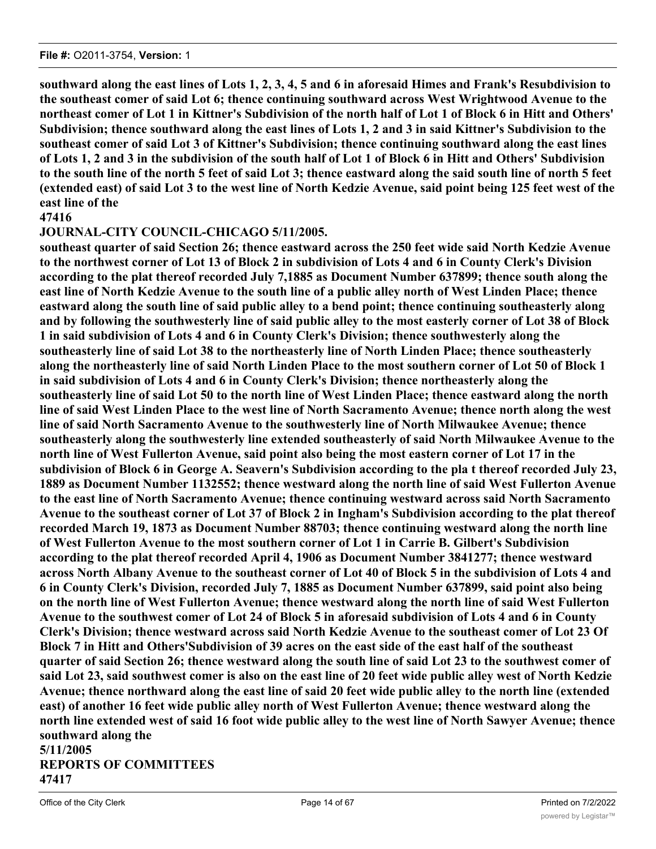**southward along the east lines of Lots 1, 2, 3, 4, 5 and 6 in aforesaid Himes and Frank's Resubdivision to the southeast comer of said Lot 6; thence continuing southward across West Wrightwood Avenue to the northeast comer of Lot 1 in Kittner's Subdivision of the north half of Lot 1 of Block 6 in Hitt and Others' Subdivision; thence southward along the east lines of Lots 1, 2 and 3 in said Kittner's Subdivision to the southeast comer of said Lot 3 of Kittner's Subdivision; thence continuing southward along the east lines of Lots 1, 2 and 3 in the subdivision of the south half of Lot 1 of Block 6 in Hitt and Others' Subdivision to the south line of the north 5 feet of said Lot 3; thence eastward along the said south line of north 5 feet (extended east) of said Lot 3 to the west line of North Kedzie Avenue, said point being 125 feet west of the east line of the**

# **47416**

# **JOURNAL-CITY COUNCIL-CHICAGO 5/11/2005.**

**southeast quarter of said Section 26; thence eastward across the 250 feet wide said North Kedzie Avenue to the northwest corner of Lot 13 of Block 2 in subdivision of Lots 4 and 6 in County Clerk's Division according to the plat thereof recorded July 7,1885 as Document Number 637899; thence south along the east line of North Kedzie Avenue to the south line of a public alley north of West Linden Place; thence eastward along the south line of said public alley to a bend point; thence continuing southeasterly along and by following the southwesterly line of said public alley to the most easterly corner of Lot 38 of Block 1 in said subdivision of Lots 4 and 6 in County Clerk's Division; thence southwesterly along the southeasterly line of said Lot 38 to the northeasterly line of North Linden Place; thence southeasterly along the northeasterly line of said North Linden Place to the most southern corner of Lot 50 of Block 1 in said subdivision of Lots 4 and 6 in County Clerk's Division; thence northeasterly along the southeasterly line of said Lot 50 to the north line of West Linden Place; thence eastward along the north line of said West Linden Place to the west line of North Sacramento Avenue; thence north along the west line of said North Sacramento Avenue to the southwesterly line of North Milwaukee Avenue; thence southeasterly along the southwesterly line extended southeasterly of said North Milwaukee Avenue to the north line of West Fullerton Avenue, said point also being the most eastern corner of Lot 17 in the subdivision of Block 6 in George A. Seavern's Subdivision according to the pla t thereof recorded July 23, 1889 as Document Number 1132552; thence westward along the north line of said West Fullerton Avenue to the east line of North Sacramento Avenue; thence continuing westward across said North Sacramento Avenue to the southeast corner of Lot 37 of Block 2 in Ingham's Subdivision according to the plat thereof recorded March 19, 1873 as Document Number 88703; thence continuing westward along the north line of West Fullerton Avenue to the most southern corner of Lot 1 in Carrie B. Gilbert's Subdivision according to the plat thereof recorded April 4, 1906 as Document Number 3841277; thence westward across North Albany Avenue to the southeast corner of Lot 40 of Block 5 in the subdivision of Lots 4 and 6 in County Clerk's Division, recorded July 7, 1885 as Document Number 637899, said point also being on the north line of West Fullerton Avenue; thence westward along the north line of said West Fullerton Avenue to the southwest comer of Lot 24 of Block 5 in aforesaid subdivision of Lots 4 and 6 in County Clerk's Division; thence westward across said North Kedzie Avenue to the southeast comer of Lot 23 Of Block 7 in Hitt and Others'Subdivision of 39 acres on the east side of the east half of the southeast quarter of said Section 26; thence westward along the south line of said Lot 23 to the southwest comer of said Lot 23, said southwest comer is also on the east line of 20 feet wide public alley west of North Kedzie Avenue; thence northward along the east line of said 20 feet wide public alley to the north line (extended east) of another 16 feet wide public alley north of West Fullerton Avenue; thence westward along the north line extended west of said 16 foot wide public alley to the west line of North Sawyer Avenue; thence southward along the 5/11/2005**

# **REPORTS OF COMMITTEES 47417**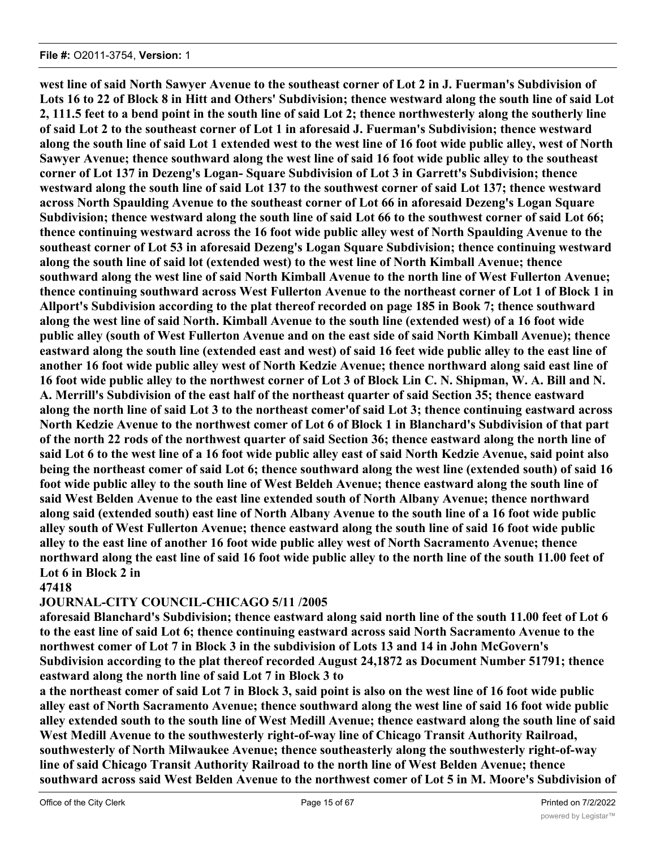**west line of said North Sawyer Avenue to the southeast corner of Lot 2 in J. Fuerman's Subdivision of Lots 16 to 22 of Block 8 in Hitt and Others' Subdivision; thence westward along the south line of said Lot 2, 111.5 feet to a bend point in the south line of said Lot 2; thence northwesterly along the southerly line of said Lot 2 to the southeast corner of Lot 1 in aforesaid J. Fuerman's Subdivision; thence westward along the south line of said Lot 1 extended west to the west line of 16 foot wide public alley, west of North Sawyer Avenue; thence southward along the west line of said 16 foot wide public alley to the southeast corner of Lot 137 in Dezeng's Logan- Square Subdivision of Lot 3 in Garrett's Subdivision; thence westward along the south line of said Lot 137 to the southwest corner of said Lot 137; thence westward across North Spaulding Avenue to the southeast corner of Lot 66 in aforesaid Dezeng's Logan Square Subdivision; thence westward along the south line of said Lot 66 to the southwest corner of said Lot 66; thence continuing westward across the 16 foot wide public alley west of North Spaulding Avenue to the southeast corner of Lot 53 in aforesaid Dezeng's Logan Square Subdivision; thence continuing westward along the south line of said lot (extended west) to the west line of North Kimball Avenue; thence southward along the west line of said North Kimball Avenue to the north line of West Fullerton Avenue; thence continuing southward across West Fullerton Avenue to the northeast corner of Lot 1 of Block 1 in Allport's Subdivision according to the plat thereof recorded on page 185 in Book 7; thence southward along the west line of said North. Kimball Avenue to the south line (extended west) of a 16 foot wide public alley (south of West Fullerton Avenue and on the east side of said North Kimball Avenue); thence eastward along the south line (extended east and west) of said 16 feet wide public alley to the east line of another 16 foot wide public alley west of North Kedzie Avenue; thence northward along said east line of 16 foot wide public alley to the northwest corner of Lot 3 of Block Lin C. N. Shipman, W. A. Bill and N. A. Merrill's Subdivision of the east half of the northeast quarter of said Section 35; thence eastward along the north line of said Lot 3 to the northeast comer'of said Lot 3; thence continuing eastward across North Kedzie Avenue to the northwest comer of Lot 6 of Block 1 in Blanchard's Subdivision of that part of the north 22 rods of the northwest quarter of said Section 36; thence eastward along the north line of said Lot 6 to the west line of a 16 foot wide public alley east of said North Kedzie Avenue, said point also being the northeast comer of said Lot 6; thence southward along the west line (extended south) of said 16 foot wide public alley to the south line of West Beldeh Avenue; thence eastward along the south line of said West Belden Avenue to the east line extended south of North Albany Avenue; thence northward along said (extended south) east line of North Albany Avenue to the south line of a 16 foot wide public alley south of West Fullerton Avenue; thence eastward along the south line of said 16 foot wide public alley to the east line of another 16 foot wide public alley west of North Sacramento Avenue; thence northward along the east line of said 16 foot wide public alley to the north line of the south 11.00 feet of Lot 6 in Block 2 in**

# **47418**

# **JOURNAL-CITY COUNCIL-CHICAGO 5/11 /2005**

**aforesaid Blanchard's Subdivision; thence eastward along said north line of the south 11.00 feet of Lot 6 to the east line of said Lot 6; thence continuing eastward across said North Sacramento Avenue to the northwest comer of Lot 7 in Block 3 in the subdivision of Lots 13 and 14 in John McGovern's Subdivision according to the plat thereof recorded August 24,1872 as Document Number 51791; thence eastward along the north line of said Lot 7 in Block 3 to**

**a the northeast comer of said Lot 7 in Block 3, said point is also on the west line of 16 foot wide public alley east of North Sacramento Avenue; thence southward along the west line of said 16 foot wide public alley extended south to the south line of West Medill Avenue; thence eastward along the south line of said West Medill Avenue to the southwesterly right-of-way line of Chicago Transit Authority Railroad, southwesterly of North Milwaukee Avenue; thence southeasterly along the southwesterly right-of-way line of said Chicago Transit Authority Railroad to the north line of West Belden Avenue; thence southward across said West Belden Avenue to the northwest comer of Lot 5 in M. Moore's Subdivision of**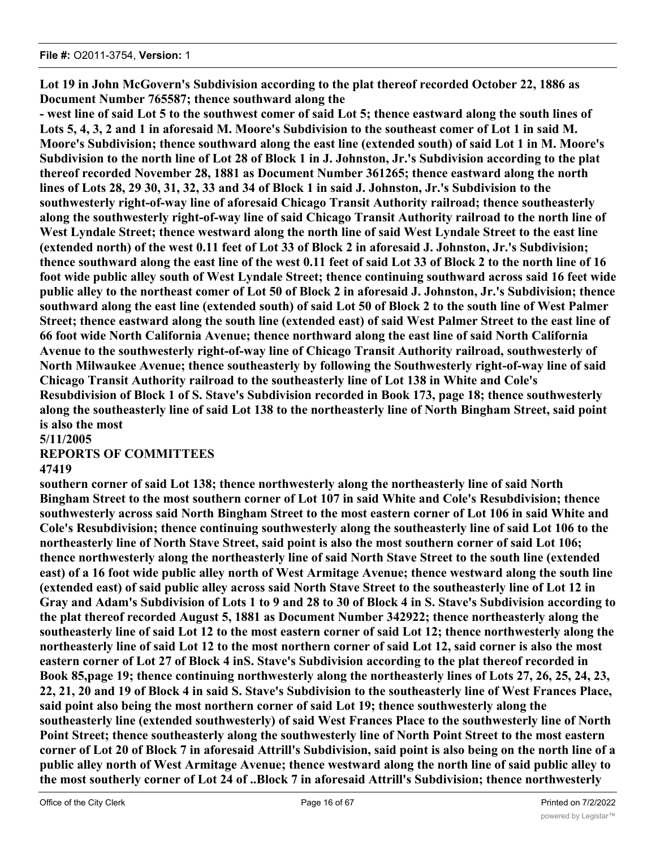**Lot 19 in John McGovern's Subdivision according to the plat thereof recorded October 22, 1886 as Document Number 765587; thence southward along the**

**- west line of said Lot 5 to the southwest comer of said Lot 5; thence eastward along the south lines of Lots 5, 4, 3, 2 and 1 in aforesaid M. Moore's Subdivision to the southeast comer of Lot 1 in said M. Moore's Subdivision; thence southward along the east line (extended south) of said Lot 1 in M. Moore's Subdivision to the north line of Lot 28 of Block 1 in J. Johnston, Jr.'s Subdivision according to the plat thereof recorded November 28, 1881 as Document Number 361265; thence eastward along the north lines of Lots 28, 29 30, 31, 32, 33 and 34 of Block 1 in said J. Johnston, Jr.'s Subdivision to the southwesterly right-of-way line of aforesaid Chicago Transit Authority railroad; thence southeasterly along the southwesterly right-of-way line of said Chicago Transit Authority railroad to the north line of West Lyndale Street; thence westward along the north line of said West Lyndale Street to the east line (extended north) of the west 0.11 feet of Lot 33 of Block 2 in aforesaid J. Johnston, Jr.'s Subdivision; thence southward along the east line of the west 0.11 feet of said Lot 33 of Block 2 to the north line of 16 foot wide public alley south of West Lyndale Street; thence continuing southward across said 16 feet wide public alley to the northeast comer of Lot 50 of Block 2 in aforesaid J. Johnston, Jr.'s Subdivision; thence southward along the east line (extended south) of said Lot 50 of Block 2 to the south line of West Palmer Street; thence eastward along the south line (extended east) of said West Palmer Street to the east line of 66 foot wide North California Avenue; thence northward along the east line of said North California Avenue to the southwesterly right-of-way line of Chicago Transit Authority railroad, southwesterly of North Milwaukee Avenue; thence southeasterly by following the Southwesterly right-of-way line of said Chicago Transit Authority railroad to the southeasterly line of Lot 138 in White and Cole's Resubdivision of Block 1 of S. Stave's Subdivision recorded in Book 173, page 18; thence southwesterly along the southeasterly line of said Lot 138 to the northeasterly line of North Bingham Street, said point is also the most**

**5/11/2005**

# **REPORTS OF COMMITTEES**

# **47419**

**southern corner of said Lot 138; thence northwesterly along the northeasterly line of said North Bingham Street to the most southern corner of Lot 107 in said White and Cole's Resubdivision; thence southwesterly across said North Bingham Street to the most eastern corner of Lot 106 in said White and Cole's Resubdivision; thence continuing southwesterly along the southeasterly line of said Lot 106 to the northeasterly line of North Stave Street, said point is also the most southern corner of said Lot 106; thence northwesterly along the northeasterly line of said North Stave Street to the south line (extended east) of a 16 foot wide public alley north of West Armitage Avenue; thence westward along the south line (extended east) of said public alley across said North Stave Street to the southeasterly line of Lot 12 in Gray and Adam's Subdivision of Lots 1 to 9 and 28 to 30 of Block 4 in S. Stave's Subdivision according to the plat thereof recorded August 5, 1881 as Document Number 342922; thence northeasterly along the southeasterly line of said Lot 12 to the most eastern corner of said Lot 12; thence northwesterly along the northeasterly line of said Lot 12 to the most northern corner of said Lot 12, said corner is also the most eastern corner of Lot 27 of Block 4 inS. Stave's Subdivision according to the plat thereof recorded in Book 85,page 19; thence continuing northwesterly along the northeasterly lines of Lots 27, 26, 25, 24, 23, 22, 21, 20 and 19 of Block 4 in said S. Stave's Subdivision to the southeasterly line of West Frances Place, said point also being the most northern corner of said Lot 19; thence southwesterly along the southeasterly line (extended southwesterly) of said West Frances Place to the southwesterly line of North Point Street; thence southeasterly along the southwesterly line of North Point Street to the most eastern corner of Lot 20 of Block 7 in aforesaid Attrill's Subdivision, said point is also being on the north line of a public alley north of West Armitage Avenue; thence westward along the north line of said public alley to the most southerly corner of Lot 24 of ..Block 7 in aforesaid Attrill's Subdivision; thence northwesterly**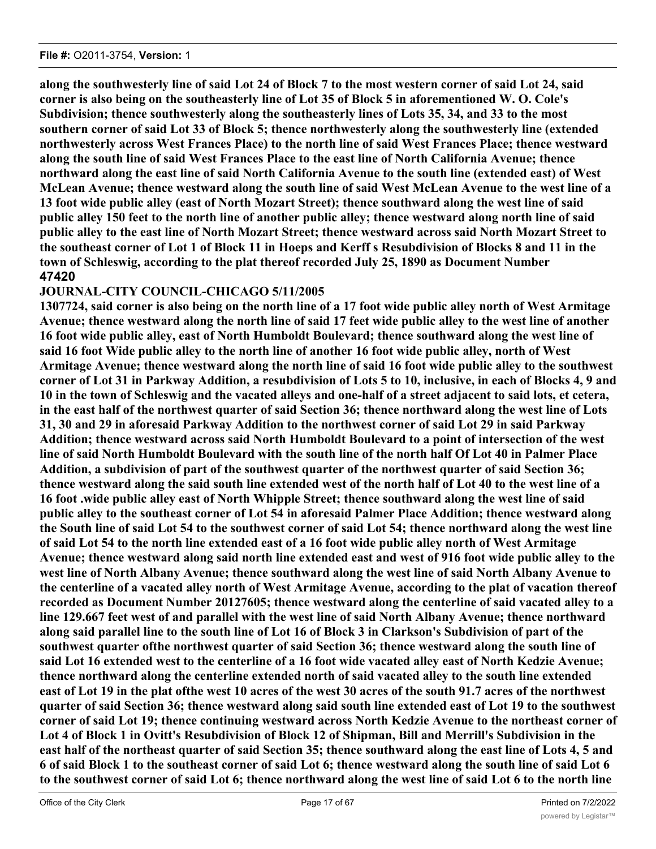**along the southwesterly line of said Lot 24 of Block 7 to the most western corner of said Lot 24, said corner is also being on the southeasterly line of Lot 35 of Block 5 in aforementioned W. O. Cole's Subdivision; thence southwesterly along the southeasterly lines of Lots 35, 34, and 33 to the most southern corner of said Lot 33 of Block 5; thence northwesterly along the southwesterly line (extended northwesterly across West Frances Place) to the north line of said West Frances Place; thence westward along the south line of said West Frances Place to the east line of North California Avenue; thence northward along the east line of said North California Avenue to the south line (extended east) of West McLean Avenue; thence westward along the south line of said West McLean Avenue to the west line of a 13 foot wide public alley (east of North Mozart Street); thence southward along the west line of said public alley 150 feet to the north line of another public alley; thence westward along north line of said public alley to the east line of North Mozart Street; thence westward across said North Mozart Street to the southeast corner of Lot 1 of Block 11 in Hoeps and Kerff s Resubdivision of Blocks 8 and 11 in the town of Schleswig, according to the plat thereof recorded July 25, 1890 as Document Number 47420**

# **JOURNAL-CITY COUNCIL-CHICAGO 5/11/2005**

**1307724, said corner is also being on the north line of a 17 foot wide public alley north of West Armitage Avenue; thence westward along the north line of said 17 feet wide public alley to the west line of another 16 foot wide public alley, east of North Humboldt Boulevard; thence southward along the west line of said 16 foot Wide public alley to the north line of another 16 foot wide public alley, north of West Armitage Avenue; thence westward along the north line of said 16 foot wide public alley to the southwest corner of Lot 31 in Parkway Addition, a resubdivision of Lots 5 to 10, inclusive, in each of Blocks 4, 9 and 10 in the town of Schleswig and the vacated alleys and one-half of a street adjacent to said lots, et cetera, in the east half of the northwest quarter of said Section 36; thence northward along the west line of Lots 31, 30 and 29 in aforesaid Parkway Addition to the northwest corner of said Lot 29 in said Parkway Addition; thence westward across said North Humboldt Boulevard to a point of intersection of the west line of said North Humboldt Boulevard with the south line of the north half Of Lot 40 in Palmer Place Addition, a subdivision of part of the southwest quarter of the northwest quarter of said Section 36; thence westward along the said south line extended west of the north half of Lot 40 to the west line of a 16 foot .wide public alley east of North Whipple Street; thence southward along the west line of said public alley to the southeast corner of Lot 54 in aforesaid Palmer Place Addition; thence westward along the South line of said Lot 54 to the southwest corner of said Lot 54; thence northward along the west line of said Lot 54 to the north line extended east of a 16 foot wide public alley north of West Armitage Avenue; thence westward along said north line extended east and west of 916 foot wide public alley to the west line of North Albany Avenue; thence southward along the west line of said North Albany Avenue to the centerline of a vacated alley north of West Armitage Avenue, according to the plat of vacation thereof recorded as Document Number 20127605; thence westward along the centerline of said vacated alley to a line 129.667 feet west of and parallel with the west line of said North Albany Avenue; thence northward along said parallel line to the south line of Lot 16 of Block 3 in Clarkson's Subdivision of part of the southwest quarter ofthe northwest quarter of said Section 36; thence westward along the south line of said Lot 16 extended west to the centerline of a 16 foot wide vacated alley east of North Kedzie Avenue; thence northward along the centerline extended north of said vacated alley to the south line extended east of Lot 19 in the plat ofthe west 10 acres of the west 30 acres of the south 91.7 acres of the northwest quarter of said Section 36; thence westward along said south line extended east of Lot 19 to the southwest corner of said Lot 19; thence continuing westward across North Kedzie Avenue to the northeast corner of Lot 4 of Block 1 in Ovitt's Resubdivision of Block 12 of Shipman, Bill and Merrill's Subdivision in the east half of the northeast quarter of said Section 35; thence southward along the east line of Lots 4, 5 and 6 of said Block 1 to the southeast corner of said Lot 6; thence westward along the south line of said Lot 6 to the southwest corner of said Lot 6; thence northward along the west line of said Lot 6 to the north line**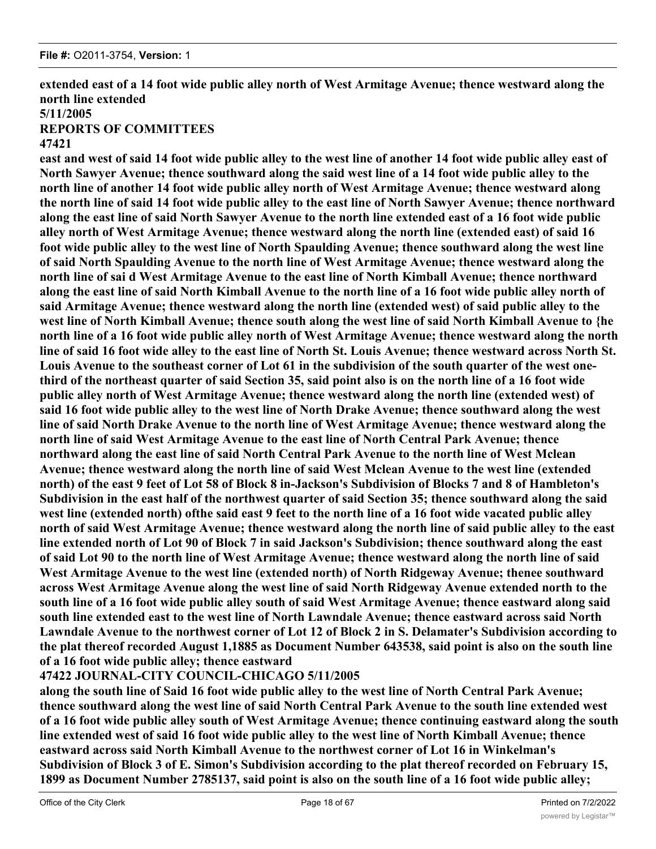**47421**

**extended east of a 14 foot wide public alley north of West Armitage Avenue; thence westward along the north line extended 5/11/2005 REPORTS OF COMMITTEES**

# **east and west of said 14 foot wide public alley to the west line of another 14 foot wide public alley east of North Sawyer Avenue; thence southward along the said west line of a 14 foot wide public alley to the north line of another 14 foot wide public alley north of West Armitage Avenue; thence westward along the north line of said 14 foot wide public alley to the east line of North Sawyer Avenue; thence northward along the east line of said North Sawyer Avenue to the north line extended east of a 16 foot wide public alley north of West Armitage Avenue; thence westward along the north line (extended east) of said 16 foot wide public alley to the west line of North Spaulding Avenue; thence southward along the west line of said North Spaulding Avenue to the north line of West Armitage Avenue; thence westward along the north line of sai d West Armitage Avenue to the east line of North Kimball Avenue; thence northward along the east line of said North Kimball Avenue to the north line of a 16 foot wide public alley north of said Armitage Avenue; thence westward along the north line (extended west) of said public alley to the west line of North Kimball Avenue; thence south along the west line of said North Kimball Avenue to {he north line of a 16 foot wide public alley north of West Armitage Avenue; thence westward along the north line of said 16 foot wide alley to the east line of North St. Louis Avenue; thence westward across North St. Louis Avenue to the southeast corner of Lot 61 in the subdivision of the south quarter of the west onethird of the northeast quarter of said Section 35, said point also is on the north line of a 16 foot wide public alley north of West Armitage Avenue; thence westward along the north line (extended west) of said 16 foot wide public alley to the west line of North Drake Avenue; thence southward along the west line of said North Drake Avenue to the north line of West Armitage Avenue; thence westward along the north line of said West Armitage Avenue to the east line of North Central Park Avenue; thence northward along the east line of said North Central Park Avenue to the north line of West Mclean Avenue; thence westward along the north line of said West Mclean Avenue to the west line (extended north) of the east 9 feet of Lot 58 of Block 8 in-Jackson's Subdivision of Blocks 7 and 8 of Hambleton's Subdivision in the east half of the northwest quarter of said Section 35; thence southward along the said west line (extended north) ofthe said east 9 feet to the north line of a 16 foot wide vacated public alley north of said West Armitage Avenue; thence westward along the north line of said public alley to the east line extended north of Lot 90 of Block 7 in said Jackson's Subdivision; thence southward along the east of said Lot 90 to the north line of West Armitage Avenue; thence westward along the north line of said West Armitage Avenue to the west line (extended north) of North Ridgeway Avenue; thenee southward across West Armitage Avenue along the west line of said North Ridgeway Avenue extended north to the south line of a 16 foot wide public alley south of said West Armitage Avenue; thence eastward along said south line extended east to the west line of North Lawndale Avenue; thence eastward across said North Lawndale Avenue to the northwest corner of Lot 12 of Block 2 in S. Delamater's Subdivision according to the plat thereof recorded August 1,1885 as Document Number 643538, said point is also on the south line of a 16 foot wide public alley; thence eastward**

# **47422 JOURNAL-CITY COUNCIL-CHICAGO 5/11/2005**

**along the south line of Said 16 foot wide public alley to the west line of North Central Park Avenue; thence southward along the west line of said North Central Park Avenue to the south line extended west of a 16 foot wide public alley south of West Armitage Avenue; thence continuing eastward along the south line extended west of said 16 foot wide public alley to the west line of North Kimball Avenue; thence eastward across said North Kimball Avenue to the northwest corner of Lot 16 in Winkelman's Subdivision of Block 3 of E. Simon's Subdivision according to the plat thereof recorded on February 15, 1899 as Document Number 2785137, said point is also on the south line of a 16 foot wide public alley;**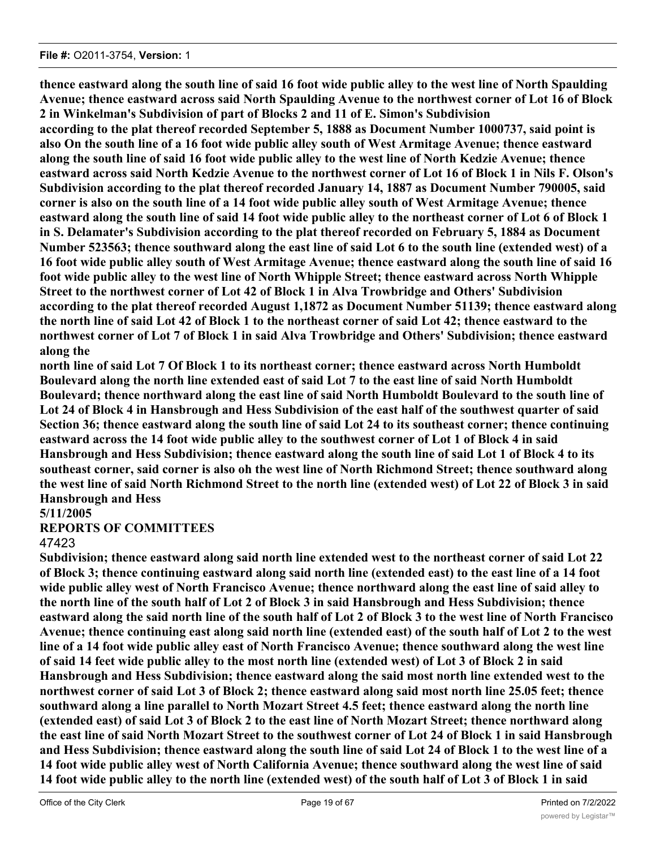**thence eastward along the south line of said 16 foot wide public alley to the west line of North Spaulding Avenue; thence eastward across said North Spaulding Avenue to the northwest corner of Lot 16 of Block 2 in Winkelman's Subdivision of part of Blocks 2 and 11 of E. Simon's Subdivision according to the plat thereof recorded September 5, 1888 as Document Number 1000737, said point is**

**also On the south line of a 16 foot wide public alley south of West Armitage Avenue; thence eastward along the south line of said 16 foot wide public alley to the west line of North Kedzie Avenue; thence eastward across said North Kedzie Avenue to the northwest corner of Lot 16 of Block 1 in Nils F. Olson's Subdivision according to the plat thereof recorded January 14, 1887 as Document Number 790005, said corner is also on the south line of a 14 foot wide public alley south of West Armitage Avenue; thence eastward along the south line of said 14 foot wide public alley to the northeast corner of Lot 6 of Block 1 in S. Delamater's Subdivision according to the plat thereof recorded on February 5, 1884 as Document Number 523563; thence southward along the east line of said Lot 6 to the south line (extended west) of a 16 foot wide public alley south of West Armitage Avenue; thence eastward along the south line of said 16 foot wide public alley to the west line of North Whipple Street; thence eastward across North Whipple Street to the northwest corner of Lot 42 of Block 1 in Alva Trowbridge and Others' Subdivision according to the plat thereof recorded August 1,1872 as Document Number 51139; thence eastward along the north line of said Lot 42 of Block 1 to the northeast corner of said Lot 42; thence eastward to the northwest corner of Lot 7 of Block 1 in said Alva Trowbridge and Others' Subdivision; thence eastward along the**

**north line of said Lot 7 Of Block 1 to its northeast corner; thence eastward across North Humboldt Boulevard along the north line extended east of said Lot 7 to the east line of said North Humboldt Boulevard; thence northward along the east line of said North Humboldt Boulevard to the south line of Lot 24 of Block 4 in Hansbrough and Hess Subdivision of the east half of the southwest quarter of said Section 36; thence eastward along the south line of said Lot 24 to its southeast corner; thence continuing eastward across the 14 foot wide public alley to the southwest corner of Lot 1 of Block 4 in said Hansbrough and Hess Subdivision; thence eastward along the south line of said Lot 1 of Block 4 to its southeast corner, said corner is also oh the west line of North Richmond Street; thence southward along the west line of said North Richmond Street to the north line (extended west) of Lot 22 of Block 3 in said Hansbrough and Hess**

# **5/11/2005**

# **REPORTS OF COMMITTEES**

# 47423

**Subdivision; thence eastward along said north line extended west to the northeast corner of said Lot 22 of Block 3; thence continuing eastward along said north line (extended east) to the east line of a 14 foot wide public alley west of North Francisco Avenue; thence northward along the east line of said alley to the north line of the south half of Lot 2 of Block 3 in said Hansbrough and Hess Subdivision; thence eastward along the said north line of the south half of Lot 2 of Block 3 to the west line of North Francisco Avenue; thence continuing east along said north line (extended east) of the south half of Lot 2 to the west line of a 14 foot wide public alley east of North Francisco Avenue; thence southward along the west line of said 14 feet wide public alley to the most north line (extended west) of Lot 3 of Block 2 in said Hansbrough and Hess Subdivision; thence eastward along the said most north line extended west to the northwest corner of said Lot 3 of Block 2; thence eastward along said most north line 25.05 feet; thence southward along a line parallel to North Mozart Street 4.5 feet; thence eastward along the north line (extended east) of said Lot 3 of Block 2 to the east line of North Mozart Street; thence northward along the east line of said North Mozart Street to the southwest corner of Lot 24 of Block 1 in said Hansbrough and Hess Subdivision; thence eastward along the south line of said Lot 24 of Block 1 to the west line of a 14 foot wide public alley west of North California Avenue; thence southward along the west line of said 14 foot wide public alley to the north line (extended west) of the south half of Lot 3 of Block 1 in said**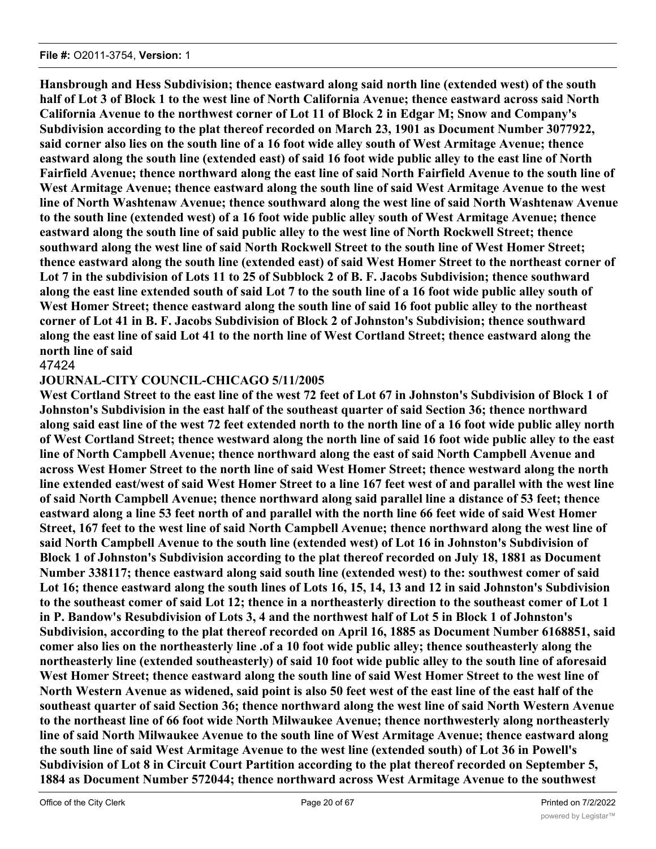**Hansbrough and Hess Subdivision; thence eastward along said north line (extended west) of the south half of Lot 3 of Block 1 to the west line of North California Avenue; thence eastward across said North California Avenue to the northwest corner of Lot 11 of Block 2 in Edgar M; Snow and Company's Subdivision according to the plat thereof recorded on March 23, 1901 as Document Number 3077922, said corner also lies on the south line of a 16 foot wide alley south of West Armitage Avenue; thence eastward along the south line (extended east) of said 16 foot wide public alley to the east line of North Fairfield Avenue; thence northward along the east line of said North Fairfield Avenue to the south line of West Armitage Avenue; thence eastward along the south line of said West Armitage Avenue to the west line of North Washtenaw Avenue; thence southward along the west line of said North Washtenaw Avenue to the south line (extended west) of a 16 foot wide public alley south of West Armitage Avenue; thence eastward along the south line of said public alley to the west line of North Rockwell Street; thence southward along the west line of said North Rockwell Street to the south line of West Homer Street; thence eastward along the south line (extended east) of said West Homer Street to the northeast corner of Lot 7 in the subdivision of Lots 11 to 25 of Subblock 2 of B. F. Jacobs Subdivision; thence southward along the east line extended south of said Lot 7 to the south line of a 16 foot wide public alley south of West Homer Street; thence eastward along the south line of said 16 foot public alley to the northeast corner of Lot 41 in B. F. Jacobs Subdivision of Block 2 of Johnston's Subdivision; thence southward along the east line of said Lot 41 to the north line of West Cortland Street; thence eastward along the north line of said**

# 47424

# **JOURNAL-CITY COUNCIL-CHICAGO 5/11/2005**

**West Cortland Street to the east line of the west 72 feet of Lot 67 in Johnston's Subdivision of Block 1 of Johnston's Subdivision in the east half of the southeast quarter of said Section 36; thence northward along said east line of the west 72 feet extended north to the north line of a 16 foot wide public alley north of West Cortland Street; thence westward along the north line of said 16 foot wide public alley to the east line of North Campbell Avenue; thence northward along the east of said North Campbell Avenue and across West Homer Street to the north line of said West Homer Street; thence westward along the north line extended east/west of said West Homer Street to a line 167 feet west of and parallel with the west line of said North Campbell Avenue; thence northward along said parallel line a distance of 53 feet; thence eastward along a line 53 feet north of and parallel with the north line 66 feet wide of said West Homer Street, 167 feet to the west line of said North Campbell Avenue; thence northward along the west line of said North Campbell Avenue to the south line (extended west) of Lot 16 in Johnston's Subdivision of Block 1 of Johnston's Subdivision according to the plat thereof recorded on July 18, 1881 as Document Number 338117; thence eastward along said south line (extended west) to the: southwest comer of said Lot 16; thence eastward along the south lines of Lots 16, 15, 14, 13 and 12 in said Johnston's Subdivision to the southeast comer of said Lot 12; thence in a northeasterly direction to the southeast comer of Lot 1 in P. Bandow's Resubdivision of Lots 3, 4 and the northwest half of Lot 5 in Block 1 of Johnston's Subdivision, according to the plat thereof recorded on April 16, 1885 as Document Number 6168851, said comer also lies on the northeasterly line .of a 10 foot wide public alley; thence southeasterly along the northeasterly line (extended southeasterly) of said 10 foot wide public alley to the south line of aforesaid West Homer Street; thence eastward along the south line of said West Homer Street to the west line of North Western Avenue as widened, said point is also 50 feet west of the east line of the east half of the southeast quarter of said Section 36; thence northward along the west line of said North Western Avenue to the northeast line of 66 foot wide North Milwaukee Avenue; thence northwesterly along northeasterly line of said North Milwaukee Avenue to the south line of West Armitage Avenue; thence eastward along the south line of said West Armitage Avenue to the west line (extended south) of Lot 36 in Powell's Subdivision of Lot 8 in Circuit Court Partition according to the plat thereof recorded on September 5, 1884 as Document Number 572044; thence northward across West Armitage Avenue to the southwest**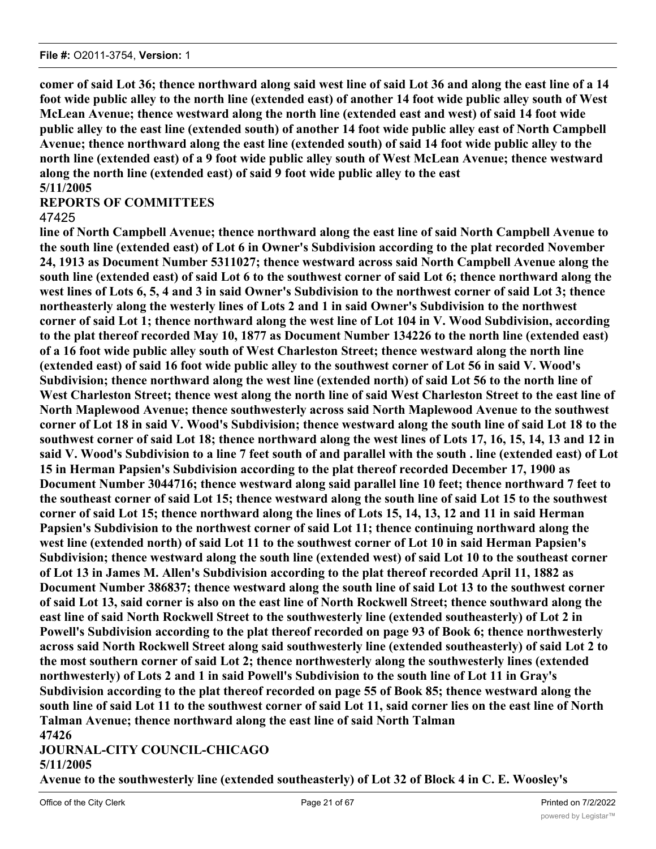**comer of said Lot 36; thence northward along said west line of said Lot 36 and along the east line of a 14 foot wide public alley to the north line (extended east) of another 14 foot wide public alley south of West McLean Avenue; thence westward along the north line (extended east and west) of said 14 foot wide public alley to the east line (extended south) of another 14 foot wide public alley east of North Campbell Avenue; thence northward along the east line (extended south) of said 14 foot wide public alley to the north line (extended east) of a 9 foot wide public alley south of West McLean Avenue; thence westward along the north line (extended east) of said 9 foot wide public alley to the east 5/11/2005**

# **REPORTS OF COMMITTEES** 47425

**line of North Campbell Avenue; thence northward along the east line of said North Campbell Avenue to the south line (extended east) of Lot 6 in Owner's Subdivision according to the plat recorded November 24, 1913 as Document Number 5311027; thence westward across said North Campbell Avenue along the south line (extended east) of said Lot 6 to the southwest corner of said Lot 6; thence northward along the west lines of Lots 6, 5, 4 and 3 in said Owner's Subdivision to the northwest corner of said Lot 3; thence northeasterly along the westerly lines of Lots 2 and 1 in said Owner's Subdivision to the northwest corner of said Lot 1; thence northward along the west line of Lot 104 in V. Wood Subdivision, according to the plat thereof recorded May 10, 1877 as Document Number 134226 to the north line (extended east) of a 16 foot wide public alley south of West Charleston Street; thence westward along the north line (extended east) of said 16 foot wide public alley to the southwest corner of Lot 56 in said V. Wood's Subdivision; thence northward along the west line (extended north) of said Lot 56 to the north line of West Charleston Street; thence west along the north line of said West Charleston Street to the east line of North Maplewood Avenue; thence southwesterly across said North Maplewood Avenue to the southwest corner of Lot 18 in said V. Wood's Subdivision; thence westward along the south line of said Lot 18 to the southwest corner of said Lot 18; thence northward along the west lines of Lots 17, 16, 15, 14, 13 and 12 in said V. Wood's Subdivision to a line 7 feet south of and parallel with the south . line (extended east) of Lot 15 in Herman Papsien's Subdivision according to the plat thereof recorded December 17, 1900 as Document Number 3044716; thence westward along said parallel line 10 feet; thence northward 7 feet to the southeast corner of said Lot 15; thence westward along the south line of said Lot 15 to the southwest corner of said Lot 15; thence northward along the lines of Lots 15, 14, 13, 12 and 11 in said Herman Papsien's Subdivision to the northwest corner of said Lot 11; thence continuing northward along the west line (extended north) of said Lot 11 to the southwest corner of Lot 10 in said Herman Papsien's Subdivision; thence westward along the south line (extended west) of said Lot 10 to the southeast corner of Lot 13 in James M. Allen's Subdivision according to the plat thereof recorded April 11, 1882 as Document Number 386837; thence westward along the south line of said Lot 13 to the southwest corner of said Lot 13, said corner is also on the east line of North Rockwell Street; thence southward along the east line of said North Rockwell Street to the southwesterly line (extended southeasterly) of Lot 2 in Powell's Subdivision according to the plat thereof recorded on page 93 of Book 6; thence northwesterly across said North Rockwell Street along said southwesterly line (extended southeasterly) of said Lot 2 to the most southern corner of said Lot 2; thence northwesterly along the southwesterly lines (extended northwesterly) of Lots 2 and 1 in said Powell's Subdivision to the south line of Lot 11 in Gray's Subdivision according to the plat thereof recorded on page 55 of Book 85; thence westward along the south line of said Lot 11 to the southwest corner of said Lot 11, said corner lies on the east line of North Talman Avenue; thence northward along the east line of said North Talman 47426**

# **JOURNAL-CITY COUNCIL-CHICAGO**

# **5/11/2005**

**Avenue to the southwesterly line (extended southeasterly) of Lot 32 of Block 4 in C. E. Woosley's**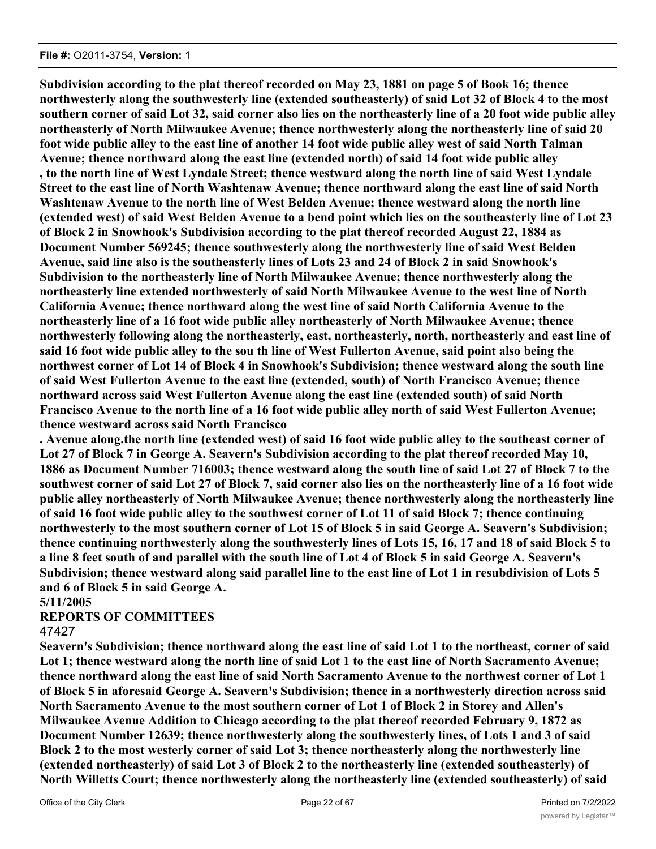**Subdivision according to the plat thereof recorded on May 23, 1881 on page 5 of Book 16; thence northwesterly along the southwesterly line (extended southeasterly) of said Lot 32 of Block 4 to the most southern corner of said Lot 32, said corner also lies on the northeasterly line of a 20 foot wide public alley northeasterly of North Milwaukee Avenue; thence northwesterly along the northeasterly line of said 20 foot wide public alley to the east line of another 14 foot wide public alley west of said North Talman Avenue; thence northward along the east line (extended north) of said 14 foot wide public alley , to the north line of West Lyndale Street; thence westward along the north line of said West Lyndale Street to the east line of North Washtenaw Avenue; thence northward along the east line of said North Washtenaw Avenue to the north line of West Belden Avenue; thence westward along the north line (extended west) of said West Belden Avenue to a bend point which lies on the southeasterly line of Lot 23 of Block 2 in Snowhook's Subdivision according to the plat thereof recorded August 22, 1884 as Document Number 569245; thence southwesterly along the northwesterly line of said West Belden Avenue, said line also is the southeasterly lines of Lots 23 and 24 of Block 2 in said Snowhook's Subdivision to the northeasterly line of North Milwaukee Avenue; thence northwesterly along the northeasterly line extended northwesterly of said North Milwaukee Avenue to the west line of North California Avenue; thence northward along the west line of said North California Avenue to the northeasterly line of a 16 foot wide public alley northeasterly of North Milwaukee Avenue; thence northwesterly following along the northeasterly, east, northeasterly, north, northeasterly and east line of said 16 foot wide public alley to the sou th line of West Fullerton Avenue, said point also being the northwest corner of Lot 14 of Block 4 in Snowhook's Subdivision; thence westward along the south line of said West Fullerton Avenue to the east line (extended, south) of North Francisco Avenue; thence northward across said West Fullerton Avenue along the east line (extended south) of said North Francisco Avenue to the north line of a 16 foot wide public alley north of said West Fullerton Avenue; thence westward across said North Francisco**

**. Avenue along.the north line (extended west) of said 16 foot wide public alley to the southeast corner of Lot 27 of Block 7 in George A. Seavern's Subdivision according to the plat thereof recorded May 10, 1886 as Document Number 716003; thence westward along the south line of said Lot 27 of Block 7 to the southwest corner of said Lot 27 of Block 7, said corner also lies on the northeasterly line of a 16 foot wide public alley northeasterly of North Milwaukee Avenue; thence northwesterly along the northeasterly line of said 16 foot wide public alley to the southwest corner of Lot 11 of said Block 7; thence continuing northwesterly to the most southern corner of Lot 15 of Block 5 in said George A. Seavern's Subdivision; thence continuing northwesterly along the southwesterly lines of Lots 15, 16, 17 and 18 of said Block 5 to a line 8 feet south of and parallel with the south line of Lot 4 of Block 5 in said George A. Seavern's Subdivision; thence westward along said parallel line to the east line of Lot 1 in resubdivision of Lots 5 and 6 of Block 5 in said George A.**

# **5/11/2005**

# **REPORTS OF COMMITTEES**

# 47427

**Seavern's Subdivision; thence northward along the east line of said Lot 1 to the northeast, corner of said Lot 1; thence westward along the north line of said Lot 1 to the east line of North Sacramento Avenue; thence northward along the east line of said North Sacramento Avenue to the northwest corner of Lot 1 of Block 5 in aforesaid George A. Seavern's Subdivision; thence in a northwesterly direction across said North Sacramento Avenue to the most southern corner of Lot 1 of Block 2 in Storey and Allen's Milwaukee Avenue Addition to Chicago according to the plat thereof recorded February 9, 1872 as Document Number 12639; thence northwesterly along the southwesterly lines, of Lots 1 and 3 of said Block 2 to the most westerly corner of said Lot 3; thence northeasterly along the northwesterly line (extended northeasterly) of said Lot 3 of Block 2 to the northeasterly line (extended southeasterly) of North Willetts Court; thence northwesterly along the northeasterly line (extended southeasterly) of said**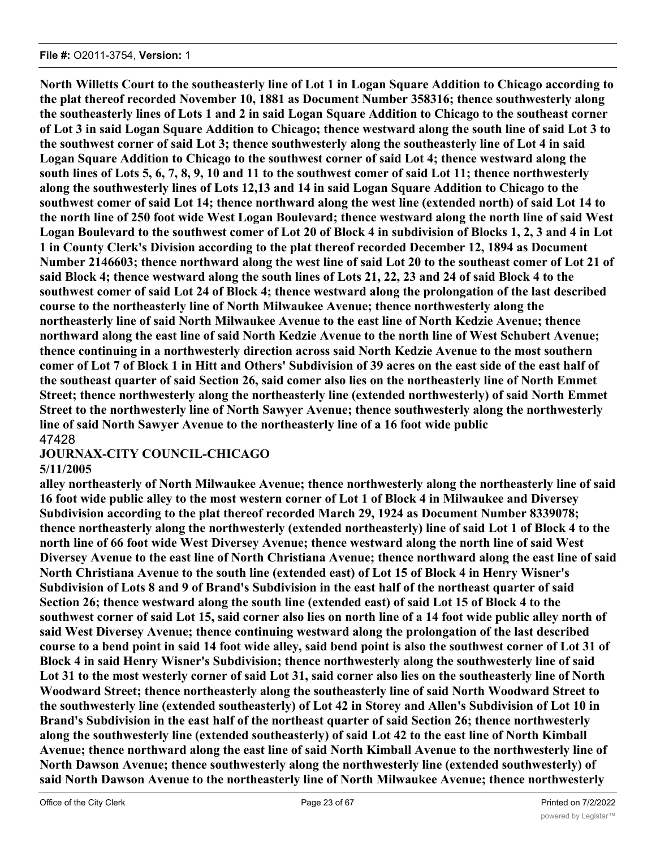**North Willetts Court to the southeasterly line of Lot 1 in Logan Square Addition to Chicago according to the plat thereof recorded November 10, 1881 as Document Number 358316; thence southwesterly along the southeasterly lines of Lots 1 and 2 in said Logan Square Addition to Chicago to the southeast corner of Lot 3 in said Logan Square Addition to Chicago; thence westward along the south line of said Lot 3 to the southwest corner of said Lot 3; thence southwesterly along the southeasterly line of Lot 4 in said Logan Square Addition to Chicago to the southwest corner of said Lot 4; thence westward along the south lines of Lots 5, 6, 7, 8, 9, 10 and 11 to the southwest comer of said Lot 11; thence northwesterly along the southwesterly lines of Lots 12,13 and 14 in said Logan Square Addition to Chicago to the southwest comer of said Lot 14; thence northward along the west line (extended north) of said Lot 14 to the north line of 250 foot wide West Logan Boulevard; thence westward along the north line of said West Logan Boulevard to the southwest comer of Lot 20 of Block 4 in subdivision of Blocks 1, 2, 3 and 4 in Lot 1 in County Clerk's Division according to the plat thereof recorded December 12, 1894 as Document Number 2146603; thence northward along the west line of said Lot 20 to the southeast comer of Lot 21 of said Block 4; thence westward along the south lines of Lots 21, 22, 23 and 24 of said Block 4 to the southwest comer of said Lot 24 of Block 4; thence westward along the prolongation of the last described course to the northeasterly line of North Milwaukee Avenue; thence northwesterly along the northeasterly line of said North Milwaukee Avenue to the east line of North Kedzie Avenue; thence northward along the east line of said North Kedzie Avenue to the north line of West Schubert Avenue; thence continuing in a northwesterly direction across said North Kedzie Avenue to the most southern comer of Lot 7 of Block 1 in Hitt and Others' Subdivision of 39 acres on the east side of the east half of the southeast quarter of said Section 26, said comer also lies on the northeasterly line of North Emmet Street; thence northwesterly along the northeasterly line (extended northwesterly) of said North Emmet Street to the northwesterly line of North Sawyer Avenue; thence southwesterly along the northwesterly line of said North Sawyer Avenue to the northeasterly line of a 16 foot wide public** 47428

# **JOURNAX-CITY COUNCIL-CHICAGO**

# **5/11/2005**

**alley northeasterly of North Milwaukee Avenue; thence northwesterly along the northeasterly line of said 16 foot wide public alley to the most western corner of Lot 1 of Block 4 in Milwaukee and Diversey Subdivision according to the plat thereof recorded March 29, 1924 as Document Number 8339078; thence northeasterly along the northwesterly (extended northeasterly) line of said Lot 1 of Block 4 to the north line of 66 foot wide West Diversey Avenue; thence westward along the north line of said West Diversey Avenue to the east line of North Christiana Avenue; thence northward along the east line of said North Christiana Avenue to the south line (extended east) of Lot 15 of Block 4 in Henry Wisner's Subdivision of Lots 8 and 9 of Brand's Subdivision in the east half of the northeast quarter of said Section 26; thence westward along the south line (extended east) of said Lot 15 of Block 4 to the southwest corner of said Lot 15, said corner also lies on north line of a 14 foot wide public alley north of said West Diversey Avenue; thence continuing westward along the prolongation of the last described course to a bend point in said 14 foot wide alley, said bend point is also the southwest corner of Lot 31 of Block 4 in said Henry Wisner's Subdivision; thence northwesterly along the southwesterly line of said Lot 31 to the most westerly corner of said Lot 31, said corner also lies on the southeasterly line of North Woodward Street; thence northeasterly along the southeasterly line of said North Woodward Street to the southwesterly line (extended southeasterly) of Lot 42 in Storey and Allen's Subdivision of Lot 10 in Brand's Subdivision in the east half of the northeast quarter of said Section 26; thence northwesterly along the southwesterly line (extended southeasterly) of said Lot 42 to the east line of North Kimball Avenue; thence northward along the east line of said North Kimball Avenue to the northwesterly line of North Dawson Avenue; thence southwesterly along the northwesterly line (extended southwesterly) of said North Dawson Avenue to the northeasterly line of North Milwaukee Avenue; thence northwesterly**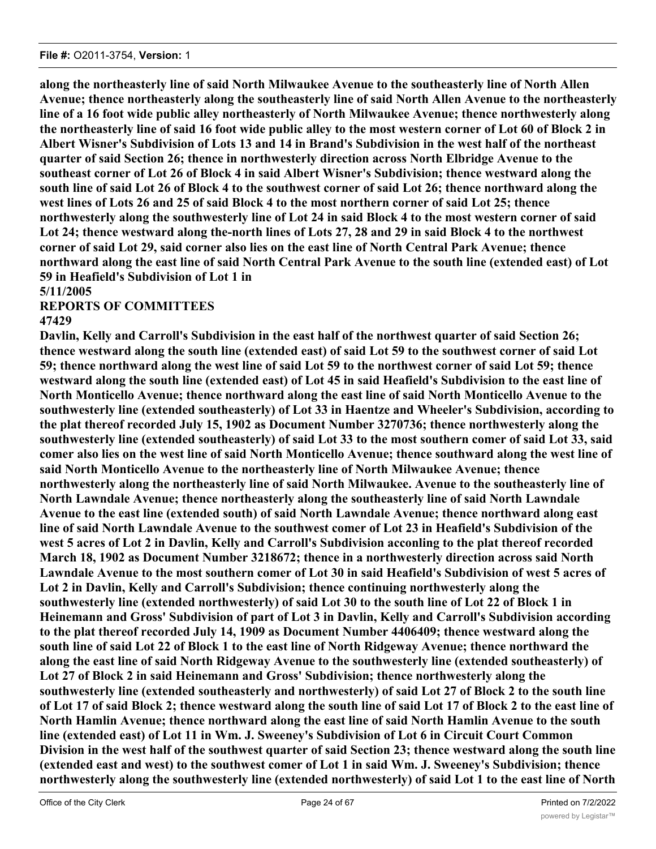**along the northeasterly line of said North Milwaukee Avenue to the southeasterly line of North Allen Avenue; thence northeasterly along the southeasterly line of said North Allen Avenue to the northeasterly line of a 16 foot wide public alley northeasterly of North Milwaukee Avenue; thence northwesterly along the northeasterly line of said 16 foot wide public alley to the most western corner of Lot 60 of Block 2 in Albert Wisner's Subdivision of Lots 13 and 14 in Brand's Subdivision in the west half of the northeast quarter of said Section 26; thence in northwesterly direction across North Elbridge Avenue to the southeast corner of Lot 26 of Block 4 in said Albert Wisner's Subdivision; thence westward along the south line of said Lot 26 of Block 4 to the southwest corner of said Lot 26; thence northward along the west lines of Lots 26 and 25 of said Block 4 to the most northern corner of said Lot 25; thence northwesterly along the southwesterly line of Lot 24 in said Block 4 to the most western corner of said Lot 24; thence westward along the-north lines of Lots 27, 28 and 29 in said Block 4 to the northwest corner of said Lot 29, said corner also lies on the east line of North Central Park Avenue; thence northward along the east line of said North Central Park Avenue to the south line (extended east) of Lot 59 in Heafield's Subdivision of Lot 1 in**

**5/11/2005**

# **REPORTS OF COMMITTEES**

# **47429**

**Davlin, Kelly and Carroll's Subdivision in the east half of the northwest quarter of said Section 26; thence westward along the south line (extended east) of said Lot 59 to the southwest corner of said Lot 59; thence northward along the west line of said Lot 59 to the northwest corner of said Lot 59; thence westward along the south line (extended east) of Lot 45 in said Heafield's Subdivision to the east line of North Monticello Avenue; thence northward along the east line of said North Monticello Avenue to the southwesterly line (extended southeasterly) of Lot 33 in Haentze and Wheeler's Subdivision, according to the plat thereof recorded July 15, 1902 as Document Number 3270736; thence northwesterly along the southwesterly line (extended southeasterly) of said Lot 33 to the most southern comer of said Lot 33, said comer also lies on the west line of said North Monticello Avenue; thence southward along the west line of said North Monticello Avenue to the northeasterly line of North Milwaukee Avenue; thence northwesterly along the northeasterly line of said North Milwaukee. Avenue to the southeasterly line of North Lawndale Avenue; thence northeasterly along the southeasterly line of said North Lawndale Avenue to the east line (extended south) of said North Lawndale Avenue; thence northward along east line of said North Lawndale Avenue to the southwest comer of Lot 23 in Heafield's Subdivision of the west 5 acres of Lot 2 in Davlin, Kelly and Carroll's Subdivision acconling to the plat thereof recorded March 18, 1902 as Document Number 3218672; thence in a northwesterly direction across said North Lawndale Avenue to the most southern comer of Lot 30 in said Heafield's Subdivision of west 5 acres of Lot 2 in Davlin, Kelly and Carroll's Subdivision; thence continuing northwesterly along the southwesterly line (extended northwesterly) of said Lot 30 to the south line of Lot 22 of Block 1 in Heinemann and Gross' Subdivision of part of Lot 3 in Davlin, Kelly and Carroll's Subdivision according to the plat thereof recorded July 14, 1909 as Document Number 4406409; thence westward along the south line of said Lot 22 of Block 1 to the east line of North Ridgeway Avenue; thence northward the along the east line of said North Ridgeway Avenue to the southwesterly line (extended southeasterly) of Lot 27 of Block 2 in said Heinemann and Gross' Subdivision; thence northwesterly along the southwesterly line (extended southeasterly and northwesterly) of said Lot 27 of Block 2 to the south line of Lot 17 of said Block 2; thence westward along the south line of said Lot 17 of Block 2 to the east line of North Hamlin Avenue; thence northward along the east line of said North Hamlin Avenue to the south line (extended east) of Lot 11 in Wm. J. Sweeney's Subdivision of Lot 6 in Circuit Court Common Division in the west half of the southwest quarter of said Section 23; thence westward along the south line (extended east and west) to the southwest comer of Lot 1 in said Wm. J. Sweeney's Subdivision; thence northwesterly along the southwesterly line (extended northwesterly) of said Lot 1 to the east line of North**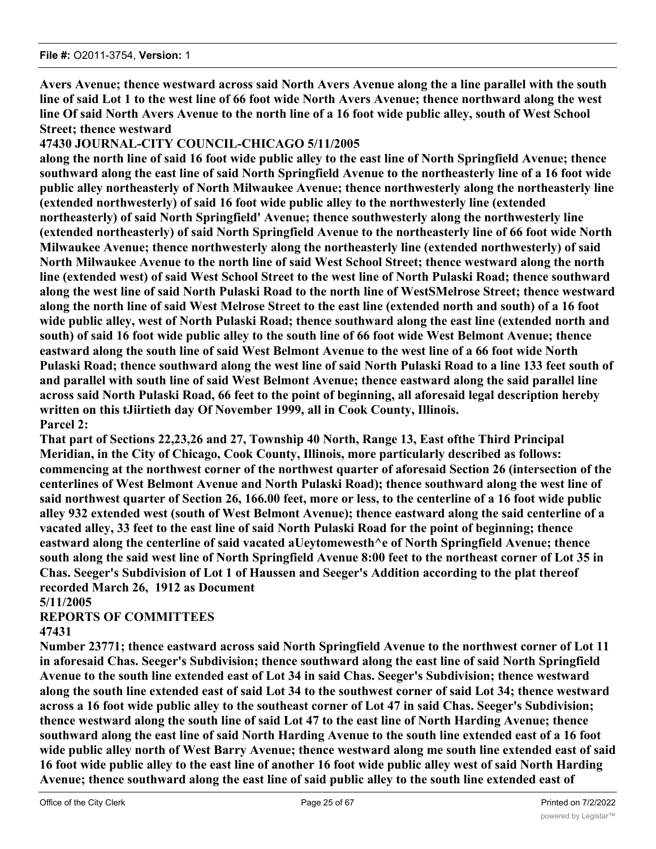**Avers Avenue; thence westward across said North Avers Avenue along the a line parallel with the south line of said Lot 1 to the west line of 66 foot wide North Avers Avenue; thence northward along the west line Of said North Avers Avenue to the north line of a 16 foot wide public alley, south of West School Street; thence westward**

# **47430 JOURNAL-CITY COUNCIL-CHICAGO 5/11/2005**

**along the north line of said 16 foot wide public alley to the east line of North Springfield Avenue; thence southward along the east line of said North Springfield Avenue to the northeasterly line of a 16 foot wide public alley northeasterly of North Milwaukee Avenue; thence northwesterly along the northeasterly line (extended northwesterly) of said 16 foot wide public alley to the northwesterly line (extended northeasterly) of said North Springfield' Avenue; thence southwesterly along the northwesterly line (extended northeasterly) of said North Springfield Avenue to the northeasterly line of 66 foot wide North Milwaukee Avenue; thence northwesterly along the northeasterly line (extended northwesterly) of said North Milwaukee Avenue to the north line of said West School Street; thence westward along the north line (extended west) of said West School Street to the west line of North Pulaski Road; thence southward along the west line of said North Pulaski Road to the north line of WestSMelrose Street; thence westward along the north line of said West Melrose Street to the east line (extended north and south) of a 16 foot wide public alley, west of North Pulaski Road; thence southward along the east line (extended north and south) of said 16 foot wide public alley to the south line of 66 foot wide West Belmont Avenue; thence eastward along the south line of said West Belmont Avenue to the west line of a 66 foot wide North Pulaski Road; thence southward along the west line of said North Pulaski Road to a line 133 feet south of and parallel with south line of said West Belmont Avenue; thence eastward along the said parallel line across said North Pulaski Road, 66 feet to the point of beginning, all aforesaid legal description hereby written on this tJiirtieth day Of November 1999, all in Cook County, Illinois. Parcel 2:**

**That part of Sections 22,23,26 and 27, Township 40 North, Range 13, East ofthe Third Principal Meridian, in the City of Chicago, Cook County, Illinois, more particularly described as follows: commencing at the northwest corner of the northwest quarter of aforesaid Section 26 (intersection of the centerlines of West Belmont Avenue and North Pulaski Road); thence southward along the west line of said northwest quarter of Section 26, 166.00 feet, more or less, to the centerline of a 16 foot wide public alley 932 extended west (south of West Belmont Avenue); thence eastward along the said centerline of a vacated alley, 33 feet to the east line of said North Pulaski Road for the point of beginning; thence eastward along the centerline of said vacated aUeytomewesth^e of North Springfield Avenue; thence south along the said west line of North Springfield Avenue 8:00 feet to the northeast corner of Lot 35 in Chas. Seeger's Subdivision of Lot 1 of Haussen and Seeger's Addition according to the plat thereof recorded March 26, 1912 as Document**

# **5/11/2005**

# **REPORTS OF COMMITTEES**

# **47431**

**Number 23771; thence eastward across said North Springfield Avenue to the northwest corner of Lot 11 in aforesaid Chas. Seeger's Subdivision; thence southward along the east line of said North Springfield Avenue to the south line extended east of Lot 34 in said Chas. Seeger's Subdivision; thence westward along the south line extended east of said Lot 34 to the southwest corner of said Lot 34; thence westward across a 16 foot wide public alley to the southeast corner of Lot 47 in said Chas. Seeger's Subdivision; thence westward along the south line of said Lot 47 to the east line of North Harding Avenue; thence southward along the east line of said North Harding Avenue to the south line extended east of a 16 foot wide public alley north of West Barry Avenue; thence westward along me south line extended east of said 16 foot wide public alley to the east line of another 16 foot wide public alley west of said North Harding Avenue; thence southward along the east line of said public alley to the south line extended east of**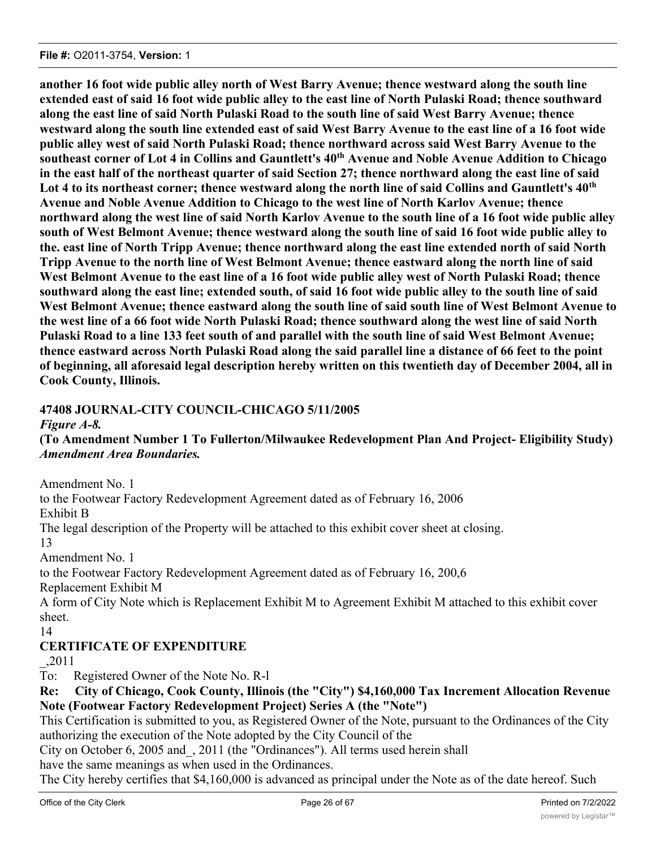**another 16 foot wide public alley north of West Barry Avenue; thence westward along the south line extended east of said 16 foot wide public alley to the east line of North Pulaski Road; thence southward along the east line of said North Pulaski Road to the south line of said West Barry Avenue; thence westward along the south line extended east of said West Barry Avenue to the east line of a 16 foot wide public alley west of said North Pulaski Road; thence northward across said West Barry Avenue to the southeast corner of Lot 4 in Collins and Gauntlett's 40th Avenue and Noble Avenue Addition to Chicago in the east half of the northeast quarter of said Section 27; thence northward along the east line of said Lot 4 to its northeast corner; thence westward along the north line of said Collins and Gauntlett's 40th Avenue and Noble Avenue Addition to Chicago to the west line of North Karlov Avenue; thence northward along the west line of said North Karlov Avenue to the south line of a 16 foot wide public alley south of West Belmont Avenue; thence westward along the south line of said 16 foot wide public alley to the. east line of North Tripp Avenue; thence northward along the east line extended north of said North Tripp Avenue to the north line of West Belmont Avenue; thence eastward along the north line of said West Belmont Avenue to the east line of a 16 foot wide public alley west of North Pulaski Road; thence southward along the east line; extended south, of said 16 foot wide public alley to the south line of said West Belmont Avenue; thence eastward along the south line of said south line of West Belmont Avenue to the west line of a 66 foot wide North Pulaski Road; thence southward along the west line of said North Pulaski Road to a line 133 feet south of and parallel with the south line of said West Belmont Avenue; thence eastward across North Pulaski Road along the said parallel line a distance of 66 feet to the point of beginning, all aforesaid legal description hereby written on this twentieth day of December 2004, all in Cook County, Illinois.**

# **47408 JOURNAL-CITY COUNCIL-CHICAGO 5/11/2005**

*Figure A-8.*

# **(To Amendment Number 1 To Fullerton/Milwaukee Redevelopment Plan And Project- Eligibility Study)** *Amendment Area Boundaries.*

Amendment No. 1

to the Footwear Factory Redevelopment Agreement dated as of February 16, 2006

Exhibit B

The legal description of the Property will be attached to this exhibit cover sheet at closing. 13

Amendment No. 1

to the Footwear Factory Redevelopment Agreement dated as of February 16, 200,6

Replacement Exhibit M

A form of City Note which is Replacement Exhibit M to Agreement Exhibit M attached to this exhibit cover sheet.

14

# **CERTIFICATE OF EXPENDITURE**

\_,2011

To: Registered Owner of the Note No. R-l

**Re: City of Chicago, Cook County, Illinois (the "City") \$4,160,000 Tax Increment Allocation Revenue Note (Footwear Factory Redevelopment Project) Series A (the "Note")**

This Certification is submitted to you, as Registered Owner of the Note, pursuant to the Ordinances of the City authorizing the execution of the Note adopted by the City Council of the

City on October 6, 2005 and\_, 2011 (the "Ordinances"). All terms used herein shall

have the same meanings as when used in the Ordinances.

The City hereby certifies that \$4,160,000 is advanced as principal under the Note as of the date hereof. Such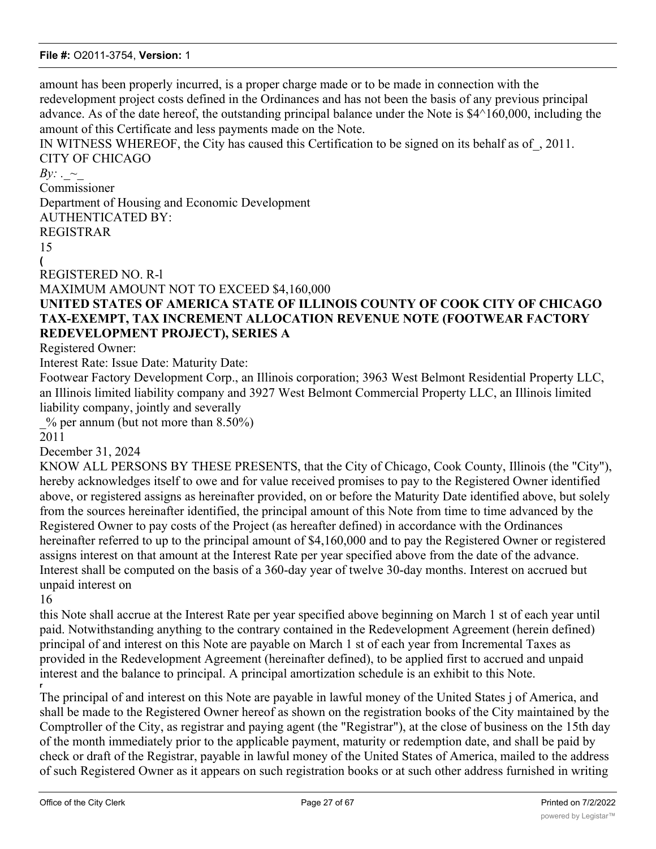amount has been properly incurred, is a proper charge made or to be made in connection with the redevelopment project costs defined in the Ordinances and has not been the basis of any previous principal advance. As of the date hereof, the outstanding principal balance under the Note is \$4^160,000, including the amount of this Certificate and less payments made on the Note.

IN WITNESS WHEREOF, the City has caused this Certification to be signed on its behalf as of\_, 2011. CITY OF CHICAGO

#### *By:* .  $\sim$

Commissioner

Department of Housing and Economic Development

AUTHENTICATED BY: REGISTRAR

15 **(**

REGISTERED NO. R-l

MAXIMUM AMOUNT NOT TO EXCEED \$4,160,000

# **UNITED STATES OF AMERICA STATE OF ILLINOIS COUNTY OF COOK CITY OF CHICAGO TAX-EXEMPT, TAX INCREMENT ALLOCATION REVENUE NOTE (FOOTWEAR FACTORY REDEVELOPMENT PROJECT), SERIES A**

Registered Owner:

Interest Rate: Issue Date: Maturity Date:

Footwear Factory Development Corp., an Illinois corporation; 3963 West Belmont Residential Property LLC, an Illinois limited liability company and 3927 West Belmont Commercial Property LLC, an Illinois limited liability company, jointly and severally

 $\%$  per annum (but not more than 8.50%)

2011

December 31, 2024

KNOW ALL PERSONS BY THESE PRESENTS, that the City of Chicago, Cook County, Illinois (the "City"), hereby acknowledges itself to owe and for value received promises to pay to the Registered Owner identified above, or registered assigns as hereinafter provided, on or before the Maturity Date identified above, but solely from the sources hereinafter identified, the principal amount of this Note from time to time advanced by the Registered Owner to pay costs of the Project (as hereafter defined) in accordance with the Ordinances hereinafter referred to up to the principal amount of \$4,160,000 and to pay the Registered Owner or registered assigns interest on that amount at the Interest Rate per year specified above from the date of the advance. Interest shall be computed on the basis of a 360-day year of twelve 30-day months. Interest on accrued but unpaid interest on

16

this Note shall accrue at the Interest Rate per year specified above beginning on March 1 st of each year until paid. Notwithstanding anything to the contrary contained in the Redevelopment Agreement (herein defined) principal of and interest on this Note are payable on March 1 st of each year from Incremental Taxes as provided in the Redevelopment Agreement (hereinafter defined), to be applied first to accrued and unpaid interest and the balance to principal. A principal amortization schedule is an exhibit to this Note. **r**

The principal of and interest on this Note are payable in lawful money of the United States j of America, and shall be made to the Registered Owner hereof as shown on the registration books of the City maintained by the Comptroller of the City, as registrar and paying agent (the "Registrar"), at the close of business on the 15th day of the month immediately prior to the applicable payment, maturity or redemption date, and shall be paid by check or draft of the Registrar, payable in lawful money of the United States of America, mailed to the address of such Registered Owner as it appears on such registration books or at such other address furnished in writing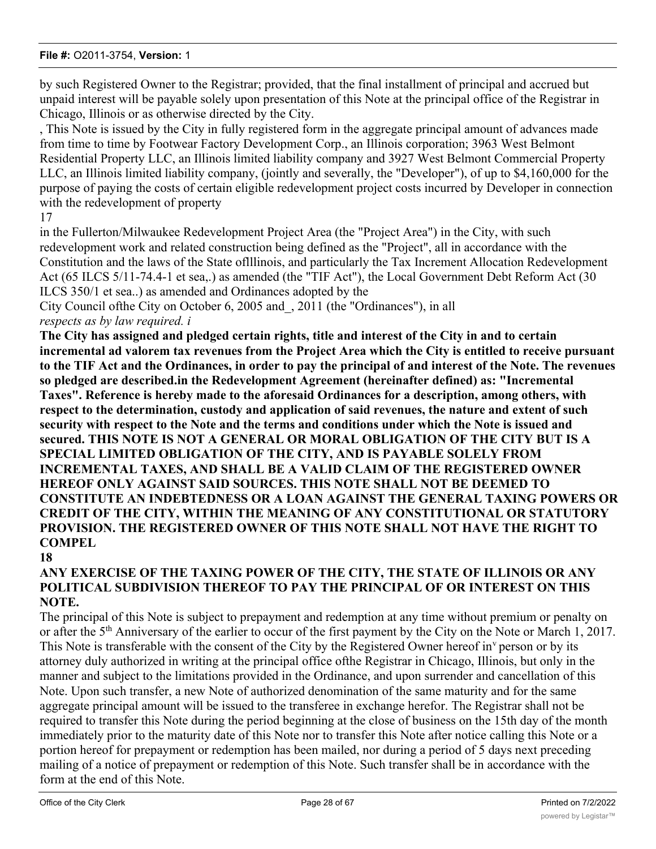by such Registered Owner to the Registrar; provided, that the final installment of principal and accrued but unpaid interest will be payable solely upon presentation of this Note at the principal office of the Registrar in Chicago, Illinois or as otherwise directed by the City.

, This Note is issued by the City in fully registered form in the aggregate principal amount of advances made from time to time by Footwear Factory Development Corp., an Illinois corporation; 3963 West Belmont Residential Property LLC, an Illinois limited liability company and 3927 West Belmont Commercial Property LLC, an Illinois limited liability company, (jointly and severally, the "Developer"), of up to \$4,160,000 for the purpose of paying the costs of certain eligible redevelopment project costs incurred by Developer in connection with the redevelopment of property

#### 17

in the Fullerton/Milwaukee Redevelopment Project Area (the "Project Area") in the City, with such redevelopment work and related construction being defined as the "Project", all in accordance with the Constitution and the laws of the State oflllinois, and particularly the Tax Increment Allocation Redevelopment Act (65 ILCS 5/11-74.4-1 et sea,.) as amended (the "TIF Act"), the Local Government Debt Reform Act (30 ILCS 350/1 et sea..) as amended and Ordinances adopted by the

City Council ofthe City on October 6, 2005 and\_, 2011 (the "Ordinances"), in all *respects as by law required. i*

**The City has assigned and pledged certain rights, title and interest of the City in and to certain incremental ad valorem tax revenues from the Project Area which the City is entitled to receive pursuant to the TIF Act and the Ordinances, in order to pay the principal of and interest of the Note. The revenues so pledged are described.in the Redevelopment Agreement (hereinafter defined) as: "Incremental Taxes". Reference is hereby made to the aforesaid Ordinances for a description, among others, with respect to the determination, custody and application of said revenues, the nature and extent of such security with respect to the Note and the terms and conditions under which the Note is issued and secured. THIS NOTE IS NOT A GENERAL OR MORAL OBLIGATION OF THE CITY BUT IS A SPECIAL LIMITED OBLIGATION OF THE CITY, AND IS PAYABLE SOLELY FROM INCREMENTAL TAXES, AND SHALL BE A VALID CLAIM OF THE REGISTERED OWNER HEREOF ONLY AGAINST SAID SOURCES. THIS NOTE SHALL NOT BE DEEMED TO CONSTITUTE AN INDEBTEDNESS OR A LOAN AGAINST THE GENERAL TAXING POWERS OR CREDIT OF THE CITY, WITHIN THE MEANING OF ANY CONSTITUTIONAL OR STATUTORY PROVISION. THE REGISTERED OWNER OF THIS NOTE SHALL NOT HAVE THE RIGHT TO COMPEL**

#### **18**

# **ANY EXERCISE OF THE TAXING POWER OF THE CITY, THE STATE OF ILLINOIS OR ANY POLITICAL SUBDIVISION THEREOF TO PAY THE PRINCIPAL OF OR INTEREST ON THIS NOTE.**

The principal of this Note is subject to prepayment and redemption at any time without premium or penalty on or after the 5<sup>th</sup> Anniversary of the earlier to occur of the first payment by the City on the Note or March 1, 2017. This Note is transferable with the consent of the City by the Registered Owner hereof in<sup>v</sup> person or by its attorney duly authorized in writing at the principal office ofthe Registrar in Chicago, Illinois, but only in the manner and subject to the limitations provided in the Ordinance, and upon surrender and cancellation of this Note. Upon such transfer, a new Note of authorized denomination of the same maturity and for the same aggregate principal amount will be issued to the transferee in exchange herefor. The Registrar shall not be required to transfer this Note during the period beginning at the close of business on the 15th day of the month immediately prior to the maturity date of this Note nor to transfer this Note after notice calling this Note or a portion hereof for prepayment or redemption has been mailed, nor during a period of 5 days next preceding mailing of a notice of prepayment or redemption of this Note. Such transfer shall be in accordance with the form at the end of this Note.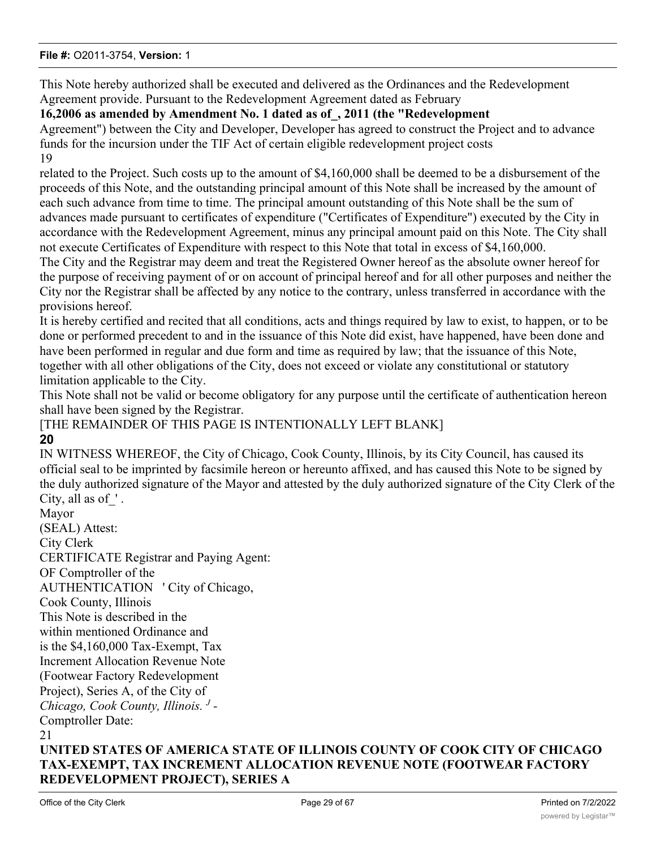This Note hereby authorized shall be executed and delivered as the Ordinances and the Redevelopment Agreement provide. Pursuant to the Redevelopment Agreement dated as February

# **16,2006 as amended by Amendment No. 1 dated as of\_, 2011 (the "Redevelopment**

Agreement") between the City and Developer, Developer has agreed to construct the Project and to advance funds for the incursion under the TIF Act of certain eligible redevelopment project costs 19

related to the Project. Such costs up to the amount of \$4,160,000 shall be deemed to be a disbursement of the proceeds of this Note, and the outstanding principal amount of this Note shall be increased by the amount of each such advance from time to time. The principal amount outstanding of this Note shall be the sum of advances made pursuant to certificates of expenditure ("Certificates of Expenditure") executed by the City in accordance with the Redevelopment Agreement, minus any principal amount paid on this Note. The City shall not execute Certificates of Expenditure with respect to this Note that total in excess of \$4,160,000.

The City and the Registrar may deem and treat the Registered Owner hereof as the absolute owner hereof for the purpose of receiving payment of or on account of principal hereof and for all other purposes and neither the City nor the Registrar shall be affected by any notice to the contrary, unless transferred in accordance with the provisions hereof.

It is hereby certified and recited that all conditions, acts and things required by law to exist, to happen, or to be done or performed precedent to and in the issuance of this Note did exist, have happened, have been done and have been performed in regular and due form and time as required by law; that the issuance of this Note, together with all other obligations of the City, does not exceed or violate any constitutional or statutory limitation applicable to the City.

This Note shall not be valid or become obligatory for any purpose until the certificate of authentication hereon shall have been signed by the Registrar.

# [THE REMAINDER OF THIS PAGE IS INTENTIONALLY LEFT BLANK] **20**

IN WITNESS WHEREOF, the City of Chicago, Cook County, Illinois, by its City Council, has caused its official seal to be imprinted by facsimile hereon or hereunto affixed, and has caused this Note to be signed by the duly authorized signature of the Mayor and attested by the duly authorized signature of the City Clerk of the City, all as of  $\cdot$ .

Mayor (SEAL) Attest: City Clerk CERTIFICATE Registrar and Paying Agent: OF Comptroller of the AUTHENTICATION ' City of Chicago, Cook County, Illinois This Note is described in the within mentioned Ordinance and is the \$4,160,000 Tax-Exempt, Tax Increment Allocation Revenue Note (Footwear Factory Redevelopment Project), Series A, of the City of *Chicago, Cook County, Illinois. <sup>J</sup> -* Comptroller Date: 21

# **UNITED STATES OF AMERICA STATE OF ILLINOIS COUNTY OF COOK CITY OF CHICAGO TAX-EXEMPT, TAX INCREMENT ALLOCATION REVENUE NOTE (FOOTWEAR FACTORY REDEVELOPMENT PROJECT), SERIES A**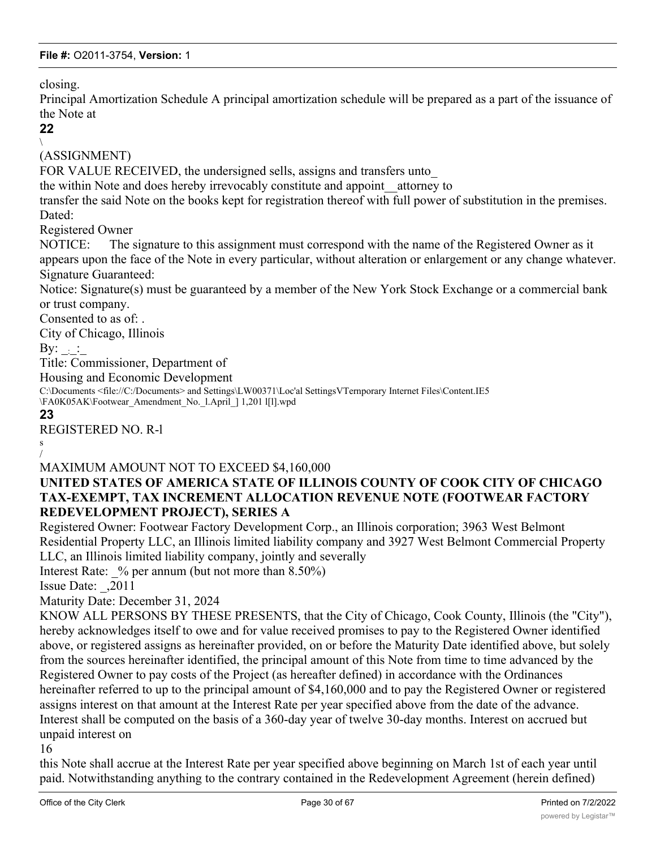closing.

Principal Amortization Schedule A principal amortization schedule will be prepared as a part of the issuance of the Note at

#### **22**  $\setminus$

(ASSIGNMENT)

FOR VALUE RECEIVED, the undersigned sells, assigns and transfers unto

the within Note and does hereby irrevocably constitute and appoint\_\_attorney to

transfer the said Note on the books kept for registration thereof with full power of substitution in the premises. Dated:

Registered Owner

NOTICE: The signature to this assignment must correspond with the name of the Registered Owner as it appears upon the face of the Note in every particular, without alteration or enlargement or any change whatever. Signature Guaranteed:

Notice: Signature(s) must be guaranteed by a member of the New York Stock Exchange or a commercial bank or trust company.

Consented to as of: .

City of Chicago, Illinois

By:  $\cdot$  :

Title: Commissioner, Department of

Housing and Economic Development

C:\Documents <file://C:/Documents> and Settings\LW00371\Loc'al SettingsVTernporary Internet Files\Content.IE5 \FA0K05AK\Footwear\_Amendment\_No.\_l.April\_] 1,201 l[l].wpd

**23**

REGISTERED NO. R-l

s /

# MAXIMUM AMOUNT NOT TO EXCEED \$4,160,000

# **UNITED STATES OF AMERICA STATE OF ILLINOIS COUNTY OF COOK CITY OF CHICAGO TAX-EXEMPT, TAX INCREMENT ALLOCATION REVENUE NOTE (FOOTWEAR FACTORY REDEVELOPMENT PROJECT), SERIES A**

Registered Owner: Footwear Factory Development Corp., an Illinois corporation; 3963 West Belmont Residential Property LLC, an Illinois limited liability company and 3927 West Belmont Commercial Property LLC, an Illinois limited liability company, jointly and severally

Interest Rate:  $\%$  per annum (but not more than 8.50%)

Issue Date: \_,2011

Maturity Date: December 31, 2024

KNOW ALL PERSONS BY THESE PRESENTS, that the City of Chicago, Cook County, Illinois (the "City"), hereby acknowledges itself to owe and for value received promises to pay to the Registered Owner identified above, or registered assigns as hereinafter provided, on or before the Maturity Date identified above, but solely from the sources hereinafter identified, the principal amount of this Note from time to time advanced by the Registered Owner to pay costs of the Project (as hereafter defined) in accordance with the Ordinances hereinafter referred to up to the principal amount of \$4,160,000 and to pay the Registered Owner or registered assigns interest on that amount at the Interest Rate per year specified above from the date of the advance. Interest shall be computed on the basis of a 360-day year of twelve 30-day months. Interest on accrued but unpaid interest on

16

this Note shall accrue at the Interest Rate per year specified above beginning on March 1st of each year until paid. Notwithstanding anything to the contrary contained in the Redevelopment Agreement (herein defined)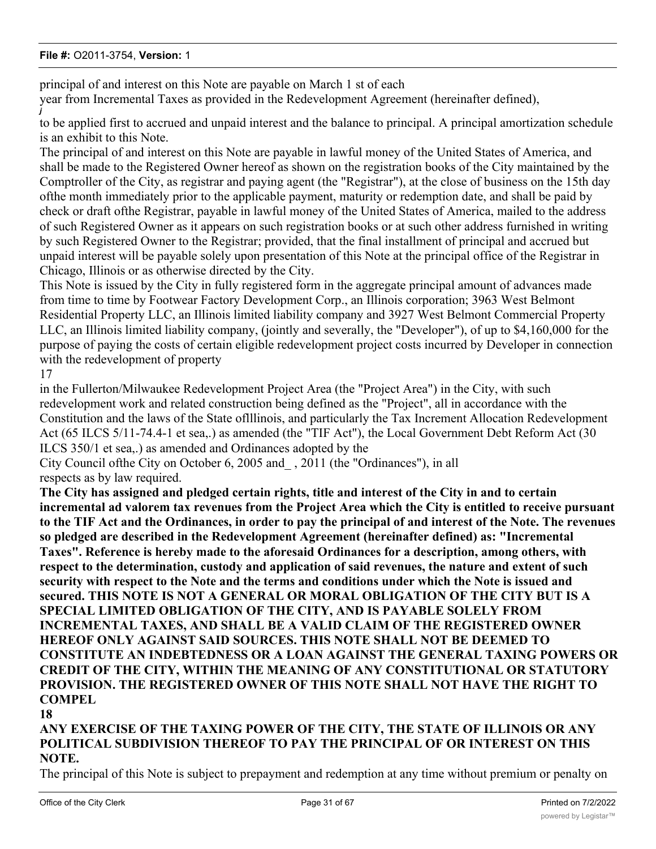principal of and interest on this Note are payable on March 1 st of each

year from Incremental Taxes as provided in the Redevelopment Agreement (hereinafter defined),

to be applied first to accrued and unpaid interest and the balance to principal. A principal amortization schedule is an exhibit to this Note.

The principal of and interest on this Note are payable in lawful money of the United States of America, and shall be made to the Registered Owner hereof as shown on the registration books of the City maintained by the Comptroller of the City, as registrar and paying agent (the "Registrar"), at the close of business on the 15th day ofthe month immediately prior to the applicable payment, maturity or redemption date, and shall be paid by check or draft ofthe Registrar, payable in lawful money of the United States of America, mailed to the address of such Registered Owner as it appears on such registration books or at such other address furnished in writing by such Registered Owner to the Registrar; provided, that the final installment of principal and accrued but unpaid interest will be payable solely upon presentation of this Note at the principal office of the Registrar in Chicago, Illinois or as otherwise directed by the City.

This Note is issued by the City in fully registered form in the aggregate principal amount of advances made from time to time by Footwear Factory Development Corp., an Illinois corporation; 3963 West Belmont Residential Property LLC, an Illinois limited liability company and 3927 West Belmont Commercial Property LLC, an Illinois limited liability company, (jointly and severally, the "Developer"), of up to \$4,160,000 for the purpose of paying the costs of certain eligible redevelopment project costs incurred by Developer in connection with the redevelopment of property

17

*j*

in the Fullerton/Milwaukee Redevelopment Project Area (the "Project Area") in the City, with such redevelopment work and related construction being defined as the "Project", all in accordance with the Constitution and the laws of the State oflllinois, and particularly the Tax Increment Allocation Redevelopment Act (65 ILCS 5/11-74.4-1 et sea,.) as amended (the "TIF Act"), the Local Government Debt Reform Act (30 ILCS 350/1 et sea,.) as amended and Ordinances adopted by the

City Council ofthe City on October 6, 2005 and\_ , 2011 (the "Ordinances"), in all respects as by law required.

**The City has assigned and pledged certain rights, title and interest of the City in and to certain incremental ad valorem tax revenues from the Project Area which the City is entitled to receive pursuant to the TIF Act and the Ordinances, in order to pay the principal of and interest of the Note. The revenues so pledged are described in the Redevelopment Agreement (hereinafter defined) as: "Incremental Taxes". Reference is hereby made to the aforesaid Ordinances for a description, among others, with respect to the determination, custody and application of said revenues, the nature and extent of such security with respect to the Note and the terms and conditions under which the Note is issued and secured. THIS NOTE IS NOT A GENERAL OR MORAL OBLIGATION OF THE CITY BUT IS A SPECIAL LIMITED OBLIGATION OF THE CITY, AND IS PAYABLE SOLELY FROM INCREMENTAL TAXES, AND SHALL BE A VALID CLAIM OF THE REGISTERED OWNER HEREOF ONLY AGAINST SAID SOURCES. THIS NOTE SHALL NOT BE DEEMED TO CONSTITUTE AN INDEBTEDNESS OR A LOAN AGAINST THE GENERAL TAXING POWERS OR CREDIT OF THE CITY, WITHIN THE MEANING OF ANY CONSTITUTIONAL OR STATUTORY PROVISION. THE REGISTERED OWNER OF THIS NOTE SHALL NOT HAVE THE RIGHT TO COMPEL**

**18**

**ANY EXERCISE OF THE TAXING POWER OF THE CITY, THE STATE OF ILLINOIS OR ANY POLITICAL SUBDIVISION THEREOF TO PAY THE PRINCIPAL OF OR INTEREST ON THIS NOTE.**

The principal of this Note is subject to prepayment and redemption at any time without premium or penalty on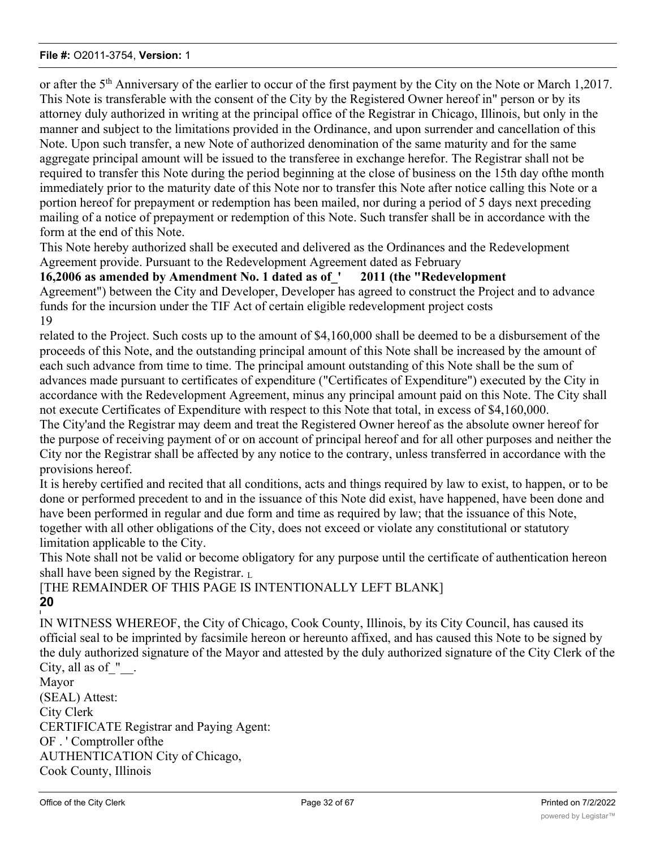or after the 5<sup>th</sup> Anniversary of the earlier to occur of the first payment by the City on the Note or March 1,2017. This Note is transferable with the consent of the City by the Registered Owner hereof in" person or by its attorney duly authorized in writing at the principal office of the Registrar in Chicago, Illinois, but only in the manner and subject to the limitations provided in the Ordinance, and upon surrender and cancellation of this Note. Upon such transfer, a new Note of authorized denomination of the same maturity and for the same aggregate principal amount will be issued to the transferee in exchange herefor. The Registrar shall not be required to transfer this Note during the period beginning at the close of business on the 15th day ofthe month immediately prior to the maturity date of this Note nor to transfer this Note after notice calling this Note or a portion hereof for prepayment or redemption has been mailed, nor during a period of 5 days next preceding mailing of a notice of prepayment or redemption of this Note. Such transfer shall be in accordance with the form at the end of this Note.

This Note hereby authorized shall be executed and delivered as the Ordinances and the Redevelopment Agreement provide. Pursuant to the Redevelopment Agreement dated as February

# **16,2006 as amended by Amendment No. 1 dated as of\_' 2011 (the "Redevelopment**

Agreement") between the City and Developer, Developer has agreed to construct the Project and to advance funds for the incursion under the TIF Act of certain eligible redevelopment project costs 19

related to the Project. Such costs up to the amount of \$4,160,000 shall be deemed to be a disbursement of the proceeds of this Note, and the outstanding principal amount of this Note shall be increased by the amount of each such advance from time to time. The principal amount outstanding of this Note shall be the sum of advances made pursuant to certificates of expenditure ("Certificates of Expenditure") executed by the City in accordance with the Redevelopment Agreement, minus any principal amount paid on this Note. The City shall not execute Certificates of Expenditure with respect to this Note that total, in excess of \$4,160,000.

The City'and the Registrar may deem and treat the Registered Owner hereof as the absolute owner hereof for the purpose of receiving payment of or on account of principal hereof and for all other purposes and neither the City nor the Registrar shall be affected by any notice to the contrary, unless transferred in accordance with the provisions hereof.

It is hereby certified and recited that all conditions, acts and things required by law to exist, to happen, or to be done or performed precedent to and in the issuance of this Note did exist, have happened, have been done and have been performed in regular and due form and time as required by law; that the issuance of this Note, together with all other obligations of the City, does not exceed or violate any constitutional or statutory limitation applicable to the City.

This Note shall not be valid or become obligatory for any purpose until the certificate of authentication hereon shall have been signed by the Registrar.  $L_1$ 

#### [THE REMAINDER OF THIS PAGE IS INTENTIONALLY LEFT BLANK] **20 I**

IN WITNESS WHEREOF, the City of Chicago, Cook County, Illinois, by its City Council, has caused its official seal to be imprinted by facsimile hereon or hereunto affixed, and has caused this Note to be signed by the duly authorized signature of the Mayor and attested by the duly authorized signature of the City Clerk of the City, all as of ".

Mayor (SEAL) Attest: City Clerk CERTIFICATE Registrar and Paying Agent: OF . ' Comptroller ofthe AUTHENTICATION City of Chicago, Cook County, Illinois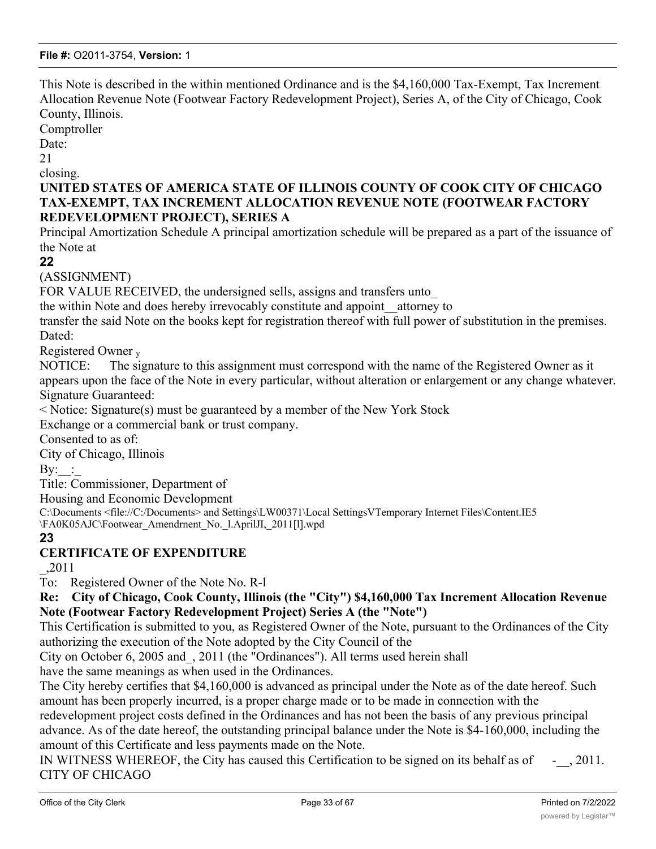This Note is described in the within mentioned Ordinance and is the \$4,160,000 Tax-Exempt, Tax Increment Allocation Revenue Note (Footwear Factory Redevelopment Project), Series A, of the City of Chicago, Cook County, Illinois.

Comptroller

Date:

21

closing.

# **UNITED STATES OF AMERICA STATE OF ILLINOIS COUNTY OF COOK CITY OF CHICAGO TAX-EXEMPT, TAX INCREMENT ALLOCATION REVENUE NOTE (FOOTWEAR FACTORY REDEVELOPMENT PROJECT), SERIES A**

Principal Amortization Schedule A principal amortization schedule will be prepared as a part of the issuance of the Note at

**22**

(ASSIGNMENT)

FOR VALUE RECEIVED, the undersigned sells, assigns and transfers unto

the within Note and does hereby irrevocably constitute and appoint\_\_attorney to

transfer the said Note on the books kept for registration thereof with full power of substitution in the premises. Dated:

Registered Owner <sup>y</sup>

NOTICE: The signature to this assignment must correspond with the name of the Registered Owner as it appears upon the face of the Note in every particular, without alteration or enlargement or any change whatever. Signature Guaranteed:

< Notice: Signature(s) must be guaranteed by a member of the New York Stock

Exchange or a commercial bank or trust company.

Consented to as of:

City of Chicago, Illinois

 $\mathrm{By:}\quad$ :

Title: Commissioner, Department of

Housing and Economic Development

C:\Documents <file://C:/Documents> and Settings\LW00371\Local SettingsVTemporary Internet Files\Content.IE5 \FA0K05AJC\Footwear\_Amendrnent\_No.\_l.AprilJI,\_2011[l].wpd

**23**

# **CERTIFICATE OF EXPENDITURE**

\_,2011

To: Registered Owner of the Note No. R-l

**Re: City of Chicago, Cook County, Illinois (the "City") \$4,160,000 Tax Increment Allocation Revenue Note (Footwear Factory Redevelopment Project) Series A (the "Note")**

This Certification is submitted to you, as Registered Owner of the Note, pursuant to the Ordinances of the City authorizing the execution of the Note adopted by the City Council of the

City on October 6, 2005 and\_, 2011 (the "Ordinances"). All terms used herein shall

have the same meanings as when used in the Ordinances.

The City hereby certifies that \$4,160,000 is advanced as principal under the Note as of the date hereof. Such amount has been properly incurred, is a proper charge made or to be made in connection with the

redevelopment project costs defined in the Ordinances and has not been the basis of any previous principal advance. As of the date hereof, the outstanding principal balance under the Note is \$4-160,000, including the amount of this Certificate and less payments made on the Note.

IN WITNESS WHEREOF, the City has caused this Certification to be signed on its behalf as of  $\sim$ , 2011. CITY OF CHICAGO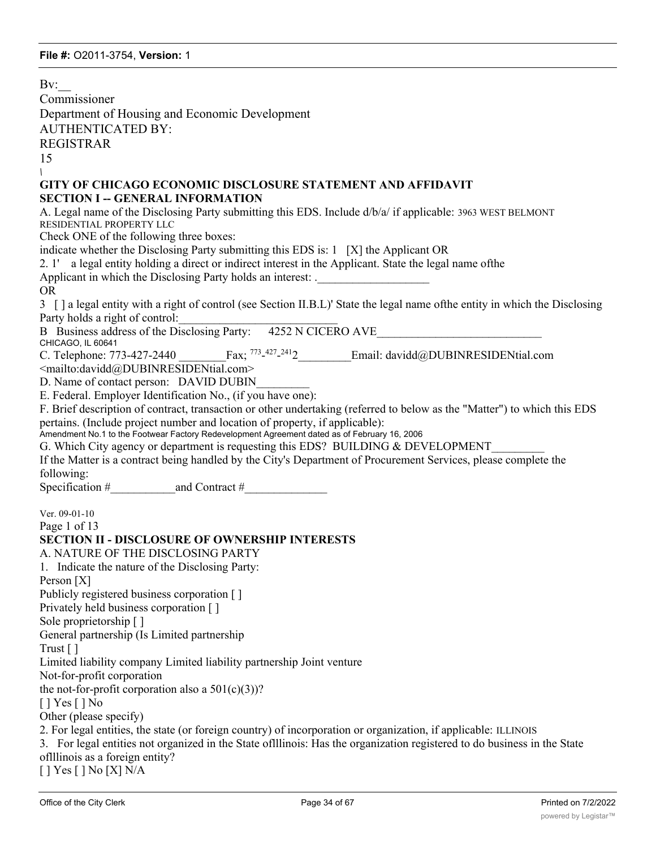Bv: Commissioner Department of Housing and Economic Development AUTHENTICATED BY: REGISTRAR 15 *\* **GITY OF CHICAGO ECONOMIC DISCLOSURE STATEMENT AND AFFIDAVIT SECTION I -- GENERAL INFORMATION** A. Legal name of the Disclosing Party submitting this EDS. Include d/b/a/ if applicable: 3963 WEST BELMONT RESIDENTIAL PROPERTY LLC Check ONE of the following three boxes: indicate whether the Disclosing Party submitting this EDS is: 1 [X] the Applicant OR 2. 1' a legal entity holding a direct or indirect interest in the Applicant. State the legal name ofthe Applicant in which the Disclosing Party holds an interest: . OR 3 [ ] a legal entity with a right of control (see Section II.B.L)' State the legal name ofthe entity in which the Disclosing Party holds a right of control: B Business address of the Disclosing Party: 4252 N CICERO AVE CHICAGO, IL 60641 C. Telephone: 773-427-2440 Fax:  $773-427-2412$ Email: davidd@DUBINRESIDENtial.com <mailto:davidd@DUBINRESIDENtial.com> D. Name of contact person: DAVID DUBIN E. Federal. Employer Identification No., (if you have one): F. Brief description of contract, transaction or other undertaking (referred to below as the "Matter") to which this EDS pertains. (Include project number and location of property, if applicable): Amendment No.1 to the Footwear Factory Redevelopment Agreement dated as of February 16, 2006 G. Which City agency or department is requesting this EDS? BUILDING & DEVELOPMENT If the Matter is a contract being handled by the City's Department of Procurement Services, please complete the following: Specification  $\#$  and Contract  $\#$ Ver. 09-01-10 Page 1 of 13 **SECTION II - DISCLOSURE OF OWNERSHIP INTERESTS** A. NATURE OF THE DISCLOSING PARTY 1. Indicate the nature of the Disclosing Party: Person [X] Publicly registered business corporation [ ] Privately held business corporation [ ] Sole proprietorship [ ] General partnership (Is Limited partnership Trust [ ] Limited liability company Limited liability partnership Joint venture Not-for-profit corporation the not-for-profit corporation also a  $501(c)(3)$ ? [ ] Yes [ ] No Other (please specify) 2. For legal entities, the state (or foreign country) of incorporation or organization, if applicable: ILLINOIS 3. For legal entities not organized in the State oflllinois: Has the organization registered to do business in the State oflllinois as a foreign entity? [ ] Yes [ ] No [X] N/A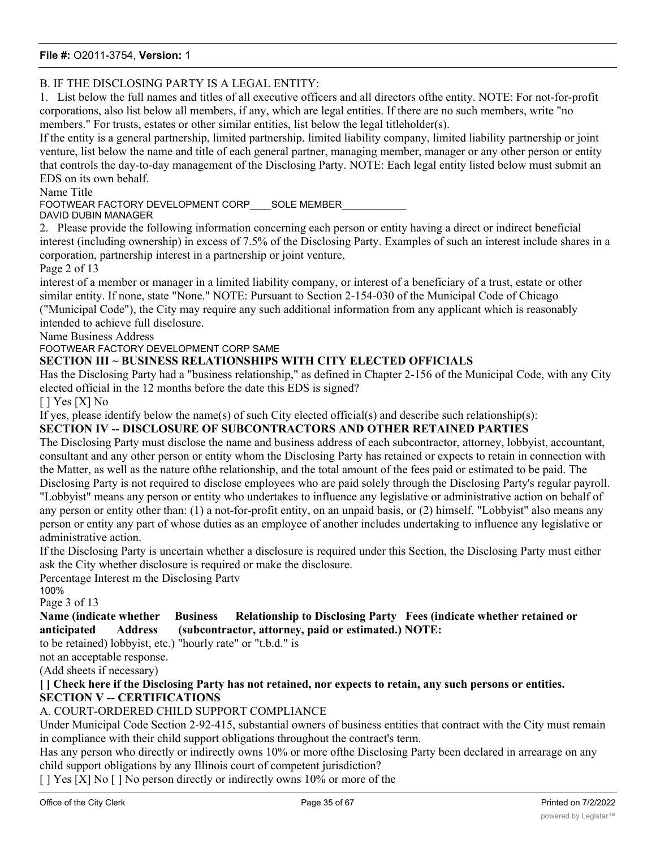# B. IF THE DISCLOSING PARTY IS A LEGAL ENTITY:

1. List below the full names and titles of all executive officers and all directors ofthe entity. NOTE: For not-for-profit corporations, also list below all members, if any, which are legal entities. If there are no such members, write "no members." For trusts, estates or other similar entities, list below the legal titleholder(s).

If the entity is a general partnership, limited partnership, limited liability company, limited liability partnership or joint venture, list below the name and title of each general partner, managing member, manager or any other person or entity that controls the day-to-day management of the Disclosing Party. NOTE: Each legal entity listed below must submit an EDS on its own behalf.

Name Title

FOOTWEAR FACTORY DEVELOPMENT CORP SOLE MEMBER

DAVID DUBIN MANAGER

2. Please provide the following information concerning each person or entity having a direct or indirect beneficial interest (including ownership) in excess of 7.5% of the Disclosing Party. Examples of such an interest include shares in a corporation, partnership interest in a partnership or joint venture,

Page 2 of 13

interest of a member or manager in a limited liability company, or interest of a beneficiary of a trust, estate or other similar entity. If none, state "None." NOTE: Pursuant to Section 2-154-030 of the Municipal Code of Chicago ("Municipal Code"), the City may require any such additional information from any applicant which is reasonably intended to achieve full disclosure.

Name Business Address

FOOTWEAR FACTORY DEVELOPMENT CORP SAME

#### **SECTION III ~ BUSINESS RELATIONSHIPS WITH CITY ELECTED OFFICIALS**

Has the Disclosing Party had a "business relationship," as defined in Chapter 2-156 of the Municipal Code, with any City elected official in the 12 months before the date this EDS is signed?

[ ] Yes [X] No

If yes, please identify below the name(s) of such City elected official(s) and describe such relationship(s):

#### **SECTION IV -- DISCLOSURE OF SUBCONTRACTORS AND OTHER RETAINED PARTIES**

The Disclosing Party must disclose the name and business address of each subcontractor, attorney, lobbyist, accountant, consultant and any other person or entity whom the Disclosing Party has retained or expects to retain in connection with the Matter, as well as the nature ofthe relationship, and the total amount of the fees paid or estimated to be paid. The Disclosing Party is not required to disclose employees who are paid solely through the Disclosing Party's regular payroll. "Lobbyist" means any person or entity who undertakes to influence any legislative or administrative action on behalf of any person or entity other than: (1) a not-for-profit entity, on an unpaid basis, or (2) himself. "Lobbyist" also means any person or entity any part of whose duties as an employee of another includes undertaking to influence any legislative or administrative action.

If the Disclosing Party is uncertain whether a disclosure is required under this Section, the Disclosing Party must either ask the City whether disclosure is required or make the disclosure.

Percentage Interest m the Disclosing Partv

100%

Page 3 of 13

#### **Name (indicate whether Business Relationship to Disclosing Party Fees (indicate whether retained or anticipated Address (subcontractor, attorney, paid or estimated.) NOTE:**

to be retained) lobbyist, etc.) "hourly rate" or "t.b.d." is

not an acceptable response.

(Add sheets if necessary)

**[ ] Check here if the Disclosing Party has not retained, nor expects to retain, any such persons or entities. SECTION V -- CERTIFICATIONS**

#### A. COURT-ORDERED CHILD SUPPORT COMPLIANCE

Under Municipal Code Section 2-92-415, substantial owners of business entities that contract with the City must remain in compliance with their child support obligations throughout the contract's term.

Has any person who directly or indirectly owns 10% or more ofthe Disclosing Party been declared in arrearage on any child support obligations by any Illinois court of competent jurisdiction?

[ ] Yes [X] No [ ] No person directly or indirectly owns 10% or more of the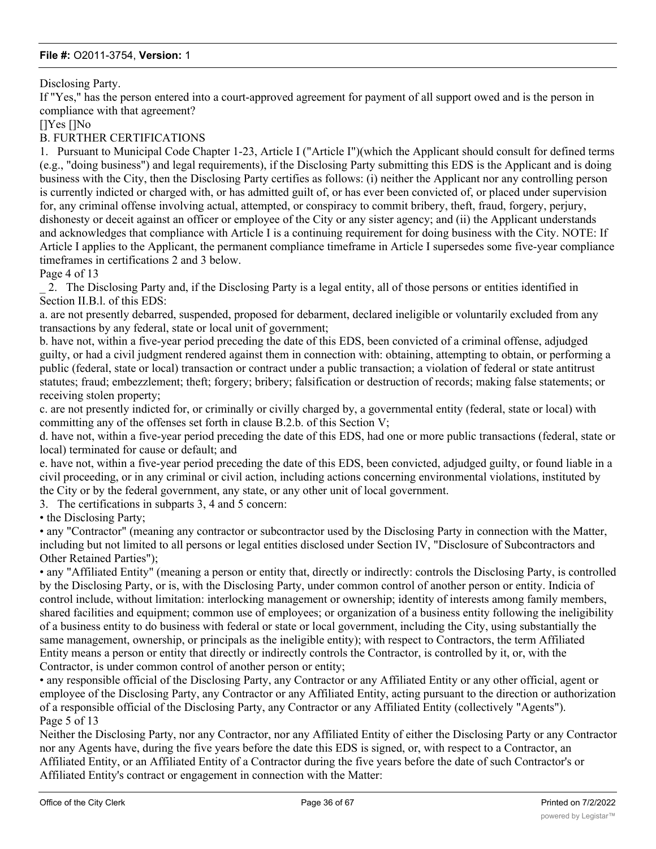#### Disclosing Party.

If "Yes," has the person entered into a court-approved agreement for payment of all support owed and is the person in compliance with that agreement?

[]Yes []No

#### B. FURTHER CERTIFICATIONS

1. Pursuant to Municipal Code Chapter 1-23, Article I ("Article I")(which the Applicant should consult for defined terms (e.g., "doing business") and legal requirements), if the Disclosing Party submitting this EDS is the Applicant and is doing business with the City, then the Disclosing Party certifies as follows: (i) neither the Applicant nor any controlling person is currently indicted or charged with, or has admitted guilt of, or has ever been convicted of, or placed under supervision for, any criminal offense involving actual, attempted, or conspiracy to commit bribery, theft, fraud, forgery, perjury, dishonesty or deceit against an officer or employee of the City or any sister agency; and (ii) the Applicant understands and acknowledges that compliance with Article I is a continuing requirement for doing business with the City. NOTE: If Article I applies to the Applicant, the permanent compliance timeframe in Article I supersedes some five-year compliance timeframes in certifications 2 and 3 below.

Page 4 of 13

\_ 2. The Disclosing Party and, if the Disclosing Party is a legal entity, all of those persons or entities identified in Section II.B.l. of this EDS:

a. are not presently debarred, suspended, proposed for debarment, declared ineligible or voluntarily excluded from any transactions by any federal, state or local unit of government;

b. have not, within a five-year period preceding the date of this EDS, been convicted of a criminal offense, adjudged guilty, or had a civil judgment rendered against them in connection with: obtaining, attempting to obtain, or performing a public (federal, state or local) transaction or contract under a public transaction; a violation of federal or state antitrust statutes; fraud; embezzlement; theft; forgery; bribery; falsification or destruction of records; making false statements; or receiving stolen property;

c. are not presently indicted for, or criminally or civilly charged by, a governmental entity (federal, state or local) with committing any of the offenses set forth in clause B.2.b. of this Section V;

d. have not, within a five-year period preceding the date of this EDS, had one or more public transactions (federal, state or local) terminated for cause or default; and

e. have not, within a five-year period preceding the date of this EDS, been convicted, adjudged guilty, or found liable in a civil proceeding, or in any criminal or civil action, including actions concerning environmental violations, instituted by the City or by the federal government, any state, or any other unit of local government.

3. The certifications in subparts 3, 4 and 5 concern:

• the Disclosing Party;

• any "Contractor" (meaning any contractor or subcontractor used by the Disclosing Party in connection with the Matter, including but not limited to all persons or legal entities disclosed under Section IV, "Disclosure of Subcontractors and Other Retained Parties");

• any "Affiliated Entity" (meaning a person or entity that, directly or indirectly: controls the Disclosing Party, is controlled by the Disclosing Party, or is, with the Disclosing Party, under common control of another person or entity. Indicia of control include, without limitation: interlocking management or ownership; identity of interests among family members, shared facilities and equipment; common use of employees; or organization of a business entity following the ineligibility of a business entity to do business with federal or state or local government, including the City, using substantially the same management, ownership, or principals as the ineligible entity); with respect to Contractors, the term Affiliated Entity means a person or entity that directly or indirectly controls the Contractor, is controlled by it, or, with the Contractor, is under common control of another person or entity;

• any responsible official of the Disclosing Party, any Contractor or any Affiliated Entity or any other official, agent or employee of the Disclosing Party, any Contractor or any Affiliated Entity, acting pursuant to the direction or authorization of a responsible official of the Disclosing Party, any Contractor or any Affiliated Entity (collectively "Agents"). Page 5 of 13

Neither the Disclosing Party, nor any Contractor, nor any Affiliated Entity of either the Disclosing Party or any Contractor nor any Agents have, during the five years before the date this EDS is signed, or, with respect to a Contractor, an Affiliated Entity, or an Affiliated Entity of a Contractor during the five years before the date of such Contractor's or Affiliated Entity's contract or engagement in connection with the Matter: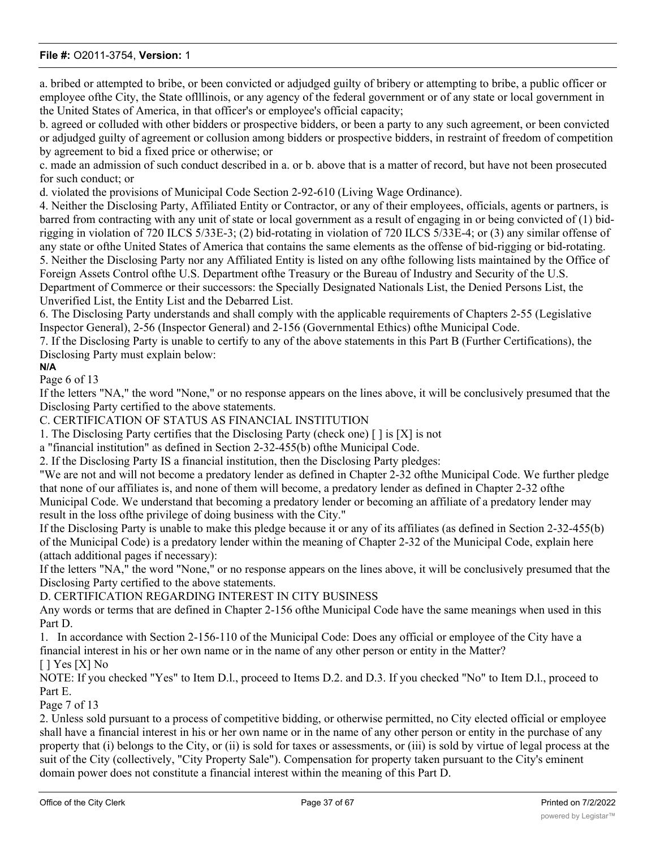a. bribed or attempted to bribe, or been convicted or adjudged guilty of bribery or attempting to bribe, a public officer or employee ofthe City, the State oflllinois, or any agency of the federal government or of any state or local government in the United States of America, in that officer's or employee's official capacity;

b. agreed or colluded with other bidders or prospective bidders, or been a party to any such agreement, or been convicted or adjudged guilty of agreement or collusion among bidders or prospective bidders, in restraint of freedom of competition by agreement to bid a fixed price or otherwise; or

c. made an admission of such conduct described in a. or b. above that is a matter of record, but have not been prosecuted for such conduct; or

d. violated the provisions of Municipal Code Section 2-92-610 (Living Wage Ordinance).

4. Neither the Disclosing Party, Affiliated Entity or Contractor, or any of their employees, officials, agents or partners, is barred from contracting with any unit of state or local government as a result of engaging in or being convicted of (1) bidrigging in violation of 720 ILCS 5/33E-3; (2) bid-rotating in violation of 720 ILCS 5/33E-4; or (3) any similar offense of any state or ofthe United States of America that contains the same elements as the offense of bid-rigging or bid-rotating. 5. Neither the Disclosing Party nor any Affiliated Entity is listed on any ofthe following lists maintained by the Office of Foreign Assets Control ofthe U.S. Department ofthe Treasury or the Bureau of Industry and Security of the U.S. Department of Commerce or their successors: the Specially Designated Nationals List, the Denied Persons List, the Unverified List, the Entity List and the Debarred List.

6. The Disclosing Party understands and shall comply with the applicable requirements of Chapters 2-55 (Legislative Inspector General), 2-56 (Inspector General) and 2-156 (Governmental Ethics) ofthe Municipal Code.

7. If the Disclosing Party is unable to certify to any of the above statements in this Part B (Further Certifications), the Disclosing Party must explain below:

# **N/A**

Page 6 of 13

If the letters "NA," the word "None," or no response appears on the lines above, it will be conclusively presumed that the Disclosing Party certified to the above statements.

C. CERTIFICATION OF STATUS AS FINANCIAL INSTITUTION

1. The Disclosing Party certifies that the Disclosing Party (check one) [ ] is [X] is not

a "financial institution" as defined in Section 2-32-455(b) ofthe Municipal Code.

2. If the Disclosing Party IS a financial institution, then the Disclosing Party pledges:

"We are not and will not become a predatory lender as defined in Chapter 2-32 ofthe Municipal Code. We further pledge that none of our affiliates is, and none of them will become, a predatory lender as defined in Chapter 2-32 ofthe

Municipal Code. We understand that becoming a predatory lender or becoming an affiliate of a predatory lender may result in the loss ofthe privilege of doing business with the City."

If the Disclosing Party is unable to make this pledge because it or any of its affiliates (as defined in Section 2-32-455(b) of the Municipal Code) is a predatory lender within the meaning of Chapter 2-32 of the Municipal Code, explain here (attach additional pages if necessary):

If the letters "NA," the word "None," or no response appears on the lines above, it will be conclusively presumed that the Disclosing Party certified to the above statements.

D. CERTIFICATION REGARDING INTEREST IN CITY BUSINESS

Any words or terms that are defined in Chapter 2-156 ofthe Municipal Code have the same meanings when used in this Part D.

1. In accordance with Section 2-156-110 of the Municipal Code: Does any official or employee of the City have a financial interest in his or her own name or in the name of any other person or entity in the Matter?

#### $[$   $]$  Yes  $[X]$  No

NOTE: If you checked "Yes" to Item D.l., proceed to Items D.2. and D.3. If you checked "No" to Item D.l., proceed to Part E.

#### Page 7 of 13

2. Unless sold pursuant to a process of competitive bidding, or otherwise permitted, no City elected official or employee shall have a financial interest in his or her own name or in the name of any other person or entity in the purchase of any property that (i) belongs to the City, or (ii) is sold for taxes or assessments, or (iii) is sold by virtue of legal process at the suit of the City (collectively, "City Property Sale"). Compensation for property taken pursuant to the City's eminent domain power does not constitute a financial interest within the meaning of this Part D.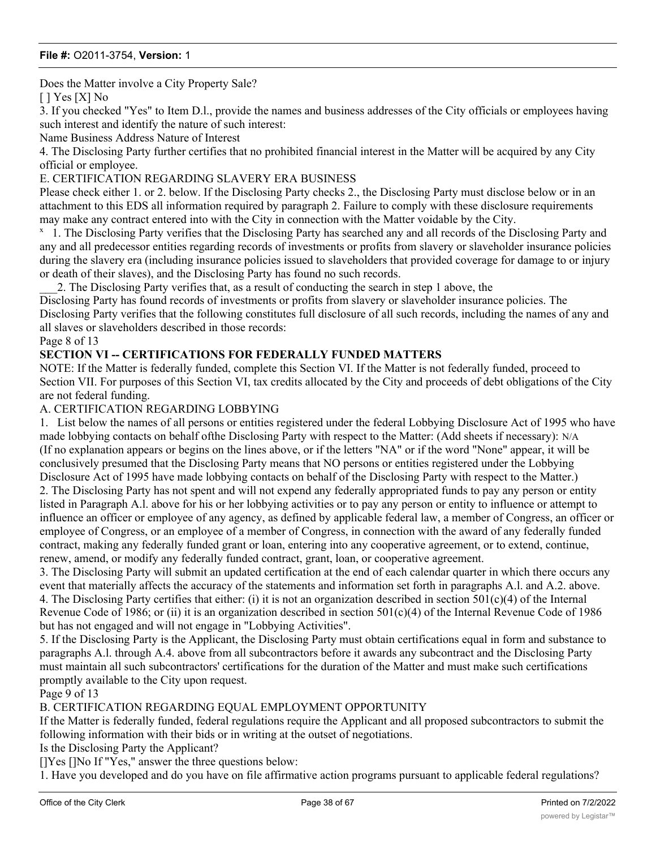Does the Matter involve a City Property Sale?

[ ] Yes [X] No

3. If you checked "Yes" to Item D.l., provide the names and business addresses of the City officials or employees having such interest and identify the nature of such interest:

Name Business Address Nature of Interest

4. The Disclosing Party further certifies that no prohibited financial interest in the Matter will be acquired by any City official or employee.

#### E. CERTIFICATION REGARDING SLAVERY ERA BUSINESS

Please check either 1. or 2. below. If the Disclosing Party checks 2., the Disclosing Party must disclose below or in an attachment to this EDS all information required by paragraph 2. Failure to comply with these disclosure requirements may make any contract entered into with the City in connection with the Matter voidable by the City.

<sup>x</sup> 1. The Disclosing Party verifies that the Disclosing Party has searched any and all records of the Disclosing Party and any and all predecessor entities regarding records of investments or profits from slavery or slaveholder insurance policies during the slavery era (including insurance policies issued to slaveholders that provided coverage for damage to or injury or death of their slaves), and the Disclosing Party has found no such records.

\_\_\_2. The Disclosing Party verifies that, as a result of conducting the search in step 1 above, the

Disclosing Party has found records of investments or profits from slavery or slaveholder insurance policies. The Disclosing Party verifies that the following constitutes full disclosure of all such records, including the names of any and all slaves or slaveholders described in those records:

#### Page 8 of 13

# **SECTION VI -- CERTIFICATIONS FOR FEDERALLY FUNDED MATTERS**

NOTE: If the Matter is federally funded, complete this Section VI. If the Matter is not federally funded, proceed to Section VII. For purposes of this Section VI, tax credits allocated by the City and proceeds of debt obligations of the City are not federal funding.

#### A. CERTIFICATION REGARDING LOBBYING

1. List below the names of all persons or entities registered under the federal Lobbying Disclosure Act of 1995 who have made lobbying contacts on behalf ofthe Disclosing Party with respect to the Matter: (Add sheets if necessary): N/A (If no explanation appears or begins on the lines above, or if the letters "NA" or if the word "None" appear, it will be conclusively presumed that the Disclosing Party means that NO persons or entities registered under the Lobbying Disclosure Act of 1995 have made lobbying contacts on behalf of the Disclosing Party with respect to the Matter.) 2. The Disclosing Party has not spent and will not expend any federally appropriated funds to pay any person or entity listed in Paragraph A.l. above for his or her lobbying activities or to pay any person or entity to influence or attempt to influence an officer or employee of any agency, as defined by applicable federal law, a member of Congress, an officer or employee of Congress, or an employee of a member of Congress, in connection with the award of any federally funded contract, making any federally funded grant or loan, entering into any cooperative agreement, or to extend, continue, renew, amend, or modify any federally funded contract, grant, loan, or cooperative agreement.

3. The Disclosing Party will submit an updated certification at the end of each calendar quarter in which there occurs any event that materially affects the accuracy of the statements and information set forth in paragraphs A.l. and A.2. above. 4. The Disclosing Party certifies that either: (i) it is not an organization described in section  $501(c)(4)$  of the Internal Revenue Code of 1986; or (ii) it is an organization described in section  $501(c)(4)$  of the Internal Revenue Code of 1986 but has not engaged and will not engage in "Lobbying Activities".

5. If the Disclosing Party is the Applicant, the Disclosing Party must obtain certifications equal in form and substance to paragraphs A.l. through A.4. above from all subcontractors before it awards any subcontract and the Disclosing Party must maintain all such subcontractors' certifications for the duration of the Matter and must make such certifications promptly available to the City upon request.

Page 9 of 13

#### B. CERTIFICATION REGARDING EQUAL EMPLOYMENT OPPORTUNITY

If the Matter is federally funded, federal regulations require the Applicant and all proposed subcontractors to submit the following information with their bids or in writing at the outset of negotiations.

Is the Disclosing Party the Applicant?

[]Yes []No If "Yes," answer the three questions below:

1. Have you developed and do you have on file affirmative action programs pursuant to applicable federal regulations?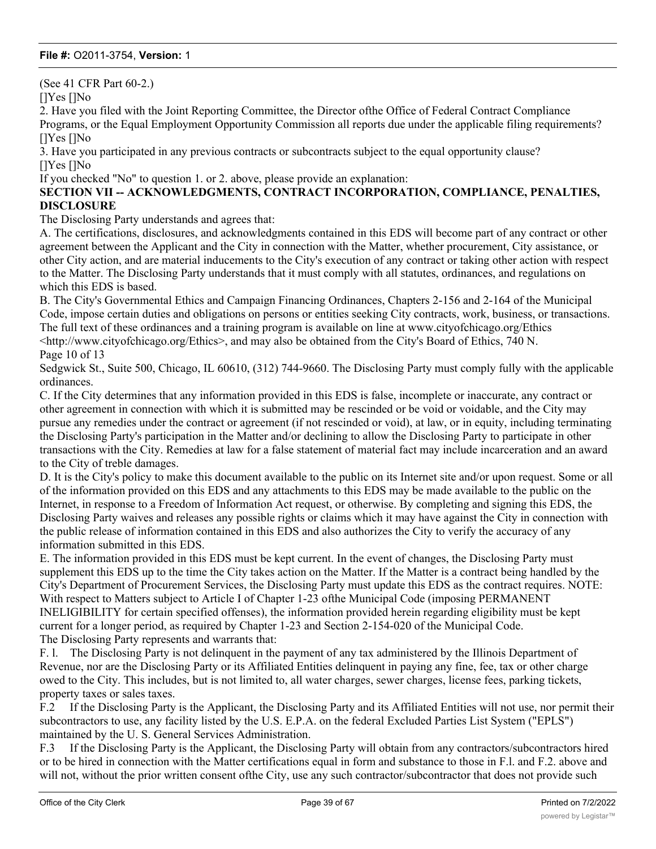(See 41 CFR Part 60-2.)

[]Yes []No

2. Have you filed with the Joint Reporting Committee, the Director ofthe Office of Federal Contract Compliance Programs, or the Equal Employment Opportunity Commission all reports due under the applicable filing requirements? []Yes []No

3. Have you participated in any previous contracts or subcontracts subject to the equal opportunity clause? []Yes []No

If you checked "No" to question 1. or 2. above, please provide an explanation:

**SECTION VII -- ACKNOWLEDGMENTS, CONTRACT INCORPORATION, COMPLIANCE, PENALTIES, DISCLOSURE**

The Disclosing Party understands and agrees that:

A. The certifications, disclosures, and acknowledgments contained in this EDS will become part of any contract or other agreement between the Applicant and the City in connection with the Matter, whether procurement, City assistance, or other City action, and are material inducements to the City's execution of any contract or taking other action with respect to the Matter. The Disclosing Party understands that it must comply with all statutes, ordinances, and regulations on which this EDS is based.

B. The City's Governmental Ethics and Campaign Financing Ordinances, Chapters 2-156 and 2-164 of the Municipal Code, impose certain duties and obligations on persons or entities seeking City contracts, work, business, or transactions. The full text of these ordinances and a training program is available on line at www.cityofchicago.org/Ethics <http://www.cityofchicago.org/Ethics>, and may also be obtained from the City's Board of Ethics, 740 N. Page 10 of 13

Sedgwick St., Suite 500, Chicago, IL 60610, (312) 744-9660. The Disclosing Party must comply fully with the applicable ordinances.

C. If the City determines that any information provided in this EDS is false, incomplete or inaccurate, any contract or other agreement in connection with which it is submitted may be rescinded or be void or voidable, and the City may pursue any remedies under the contract or agreement (if not rescinded or void), at law, or in equity, including terminating the Disclosing Party's participation in the Matter and/or declining to allow the Disclosing Party to participate in other transactions with the City. Remedies at law for a false statement of material fact may include incarceration and an award to the City of treble damages.

D. It is the City's policy to make this document available to the public on its Internet site and/or upon request. Some or all of the information provided on this EDS and any attachments to this EDS may be made available to the public on the Internet, in response to a Freedom of Information Act request, or otherwise. By completing and signing this EDS, the Disclosing Party waives and releases any possible rights or claims which it may have against the City in connection with the public release of information contained in this EDS and also authorizes the City to verify the accuracy of any information submitted in this EDS.

E. The information provided in this EDS must be kept current. In the event of changes, the Disclosing Party must supplement this EDS up to the time the City takes action on the Matter. If the Matter is a contract being handled by the City's Department of Procurement Services, the Disclosing Party must update this EDS as the contract requires. NOTE: With respect to Matters subject to Article I of Chapter 1-23 ofthe Municipal Code (imposing PERMANENT INELIGIBILITY for certain specified offenses), the information provided herein regarding eligibility must be kept current for a longer period, as required by Chapter 1-23 and Section 2-154-020 of the Municipal Code. The Disclosing Party represents and warrants that:

F. l. The Disclosing Party is not delinquent in the payment of any tax administered by the Illinois Department of Revenue, nor are the Disclosing Party or its Affiliated Entities delinquent in paying any fine, fee, tax or other charge owed to the City. This includes, but is not limited to, all water charges, sewer charges, license fees, parking tickets, property taxes or sales taxes.

F.2 If the Disclosing Party is the Applicant, the Disclosing Party and its Affiliated Entities will not use, nor permit their subcontractors to use, any facility listed by the U.S. E.P.A. on the federal Excluded Parties List System ("EPLS") maintained by the U. S. General Services Administration.

F.3 If the Disclosing Party is the Applicant, the Disclosing Party will obtain from any contractors/subcontractors hired or to be hired in connection with the Matter certifications equal in form and substance to those in F.l. and F.2. above and will not, without the prior written consent of the City, use any such contractor/subcontractor that does not provide such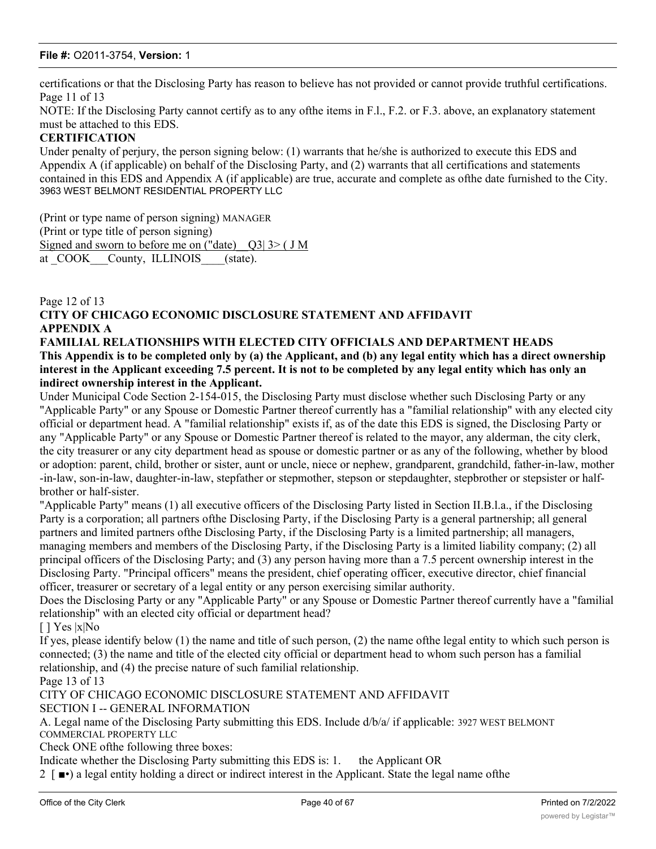certifications or that the Disclosing Party has reason to believe has not provided or cannot provide truthful certifications. Page 11 of 13

NOTE: If the Disclosing Party cannot certify as to any ofthe items in F.l., F.2. or F.3. above, an explanatory statement must be attached to this EDS.

#### **CERTIFICATION**

Under penalty of perjury, the person signing below: (1) warrants that he/she is authorized to execute this EDS and Appendix A (if applicable) on behalf of the Disclosing Party, and (2) warrants that all certifications and statements contained in this EDS and Appendix A (if applicable) are true, accurate and complete as ofthe date furnished to the City. 3963 WEST BELMONT RESIDENTIAL PROPERTY LLC

(Print or type name of person signing) MANAGER (Print or type title of person signing) Signed and sworn to before me on ("date)  $Q3$ | 3> ( J M) at COOK County, ILLINOIS (state).

# Page 12 of 13 **CITY OF CHICAGO ECONOMIC DISCLOSURE STATEMENT AND AFFIDAVIT APPENDIX A**

#### **FAMILIAL RELATIONSHIPS WITH ELECTED CITY OFFICIALS AND DEPARTMENT HEADS This Appendix is to be completed only by (a) the Applicant, and (b) any legal entity which has a direct ownership interest in the Applicant exceeding 7.5 percent. It is not to be completed by any legal entity which has only an indirect ownership interest in the Applicant.**

Under Municipal Code Section 2-154-015, the Disclosing Party must disclose whether such Disclosing Party or any "Applicable Party" or any Spouse or Domestic Partner thereof currently has a "familial relationship" with any elected city official or department head. A "familial relationship" exists if, as of the date this EDS is signed, the Disclosing Party or any "Applicable Party" or any Spouse or Domestic Partner thereof is related to the mayor, any alderman, the city clerk, the city treasurer or any city department head as spouse or domestic partner or as any of the following, whether by blood or adoption: parent, child, brother or sister, aunt or uncle, niece or nephew, grandparent, grandchild, father-in-law, mother -in-law, son-in-law, daughter-in-law, stepfather or stepmother, stepson or stepdaughter, stepbrother or stepsister or halfbrother or half-sister.

"Applicable Party" means (1) all executive officers of the Disclosing Party listed in Section II.B.l.a., if the Disclosing Party is a corporation; all partners ofthe Disclosing Party, if the Disclosing Party is a general partnership; all general partners and limited partners ofthe Disclosing Party, if the Disclosing Party is a limited partnership; all managers, managing members and members of the Disclosing Party, if the Disclosing Party is a limited liability company; (2) all principal officers of the Disclosing Party; and (3) any person having more than a 7.5 percent ownership interest in the Disclosing Party. "Principal officers" means the president, chief operating officer, executive director, chief financial officer, treasurer or secretary of a legal entity or any person exercising similar authority.

Does the Disclosing Party or any "Applicable Party" or any Spouse or Domestic Partner thereof currently have a "familial relationship" with an elected city official or department head?

[ ] Yes |x|No

If yes, please identify below (1) the name and title of such person, (2) the name ofthe legal entity to which such person is connected; (3) the name and title of the elected city official or department head to whom such person has a familial relationship, and (4) the precise nature of such familial relationship.

Page 13 of 13

CITY OF CHICAGO ECONOMIC DISCLOSURE STATEMENT AND AFFIDAVIT

SECTION I -- GENERAL INFORMATION

A. Legal name of the Disclosing Party submitting this EDS. Include d/b/a/ if applicable: 3927 WEST BELMONT COMMERCIAL PROPERTY LLC

Check ONE ofthe following three boxes:

Indicate whether the Disclosing Party submitting this EDS is: 1. the Applicant OR

2 [ ■•) a legal entity holding a direct or indirect interest in the Applicant. State the legal name ofthe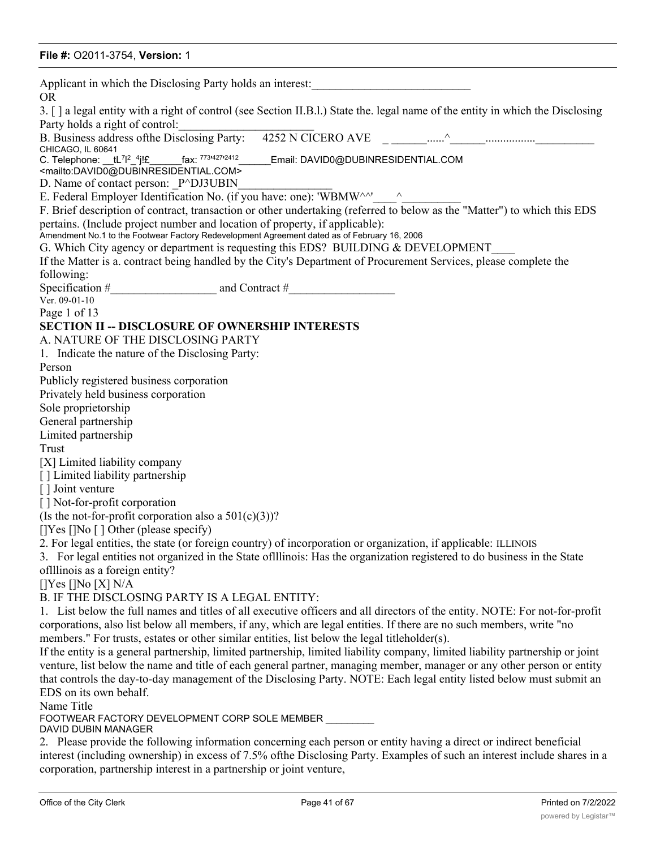| Applicant in which the Disclosing Party holds an interest:<br><b>OR</b>                                                                                                     |
|-----------------------------------------------------------------------------------------------------------------------------------------------------------------------------|
| 3. [] a legal entity with a right of control (see Section II.B.I.) State the. legal name of the entity in which the Disclosing<br>Party holds a right of control:           |
| CHICAGO, IL 60641                                                                                                                                                           |
| C. Telephone: __tL <sup>7 2</sup> _ <sup>4</sup> j!£______fax: 773 <sup>4272412</sup> ______Email: DAVID0@DUBINRESIDENTIAL.COM                                              |
| <mailto:david0@dubinresidential.com></mailto:david0@dubinresidential.com>                                                                                                   |
| D. Name of contact person: P^DJ3UBIN                                                                                                                                        |
| E. Federal Employer Identification No. (if you have: one): 'WBMW^^' ^                                                                                                       |
| F. Brief description of contract, transaction or other undertaking (referred to below as the "Matter") to which this EDS                                                    |
| pertains. (Include project number and location of property, if applicable):<br>Amendment No.1 to the Footwear Factory Redevelopment Agreement dated as of February 16, 2006 |
| G. Which City agency or department is requesting this EDS? BUILDING & DEVELOPMENT                                                                                           |
| If the Matter is a. contract being handled by the City's Department of Procurement Services, please complete the                                                            |
| following:                                                                                                                                                                  |
|                                                                                                                                                                             |
| Ver. 09-01-10                                                                                                                                                               |
| Page 1 of 13                                                                                                                                                                |
| <b>SECTION II -- DISCLOSURE OF OWNERSHIP INTERESTS</b>                                                                                                                      |
| A. NATURE OF THE DISCLOSING PARTY                                                                                                                                           |
| 1. Indicate the nature of the Disclosing Party:                                                                                                                             |
| Person                                                                                                                                                                      |
| Publicly registered business corporation                                                                                                                                    |
| Privately held business corporation                                                                                                                                         |
| Sole proprietorship                                                                                                                                                         |
| General partnership<br>Limited partnership                                                                                                                                  |
| Trust                                                                                                                                                                       |
| [X] Limited liability company                                                                                                                                               |
| [] Limited liability partnership                                                                                                                                            |
| [] Joint venture                                                                                                                                                            |
| [] Not-for-profit corporation                                                                                                                                               |
| (Is the not-for-profit corporation also a $501(c)(3)$ )?                                                                                                                    |
| $[$  Yes $[$  No $[$ $]$ Other (please specify)                                                                                                                             |
| 2. For legal entities, the state (or foreign country) of incorporation or organization, if applicable: ILLINOIS                                                             |
| 3. For legal entities not organized in the State of llinois: Has the organization registered to do business in the State                                                    |
| oflllinois as a foreign entity?                                                                                                                                             |
| $[$  Yes $[$  No $[X]$ N/A                                                                                                                                                  |
| B. IF THE DISCLOSING PARTY IS A LEGAL ENTITY:                                                                                                                               |
| 1. List below the full names and titles of all executive officers and all directors of the entity. NOTE: For not-for-profit                                                 |
| corporations, also list below all members, if any, which are legal entities. If there are no such members, write "no                                                        |
| members." For trusts, estates or other similar entities, list below the legal titleholder(s).                                                                               |
| If the entity is a general partnership, limited partnership, limited liability company, limited liability partnership or joint                                              |
| venture, list below the name and title of each general partner, managing member, manager or any other person or entity                                                      |
| that controls the day-to-day management of the Disclosing Party. NOTE: Each legal entity listed below must submit an                                                        |
| EDS on its own behalf.                                                                                                                                                      |
| Name Title                                                                                                                                                                  |
| FOOTWEAR FACTORY DEVELOPMENT CORP SOLE MEMBER ________<br>DAVID DUBIN MANAGER                                                                                               |
| 2. Please provide the following information concerning each person or entity having a direct or indirect beneficial                                                         |
| interest (including ownership) in excess of 7.5% of the Disclosing Party. Examples of such an interest include shares in a                                                  |

corporation, partnership interest in a partnership or joint venture,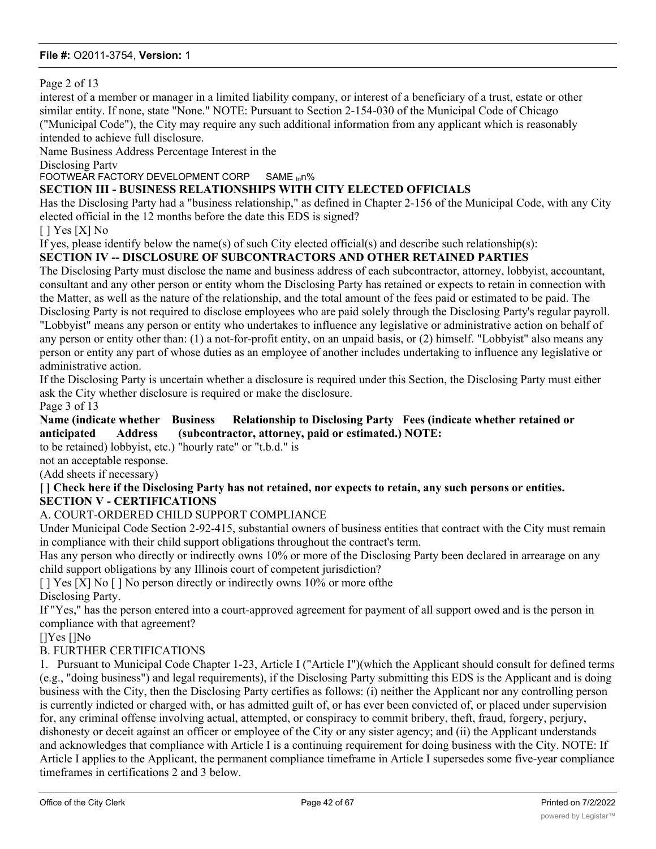Page 2 of 13

interest of a member or manager in a limited liability company, or interest of a beneficiary of a trust, estate or other similar entity. If none, state "None." NOTE: Pursuant to Section 2-154-030 of the Municipal Code of Chicago ("Municipal Code"), the City may require any such additional information from any applicant which is reasonably intended to achieve full disclosure.

Name Business Address Percentage Interest in the

Disclosing Partv

FOOTWEAR FACTORY DEVELOPMENT CORP SAME <sub>In</sub>n%

# **SECTION III - BUSINESS RELATIONSHIPS WITH CITY ELECTED OFFICIALS**

Has the Disclosing Party had a "business relationship," as defined in Chapter 2-156 of the Municipal Code, with any City elected official in the 12 months before the date this EDS is signed?

[ ] Yes [X] No

If yes, please identify below the name(s) of such City elected official(s) and describe such relationship(s):

# **SECTION IV -- DISCLOSURE OF SUBCONTRACTORS AND OTHER RETAINED PARTIES**

The Disclosing Party must disclose the name and business address of each subcontractor, attorney, lobbyist, accountant, consultant and any other person or entity whom the Disclosing Party has retained or expects to retain in connection with the Matter, as well as the nature of the relationship, and the total amount of the fees paid or estimated to be paid. The Disclosing Party is not required to disclose employees who are paid solely through the Disclosing Party's regular payroll. "Lobbyist" means any person or entity who undertakes to influence any legislative or administrative action on behalf of any person or entity other than: (1) a not-for-profit entity, on an unpaid basis, or (2) himself. "Lobbyist" also means any person or entity any part of whose duties as an employee of another includes undertaking to influence any legislative or administrative action.

If the Disclosing Party is uncertain whether a disclosure is required under this Section, the Disclosing Party must either ask the City whether disclosure is required or make the disclosure.

Page 3 of 13

#### **Name (indicate whether Business Relationship to Disclosing Party Fees (indicate whether retained or anticipated Address (subcontractor, attorney, paid or estimated.) NOTE:**

to be retained) lobbyist, etc.) "hourly rate" or "t.b.d." is

not an acceptable response.

(Add sheets if necessary)

#### **[ ] Check here if the Disclosing Party has not retained, nor expects to retain, any such persons or entities. SECTION V - CERTIFICATIONS**

#### A. COURT-ORDERED CHILD SUPPORT COMPLIANCE

Under Municipal Code Section 2-92-415, substantial owners of business entities that contract with the City must remain in compliance with their child support obligations throughout the contract's term.

Has any person who directly or indirectly owns 10% or more of the Disclosing Party been declared in arrearage on any child support obligations by any Illinois court of competent jurisdiction?

[ ] Yes [X] No [ ] No person directly or indirectly owns 10% or more of the Disclosing Party.

If "Yes," has the person entered into a court-approved agreement for payment of all support owed and is the person in compliance with that agreement?

[]Yes []No

#### B. FURTHER CERTIFICATIONS

1. Pursuant to Municipal Code Chapter 1-23, Article I ("Article I")(which the Applicant should consult for defined terms (e.g., "doing business") and legal requirements), if the Disclosing Party submitting this EDS is the Applicant and is doing business with the City, then the Disclosing Party certifies as follows: (i) neither the Applicant nor any controlling person is currently indicted or charged with, or has admitted guilt of, or has ever been convicted of, or placed under supervision for, any criminal offense involving actual, attempted, or conspiracy to commit bribery, theft, fraud, forgery, perjury, dishonesty or deceit against an officer or employee of the City or any sister agency; and (ii) the Applicant understands and acknowledges that compliance with Article I is a continuing requirement for doing business with the City. NOTE: If Article I applies to the Applicant, the permanent compliance timeframe in Article I supersedes some five-year compliance timeframes in certifications 2 and 3 below.

Page 4 of 13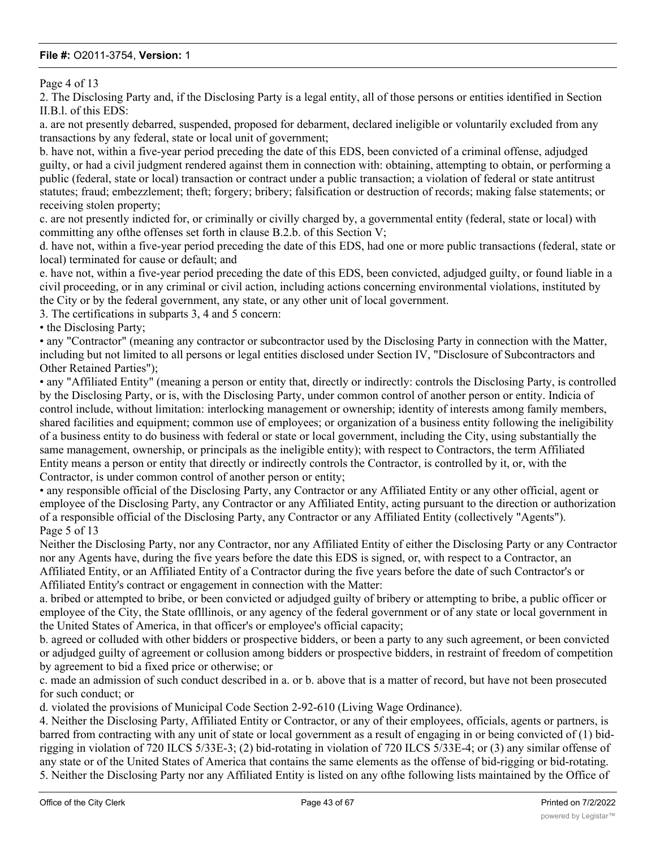Page 4 of 13

2. The Disclosing Party and, if the Disclosing Party is a legal entity, all of those persons or entities identified in Section II.B.l. of this EDS:

a. are not presently debarred, suspended, proposed for debarment, declared ineligible or voluntarily excluded from any transactions by any federal, state or local unit of government;

b. have not, within a five-year period preceding the date of this EDS, been convicted of a criminal offense, adjudged guilty, or had a civil judgment rendered against them in connection with: obtaining, attempting to obtain, or performing a public (federal, state or local) transaction or contract under a public transaction; a violation of federal or state antitrust statutes; fraud; embezzlement; theft; forgery; bribery; falsification or destruction of records; making false statements; or receiving stolen property;

c. are not presently indicted for, or criminally or civilly charged by, a governmental entity (federal, state or local) with committing any ofthe offenses set forth in clause B.2.b. of this Section V;

d. have not, within a five-year period preceding the date of this EDS, had one or more public transactions (federal, state or local) terminated for cause or default; and

e. have not, within a five-year period preceding the date of this EDS, been convicted, adjudged guilty, or found liable in a civil proceeding, or in any criminal or civil action, including actions concerning environmental violations, instituted by the City or by the federal government, any state, or any other unit of local government.

3. The certifications in subparts 3, 4 and 5 concern:

• the Disclosing Party;

• any "Contractor" (meaning any contractor or subcontractor used by the Disclosing Party in connection with the Matter, including but not limited to all persons or legal entities disclosed under Section IV, "Disclosure of Subcontractors and Other Retained Parties");

• any "Affiliated Entity" (meaning a person or entity that, directly or indirectly: controls the Disclosing Party, is controlled by the Disclosing Party, or is, with the Disclosing Party, under common control of another person or entity. Indicia of control include, without limitation: interlocking management or ownership; identity of interests among family members, shared facilities and equipment; common use of employees; or organization of a business entity following the ineligibility of a business entity to do business with federal or state or local government, including the City, using substantially the same management, ownership, or principals as the ineligible entity); with respect to Contractors, the term Affiliated Entity means a person or entity that directly or indirectly controls the Contractor, is controlled by it, or, with the Contractor, is under common control of another person or entity;

• any responsible official of the Disclosing Party, any Contractor or any Affiliated Entity or any other official, agent or employee of the Disclosing Party, any Contractor or any Affiliated Entity, acting pursuant to the direction or authorization of a responsible official of the Disclosing Party, any Contractor or any Affiliated Entity (collectively "Agents"). Page 5 of 13

Neither the Disclosing Party, nor any Contractor, nor any Affiliated Entity of either the Disclosing Party or any Contractor nor any Agents have, during the five years before the date this EDS is signed, or, with respect to a Contractor, an Affiliated Entity, or an Affiliated Entity of a Contractor during the five years before the date of such Contractor's or Affiliated Entity's contract or engagement in connection with the Matter:

a. bribed or attempted to bribe, or been convicted or adjudged guilty of bribery or attempting to bribe, a public officer or employee of the City, the State oflllinois, or any agency of the federal government or of any state or local government in the United States of America, in that officer's or employee's official capacity;

b. agreed or colluded with other bidders or prospective bidders, or been a party to any such agreement, or been convicted or adjudged guilty of agreement or collusion among bidders or prospective bidders, in restraint of freedom of competition by agreement to bid a fixed price or otherwise; or

c. made an admission of such conduct described in a. or b. above that is a matter of record, but have not been prosecuted for such conduct; or

d. violated the provisions of Municipal Code Section 2-92-610 (Living Wage Ordinance).

4. Neither the Disclosing Party, Affiliated Entity or Contractor, or any of their employees, officials, agents or partners, is barred from contracting with any unit of state or local government as a result of engaging in or being convicted of (1) bidrigging in violation of 720 ILCS 5/33E-3; (2) bid-rotating in violation of 720 ILCS 5/33E-4; or (3) any similar offense of any state or of the United States of America that contains the same elements as the offense of bid-rigging or bid-rotating. 5. Neither the Disclosing Party nor any Affiliated Entity is listed on any ofthe following lists maintained by the Office of

Foreign Assets Control ofthe U.S. Department of the Treasury or the Bureau of Industry and Security ofthe U.S.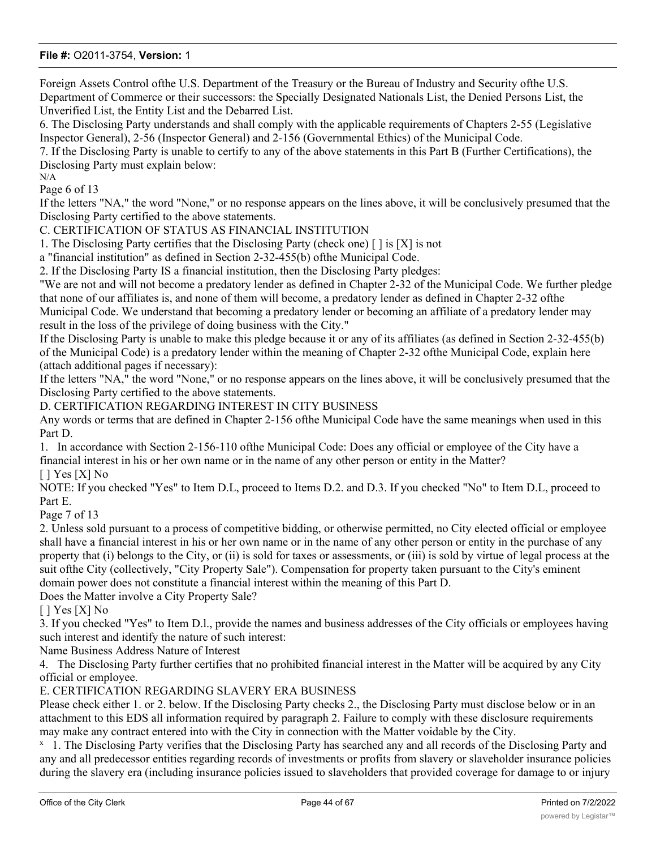Foreign Assets Control ofthe U.S. Department of the Treasury or the Bureau of Industry and Security ofthe U.S. Department of Commerce or their successors: the Specially Designated Nationals List, the Denied Persons List, the Unverified List, the Entity List and the Debarred List.

6. The Disclosing Party understands and shall comply with the applicable requirements of Chapters 2-55 (Legislative Inspector General), 2-56 (Inspector General) and 2-156 (Governmental Ethics) of the Municipal Code.

7. If the Disclosing Party is unable to certify to any of the above statements in this Part B (Further Certifications), the Disclosing Party must explain below: N/A

Page 6 of 13

If the letters "NA," the word "None," or no response appears on the lines above, it will be conclusively presumed that the Disclosing Party certified to the above statements.

C. CERTIFICATION OF STATUS AS FINANCIAL INSTITUTION

1. The Disclosing Party certifies that the Disclosing Party (check one)  $\lceil \cdot \rceil$  is  $[X]$  is not

a "financial institution" as defined in Section 2-32-455(b) ofthe Municipal Code.

2. If the Disclosing Party IS a financial institution, then the Disclosing Party pledges:

"We are not and will not become a predatory lender as defined in Chapter 2-32 of the Municipal Code. We further pledge that none of our affiliates is, and none of them will become, a predatory lender as defined in Chapter 2-32 ofthe Municipal Code. We understand that becoming a predatory lender or becoming an affiliate of a predatory lender may result in the loss of the privilege of doing business with the City."

If the Disclosing Party is unable to make this pledge because it or any of its affiliates (as defined in Section 2-32-455(b) of the Municipal Code) is a predatory lender within the meaning of Chapter 2-32 ofthe Municipal Code, explain here (attach additional pages if necessary):

If the letters "NA," the word "None," or no response appears on the lines above, it will be conclusively presumed that the Disclosing Party certified to the above statements.

D. CERTIFICATION REGARDING INTEREST IN CITY BUSINESS

Any words or terms that are defined in Chapter 2-156 ofthe Municipal Code have the same meanings when used in this Part D.

1. In accordance with Section 2-156-110 ofthe Municipal Code: Does any official or employee of the City have a financial interest in his or her own name or in the name of any other person or entity in the Matter? [ ] Yes [X] No

NOTE: If you checked "Yes" to Item D.L, proceed to Items D.2. and D.3. If you checked "No" to Item D.L, proceed to Part E.

Page 7 of 13

2. Unless sold pursuant to a process of competitive bidding, or otherwise permitted, no City elected official or employee shall have a financial interest in his or her own name or in the name of any other person or entity in the purchase of any property that (i) belongs to the City, or (ii) is sold for taxes or assessments, or (iii) is sold by virtue of legal process at the suit ofthe City (collectively, "City Property Sale"). Compensation for property taken pursuant to the City's eminent domain power does not constitute a financial interest within the meaning of this Part D.

Does the Matter involve a City Property Sale?

 $[$   $]$  Yes  $[X]$  No

3. If you checked "Yes" to Item D.l., provide the names and business addresses of the City officials or employees having such interest and identify the nature of such interest:

Name Business Address Nature of Interest

4. The Disclosing Party further certifies that no prohibited financial interest in the Matter will be acquired by any City official or employee.

E. CERTIFICATION REGARDING SLAVERY ERA BUSINESS

or death of their slaves), and the Disclosing Party has found no such records.

Please check either 1. or 2. below. If the Disclosing Party checks 2., the Disclosing Party must disclose below or in an attachment to this EDS all information required by paragraph 2. Failure to comply with these disclosure requirements may make any contract entered into with the City in connection with the Matter voidable by the City.

<sup>x</sup> 1. The Disclosing Party verifies that the Disclosing Party has searched any and all records of the Disclosing Party and any and all predecessor entities regarding records of investments or profits from slavery or slaveholder insurance policies during the slavery era (including insurance policies issued to slaveholders that provided coverage for damage to or injury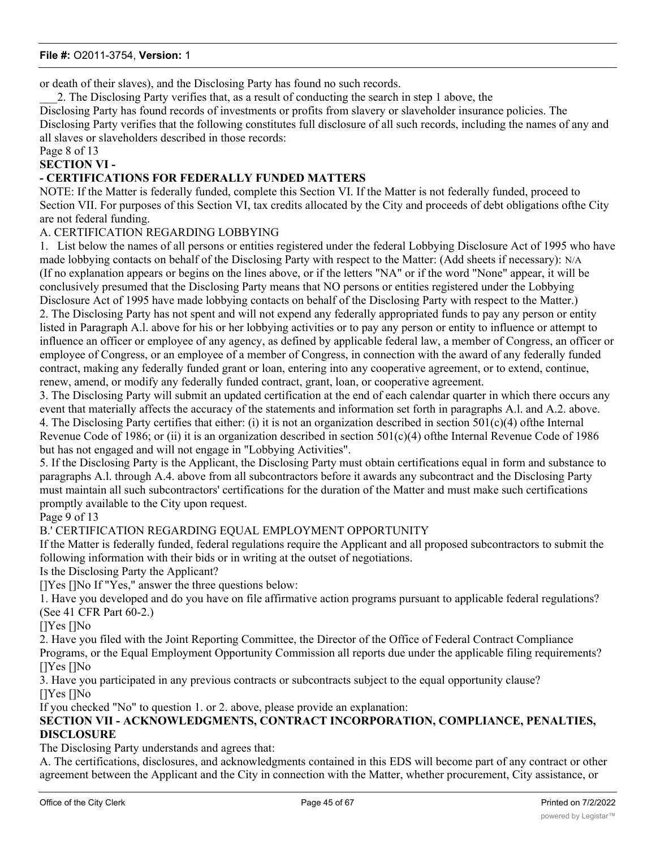or death of their slaves), and the Disclosing Party has found no such records.

\_\_\_2. The Disclosing Party verifies that, as a result of conducting the search in step 1 above, the Disclosing Party has found records of investments or profits from slavery or slaveholder insurance policies. The Disclosing Party verifies that the following constitutes full disclosure of all such records, including the names of any and

all slaves or slaveholders described in those records:

# Page 8 of 13

# **SECTION VI -**

# **- CERTIFICATIONS FOR FEDERALLY FUNDED MATTERS**

NOTE: If the Matter is federally funded, complete this Section VI. If the Matter is not federally funded, proceed to Section VII. For purposes of this Section VI, tax credits allocated by the City and proceeds of debt obligations ofthe City are not federal funding.

#### A. CERTIFICATION REGARDING LOBBYING

1. List below the names of all persons or entities registered under the federal Lobbying Disclosure Act of 1995 who have made lobbying contacts on behalf of the Disclosing Party with respect to the Matter: (Add sheets if necessary): N/A (If no explanation appears or begins on the lines above, or if the letters "NA" or if the word "None" appear, it will be conclusively presumed that the Disclosing Party means that NO persons or entities registered under the Lobbying Disclosure Act of 1995 have made lobbying contacts on behalf of the Disclosing Party with respect to the Matter.) 2. The Disclosing Party has not spent and will not expend any federally appropriated funds to pay any person or entity listed in Paragraph A.l. above for his or her lobbying activities or to pay any person or entity to influence or attempt to influence an officer or employee of any agency, as defined by applicable federal law, a member of Congress, an officer or employee of Congress, or an employee of a member of Congress, in connection with the award of any federally funded contract, making any federally funded grant or loan, entering into any cooperative agreement, or to extend, continue, renew, amend, or modify any federally funded contract, grant, loan, or cooperative agreement.

3. The Disclosing Party will submit an updated certification at the end of each calendar quarter in which there occurs any event that materially affects the accuracy of the statements and information set forth in paragraphs A.l. and A.2. above. 4. The Disclosing Party certifies that either: (i) it is not an organization described in section  $501(c)(4)$  ofthe Internal Revenue Code of 1986; or (ii) it is an organization described in section  $501(c)(4)$  of the Internal Revenue Code of 1986 but has not engaged and will not engage in "Lobbying Activities".

5. If the Disclosing Party is the Applicant, the Disclosing Party must obtain certifications equal in form and substance to paragraphs A.l. through A.4. above from all subcontractors before it awards any subcontract and the Disclosing Party must maintain all such subcontractors' certifications for the duration of the Matter and must make such certifications promptly available to the City upon request.

#### Page 9 of 13

### B.' CERTIFICATION REGARDING EQUAL EMPLOYMENT OPPORTUNITY

If the Matter is federally funded, federal regulations require the Applicant and all proposed subcontractors to submit the following information with their bids or in writing at the outset of negotiations.

Is the Disclosing Party the Applicant?

[]Yes []No If "Yes," answer the three questions below:

1. Have you developed and do you have on file affirmative action programs pursuant to applicable federal regulations? (See 41 CFR Part 60-2.)

#### []Yes []No

2. Have you filed with the Joint Reporting Committee, the Director of the Office of Federal Contract Compliance

Programs, or the Equal Employment Opportunity Commission all reports due under the applicable filing requirements? []Yes []No

3. Have you participated in any previous contracts or subcontracts subject to the equal opportunity clause? []Yes []No

If you checked "No" to question 1. or 2. above, please provide an explanation:

# **SECTION VII - ACKNOWLEDGMENTS, CONTRACT INCORPORATION, COMPLIANCE, PENALTIES, DISCLOSURE**

The Disclosing Party understands and agrees that:

A. The certifications, disclosures, and acknowledgments contained in this EDS will become part of any contract or other agreement between the Applicant and the City in connection with the Matter, whether procurement, City assistance, or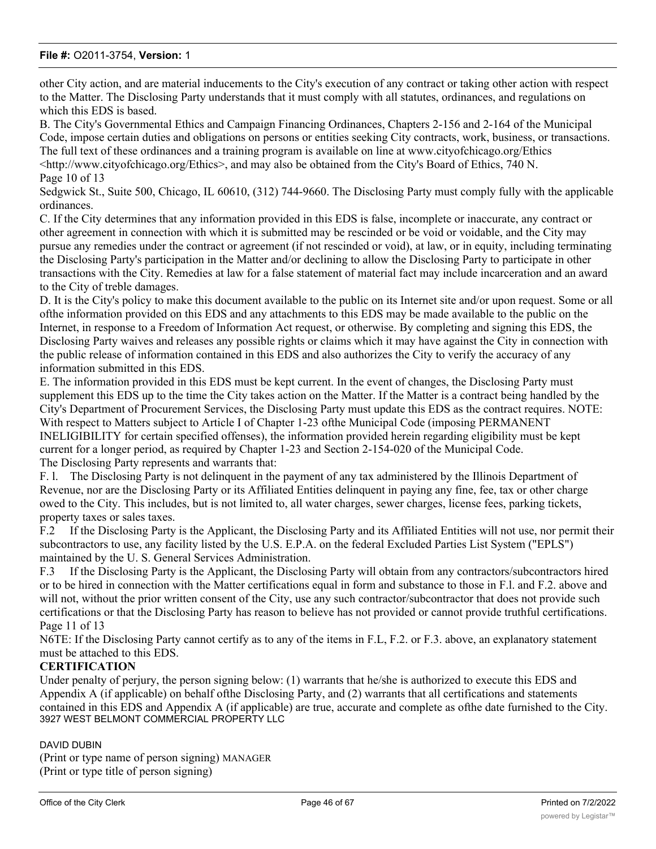other City action, and are material inducements to the City's execution of any contract or taking other action with respect to the Matter. The Disclosing Party understands that it must comply with all statutes, ordinances, and regulations on which this EDS is based.

B. The City's Governmental Ethics and Campaign Financing Ordinances, Chapters 2-156 and 2-164 of the Municipal Code, impose certain duties and obligations on persons or entities seeking City contracts, work, business, or transactions. The full text of these ordinances and a training program is available on line at www.cityofchicago.org/Ethics <http://www.cityofchicago.org/Ethics>, and may also be obtained from the City's Board of Ethics, 740 N. Page 10 of 13

Sedgwick St., Suite 500, Chicago, IL 60610, (312) 744-9660. The Disclosing Party must comply fully with the applicable ordinances.

C. If the City determines that any information provided in this EDS is false, incomplete or inaccurate, any contract or other agreement in connection with which it is submitted may be rescinded or be void or voidable, and the City may pursue any remedies under the contract or agreement (if not rescinded or void), at law, or in equity, including terminating the Disclosing Party's participation in the Matter and/or declining to allow the Disclosing Party to participate in other transactions with the City. Remedies at law for a false statement of material fact may include incarceration and an award to the City of treble damages.

D. It is the City's policy to make this document available to the public on its Internet site and/or upon request. Some or all ofthe information provided on this EDS and any attachments to this EDS may be made available to the public on the Internet, in response to a Freedom of Information Act request, or otherwise. By completing and signing this EDS, the Disclosing Party waives and releases any possible rights or claims which it may have against the City in connection with the public release of information contained in this EDS and also authorizes the City to verify the accuracy of any information submitted in this EDS.

E. The information provided in this EDS must be kept current. In the event of changes, the Disclosing Party must supplement this EDS up to the time the City takes action on the Matter. If the Matter is a contract being handled by the City's Department of Procurement Services, the Disclosing Party must update this EDS as the contract requires. NOTE: With respect to Matters subject to Article I of Chapter 1-23 ofthe Municipal Code (imposing PERMANENT INELIGIBILITY for certain specified offenses), the information provided herein regarding eligibility must be kept current for a longer period, as required by Chapter 1-23 and Section 2-154-020 of the Municipal Code. The Disclosing Party represents and warrants that:

F. l. The Disclosing Party is not delinquent in the payment of any tax administered by the Illinois Department of Revenue, nor are the Disclosing Party or its Affiliated Entities delinquent in paying any fine, fee, tax or other charge owed to the City. This includes, but is not limited to, all water charges, sewer charges, license fees, parking tickets, property taxes or sales taxes.

F.2 If the Disclosing Party is the Applicant, the Disclosing Party and its Affiliated Entities will not use, nor permit their subcontractors to use, any facility listed by the U.S. E.P.A. on the federal Excluded Parties List System ("EPLS") maintained by the U. S. General Services Administration.

F.3 If the Disclosing Party is the Applicant, the Disclosing Party will obtain from any contractors/subcontractors hired or to be hired in connection with the Matter certifications equal in form and substance to those in F.l. and F.2. above and will not, without the prior written consent of the City, use any such contractor/subcontractor that does not provide such certifications or that the Disclosing Party has reason to believe has not provided or cannot provide truthful certifications. Page 11 of 13

N6TE: If the Disclosing Party cannot certify as to any of the items in F.L, F.2. or F.3. above, an explanatory statement must be attached to this EDS.

#### **CERTIFICATION**

Under penalty of perjury, the person signing below: (1) warrants that he/she is authorized to execute this EDS and Appendix A (if applicable) on behalf ofthe Disclosing Party, and (2) warrants that all certifications and statements contained in this EDS and Appendix A (if applicable) are true, accurate and complete as ofthe date furnished to the City. 3927 WEST BELMONT COMMERCIAL PROPERTY LLC

#### DAVID DUBIN

(Print or type name of person signing) MANAGER (Print or type title of person signing)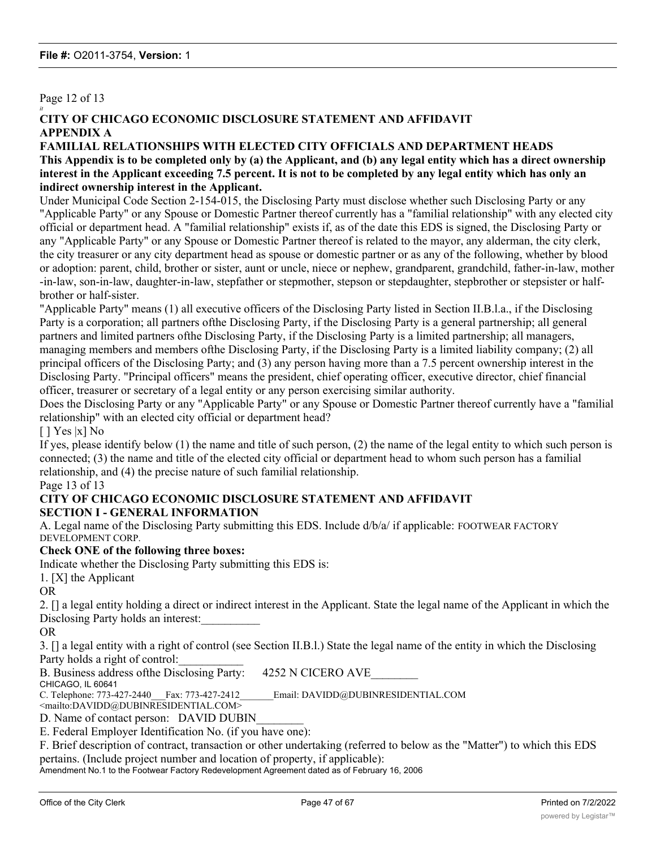### Page 12 of 13

#### *it* **CITY OF CHICAGO ECONOMIC DISCLOSURE STATEMENT AND AFFIDAVIT APPENDIX A**

#### **FAMILIAL RELATIONSHIPS WITH ELECTED CITY OFFICIALS AND DEPARTMENT HEADS This Appendix is to be completed only by (a) the Applicant, and (b) any legal entity which has a direct ownership interest in the Applicant exceeding 7.5 percent. It is not to be completed by any legal entity which has only an indirect ownership interest in the Applicant.**

Under Municipal Code Section 2-154-015, the Disclosing Party must disclose whether such Disclosing Party or any "Applicable Party" or any Spouse or Domestic Partner thereof currently has a "familial relationship" with any elected city official or department head. A "familial relationship" exists if, as of the date this EDS is signed, the Disclosing Party or any "Applicable Party" or any Spouse or Domestic Partner thereof is related to the mayor, any alderman, the city clerk, the city treasurer or any city department head as spouse or domestic partner or as any of the following, whether by blood or adoption: parent, child, brother or sister, aunt or uncle, niece or nephew, grandparent, grandchild, father-in-law, mother -in-law, son-in-law, daughter-in-law, stepfather or stepmother, stepson or stepdaughter, stepbrother or stepsister or halfbrother or half-sister.

"Applicable Party" means (1) all executive officers of the Disclosing Party listed in Section II.B.l.a., if the Disclosing Party is a corporation; all partners ofthe Disclosing Party, if the Disclosing Party is a general partnership; all general partners and limited partners ofthe Disclosing Party, if the Disclosing Party is a limited partnership; all managers, managing members and members ofthe Disclosing Party, if the Disclosing Party is a limited liability company; (2) all principal officers of the Disclosing Party; and (3) any person having more than a 7.5 percent ownership interest in the Disclosing Party. "Principal officers" means the president, chief operating officer, executive director, chief financial officer, treasurer or secretary of a legal entity or any person exercising similar authority.

Does the Disclosing Party or any "Applicable Party" or any Spouse or Domestic Partner thereof currently have a "familial relationship" with an elected city official or department head?

 $[$  | Yes  $|x]$  No

If yes, please identify below (1) the name and title of such person, (2) the name of the legal entity to which such person is connected; (3) the name and title of the elected city official or department head to whom such person has a familial relationship, and (4) the precise nature of such familial relationship.

#### Page 13 of 13

#### **CITY OF CHICAGO ECONOMIC DISCLOSURE STATEMENT AND AFFIDAVIT SECTION I - GENERAL INFORMATION**

A. Legal name of the Disclosing Party submitting this EDS. Include d/b/a/ if applicable: FOOTWEAR FACTORY DEVELOPMENT CORP.

#### **Check ONE of the following three boxes:**

Indicate whether the Disclosing Party submitting this EDS is:

1. [X] the Applicant

OR

2. [] a legal entity holding a direct or indirect interest in the Applicant. State the legal name of the Applicant in which the Disclosing Party holds an interest:

OR

3. [] a legal entity with a right of control (see Section II.B.l.) State the legal name of the entity in which the Disclosing Party holds a right of control:

B. Business address of the Disclosing Party: 4252 N CICERO AVE

CHICAGO, IL 60641

C. Telephone: 773-427-2440 Fax: 773-427-2412 Email: DAVIDD@DUBINRESIDENTIAL.COM

<mailto:DAVIDD@DUBINRESIDENTIAL.COM>

D. Name of contact person: DAVID DUBIN

E. Federal Employer Identification No. (if you have one):

F. Brief description of contract, transaction or other undertaking (referred to below as the "Matter") to which this EDS pertains. (Include project number and location of property, if applicable):

Amendment No.1 to the Footwear Factory Redevelopment Agreement dated as of February 16, 2006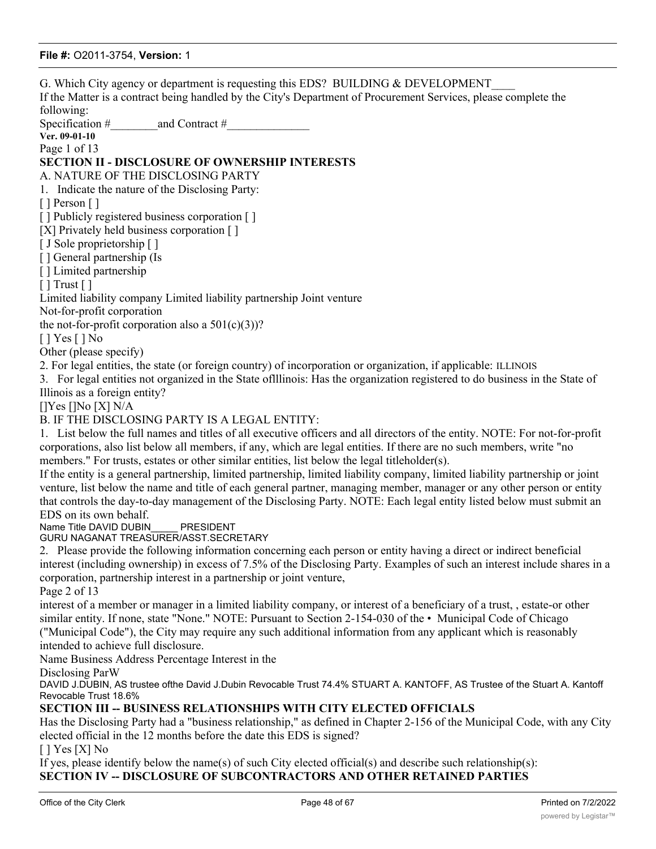G. Which City agency or department is requesting this EDS? BUILDING & DEVELOPMENT If the Matter is a contract being handled by the City's Department of Procurement Services, please complete the following: Specification #\_\_\_\_\_\_\_\_and Contract #\_\_\_\_\_\_\_\_\_\_\_\_\_\_ **Ver. 09-01-10** Page 1 of 13 **SECTION II - DISCLOSURE OF OWNERSHIP INTERESTS** A. NATURE OF THE DISCLOSING PARTY 1. Indicate the nature of the Disclosing Party: [ ] Person [ ] [ ] Publicly registered business corporation [ ] [X] Privately held business corporation [] [ J Sole proprietorship [ ] [ ] General partnership (Is [ ] Limited partnership  $[ ]$  Trust  $[ ]$ Limited liability company Limited liability partnership Joint venture Not-for-profit corporation the not-for-profit corporation also a  $501(c)(3)$ ? [ ] Yes [ ] No Other (please specify) 2. For legal entities, the state (or foreign country) of incorporation or organization, if applicable: ILLINOIS 3. For legal entities not organized in the State oflllinois: Has the organization registered to do business in the State of Illinois as a foreign entity? []Yes []No [X] N/A B. IF THE DISCLOSING PARTY IS A LEGAL ENTITY: 1. List below the full names and titles of all executive officers and all directors of the entity. NOTE: For not-for-profit corporations, also list below all members, if any, which are legal entities. If there are no such members, write "no members." For trusts, estates or other similar entities, list below the legal titleholder(s). If the entity is a general partnership, limited partnership, limited liability company, limited liability partnership or joint venture, list below the name and title of each general partner, managing member, manager or any other person or entity that controls the day-to-day management of the Disclosing Party. NOTE: Each legal entity listed below must submit an EDS on its own behalf. Name Title DAVID DUBIN PRESIDENT GURU NAGANAT TREASURER/ASST.SECRETARY 2. Please provide the following information concerning each person or entity having a direct or indirect beneficial interest (including ownership) in excess of 7.5% of the Disclosing Party. Examples of such an interest include shares in a corporation, partnership interest in a partnership or joint venture, Page 2 of 13 interest of a member or manager in a limited liability company, or interest of a beneficiary of a trust, , estate-or other similar entity. If none, state "None." NOTE: Pursuant to Section 2-154-030 of the • Municipal Code of Chicago ("Municipal Code"), the City may require any such additional information from any applicant which is reasonably intended to achieve full disclosure. Name Business Address Percentage Interest in the Disclosing ParW DAVID J.DUBIN, AS trustee ofthe David J.Dubin Revocable Trust 74.4% STUART A. KANTOFF, AS Trustee of the Stuart A. Kantoff Revocable Trust 18.6% **SECTION III -- BUSINESS RELATIONSHIPS WITH CITY ELECTED OFFICIALS** Has the Disclosing Party had a "business relationship," as defined in Chapter 2-156 of the Municipal Code, with any City elected official in the 12 months before the date this EDS is signed? [ ] Yes [X] No If yes, please identify below the name(s) of such City elected official(s) and describe such relationship(s): **SECTION IV -- DISCLOSURE OF SUBCONTRACTORS AND OTHER RETAINED PARTIES** The Disclosing Party must disclose the name and business address of each subcontractor, attorney, lobbyist, accountant, Office of the City Clerk **Page 48** of 67 Printed on 7/2/2022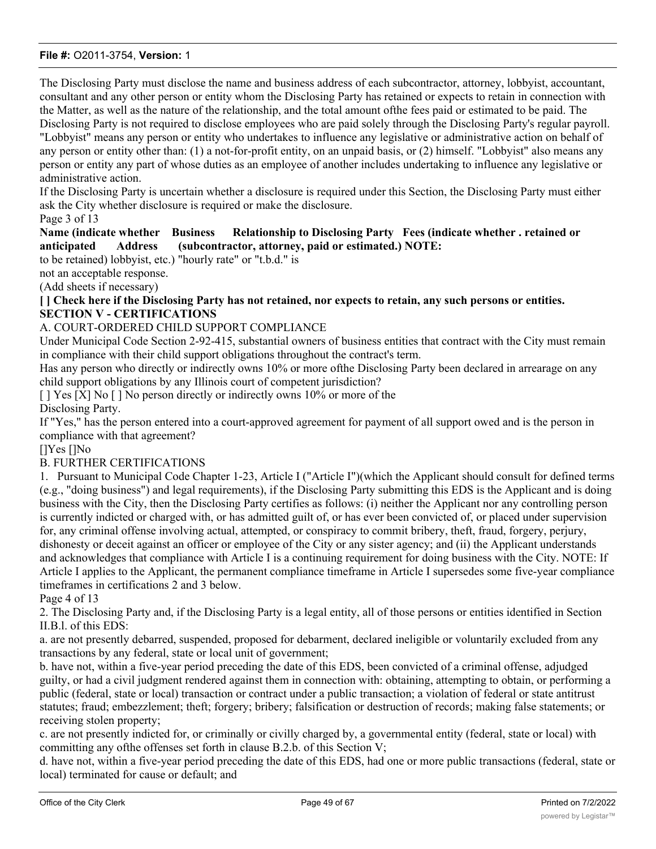The Disclosing Party must disclose the name and business address of each subcontractor, attorney, lobbyist, accountant, consultant and any other person or entity whom the Disclosing Party has retained or expects to retain in connection with the Matter, as well as the nature of the relationship, and the total amount ofthe fees paid or estimated to be paid. The Disclosing Party is not required to disclose employees who are paid solely through the Disclosing Party's regular payroll. "Lobbyist" means any person or entity who undertakes to influence any legislative or administrative action on behalf of any person or entity other than: (1) a not-for-profit entity, on an unpaid basis, or (2) himself. "Lobbyist" also means any person or entity any part of whose duties as an employee of another includes undertaking to influence any legislative or administrative action.

If the Disclosing Party is uncertain whether a disclosure is required under this Section, the Disclosing Party must either ask the City whether disclosure is required or make the disclosure.

#### Page 3 of 13

#### **Name (indicate whether Business Relationship to Disclosing Party Fees (indicate whether . retained or anticipated Address (subcontractor, attorney, paid or estimated.) NOTE:**

to be retained) lobbyist, etc.) "hourly rate" or "t.b.d." is

not an acceptable response.

(Add sheets if necessary)

**[ ] Check here if the Disclosing Party has not retained, nor expects to retain, any such persons or entities. SECTION V - CERTIFICATIONS**

#### A. COURT-ORDERED CHILD SUPPORT COMPLIANCE

Under Municipal Code Section 2-92-415, substantial owners of business entities that contract with the City must remain in compliance with their child support obligations throughout the contract's term.

Has any person who directly or indirectly owns 10% or more ofthe Disclosing Party been declared in arrearage on any child support obligations by any Illinois court of competent jurisdiction?

[ ] Yes [X] No [ ] No person directly or indirectly owns 10% or more of the Disclosing Party.

If "Yes," has the person entered into a court-approved agreement for payment of all support owed and is the person in compliance with that agreement?

[]Yes []No

#### B. FURTHER CERTIFICATIONS

1. Pursuant to Municipal Code Chapter 1-23, Article I ("Article I")(which the Applicant should consult for defined terms (e.g., "doing business") and legal requirements), if the Disclosing Party submitting this EDS is the Applicant and is doing business with the City, then the Disclosing Party certifies as follows: (i) neither the Applicant nor any controlling person is currently indicted or charged with, or has admitted guilt of, or has ever been convicted of, or placed under supervision for, any criminal offense involving actual, attempted, or conspiracy to commit bribery, theft, fraud, forgery, perjury, dishonesty or deceit against an officer or employee of the City or any sister agency; and (ii) the Applicant understands and acknowledges that compliance with Article I is a continuing requirement for doing business with the City. NOTE: If Article I applies to the Applicant, the permanent compliance timeframe in Article I supersedes some five-year compliance timeframes in certifications 2 and 3 below.

Page 4 of 13

2. The Disclosing Party and, if the Disclosing Party is a legal entity, all of those persons or entities identified in Section II.B.l. of this EDS:

a. are not presently debarred, suspended, proposed for debarment, declared ineligible or voluntarily excluded from any transactions by any federal, state or local unit of government;

b. have not, within a five-year period preceding the date of this EDS, been convicted of a criminal offense, adjudged guilty, or had a civil judgment rendered against them in connection with: obtaining, attempting to obtain, or performing a public (federal, state or local) transaction or contract under a public transaction; a violation of federal or state antitrust statutes; fraud; embezzlement; theft; forgery; bribery; falsification or destruction of records; making false statements; or receiving stolen property;

c. are not presently indicted for, or criminally or civilly charged by, a governmental entity (federal, state or local) with committing any ofthe offenses set forth in clause B.2.b. of this Section V;

d. have not, within a five-year period preceding the date of this EDS, had one or more public transactions (federal, state or local) terminated for cause or default; and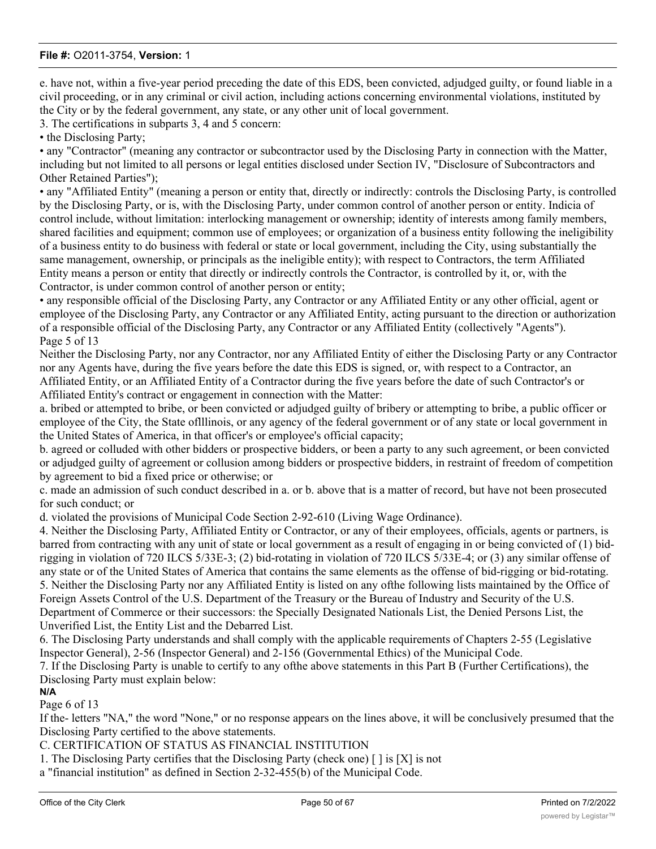e. have not, within a five-year period preceding the date of this EDS, been convicted, adjudged guilty, or found liable in a civil proceeding, or in any criminal or civil action, including actions concerning environmental violations, instituted by the City or by the federal government, any state, or any other unit of local government.

3. The certifications in subparts 3, 4 and 5 concern:

• the Disclosing Party;

• any "Contractor" (meaning any contractor or subcontractor used by the Disclosing Party in connection with the Matter, including but not limited to all persons or legal entities disclosed under Section IV, "Disclosure of Subcontractors and Other Retained Parties");

• any "Affiliated Entity" (meaning a person or entity that, directly or indirectly: controls the Disclosing Party, is controlled by the Disclosing Party, or is, with the Disclosing Party, under common control of another person or entity. Indicia of control include, without limitation: interlocking management or ownership; identity of interests among family members, shared facilities and equipment; common use of employees; or organization of a business entity following the ineligibility of a business entity to do business with federal or state or local government, including the City, using substantially the same management, ownership, or principals as the ineligible entity); with respect to Contractors, the term Affiliated Entity means a person or entity that directly or indirectly controls the Contractor, is controlled by it, or, with the Contractor, is under common control of another person or entity;

• any responsible official of the Disclosing Party, any Contractor or any Affiliated Entity or any other official, agent or employee of the Disclosing Party, any Contractor or any Affiliated Entity, acting pursuant to the direction or authorization of a responsible official of the Disclosing Party, any Contractor or any Affiliated Entity (collectively "Agents"). Page 5 of 13

Neither the Disclosing Party, nor any Contractor, nor any Affiliated Entity of either the Disclosing Party or any Contractor nor any Agents have, during the five years before the date this EDS is signed, or, with respect to a Contractor, an Affiliated Entity, or an Affiliated Entity of a Contractor during the five years before the date of such Contractor's or Affiliated Entity's contract or engagement in connection with the Matter:

a. bribed or attempted to bribe, or been convicted or adjudged guilty of bribery or attempting to bribe, a public officer or employee of the City, the State oflllinois, or any agency of the federal government or of any state or local government in the United States of America, in that officer's or employee's official capacity;

b. agreed or colluded with other bidders or prospective bidders, or been a party to any such agreement, or been convicted or adjudged guilty of agreement or collusion among bidders or prospective bidders, in restraint of freedom of competition by agreement to bid a fixed price or otherwise; or

c. made an admission of such conduct described in a. or b. above that is a matter of record, but have not been prosecuted for such conduct; or

d. violated the provisions of Municipal Code Section 2-92-610 (Living Wage Ordinance).

4. Neither the Disclosing Party, Affiliated Entity or Contractor, or any of their employees, officials, agents or partners, is barred from contracting with any unit of state or local government as a result of engaging in or being convicted of (1) bidrigging in violation of 720 ILCS 5/33E-3; (2) bid-rotating in violation of 720 ILCS 5/33E-4; or (3) any similar offense of any state or of the United States of America that contains the same elements as the offense of bid-rigging or bid-rotating. 5. Neither the Disclosing Party nor any Affiliated Entity is listed on any ofthe following lists maintained by the Office of Foreign Assets Control of the U.S. Department of the Treasury or the Bureau of Industry and Security of the U.S. Department of Commerce or their successors: the Specially Designated Nationals List, the Denied Persons List, the Unverified List, the Entity List and the Debarred List.

6. The Disclosing Party understands and shall comply with the applicable requirements of Chapters 2-55 (Legislative Inspector General), 2-56 (Inspector General) and 2-156 (Governmental Ethics) of the Municipal Code.

7. If the Disclosing Party is unable to certify to any ofthe above statements in this Part B (Further Certifications), the Disclosing Party must explain below:

**N/A**

Page 6 of 13

If the- letters "NA," the word "None," or no response appears on the lines above, it will be conclusively presumed that the Disclosing Party certified to the above statements.

C. CERTIFICATION OF STATUS AS FINANCIAL INSTITUTION

1. The Disclosing Party certifies that the Disclosing Party (check one)  $\lceil \cdot \rceil$  is  $\lceil X \rceil$  is not

a "financial institution" as defined in Section 2-32-455(b) of the Municipal Code.  $2.1\pm1.0$  is the Disclosing Party IS a final institution, then the Disclosing Party pledges: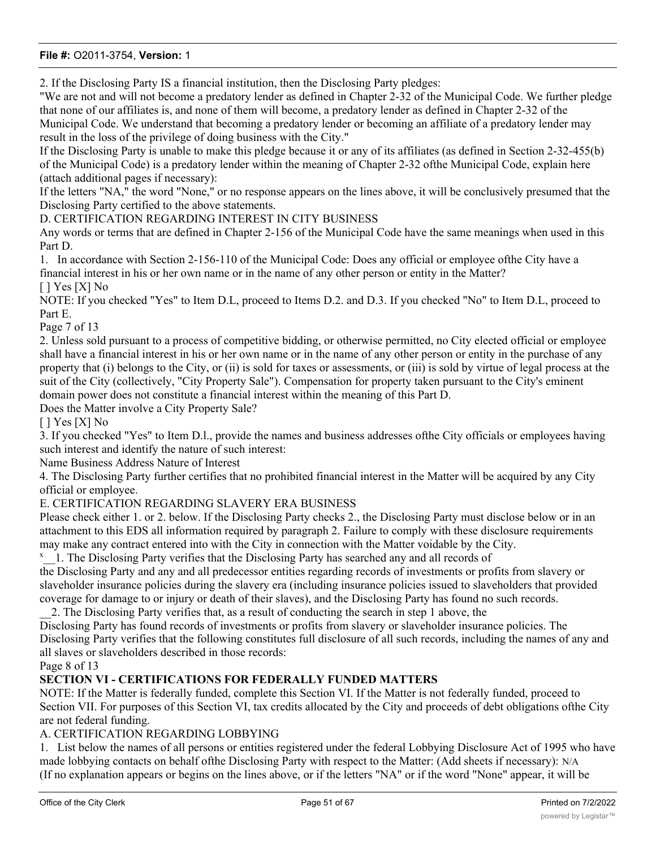2. If the Disclosing Party IS a financial institution, then the Disclosing Party pledges:

"We are not and will not become a predatory lender as defined in Chapter 2-32 of the Municipal Code. We further pledge that none of our affiliates is, and none of them will become, a predatory lender as defined in Chapter 2-32 of the Municipal Code. We understand that becoming a predatory lender or becoming an affiliate of a predatory lender may result in the loss of the privilege of doing business with the City."

If the Disclosing Party is unable to make this pledge because it or any of its affiliates (as defined in Section 2-32-455(b) of the Municipal Code) is a predatory lender within the meaning of Chapter 2-32 ofthe Municipal Code, explain here (attach additional pages if necessary):

If the letters "NA," the word "None," or no response appears on the lines above, it will be conclusively presumed that the Disclosing Party certified to the above statements.

D. CERTIFICATION REGARDING INTEREST IN CITY BUSINESS

Any words or terms that are defined in Chapter 2-156 of the Municipal Code have the same meanings when used in this Part D.

1. In accordance with Section 2-156-110 of the Municipal Code: Does any official or employee ofthe City have a financial interest in his or her own name or in the name of any other person or entity in the Matter?  $[$   $]$  Yes  $[X]$  No

NOTE: If you checked "Yes" to Item D.L, proceed to Items D.2. and D.3. If you checked "No" to Item D.L, proceed to Part E.

Page 7 of 13

2. Unless sold pursuant to a process of competitive bidding, or otherwise permitted, no City elected official or employee shall have a financial interest in his or her own name or in the name of any other person or entity in the purchase of any property that (i) belongs to the City, or (ii) is sold for taxes or assessments, or (iii) is sold by virtue of legal process at the suit of the City (collectively, "City Property Sale"). Compensation for property taken pursuant to the City's eminent domain power does not constitute a financial interest within the meaning of this Part D.

Does the Matter involve a City Property Sale?

 $[$   $]$  Yes  $[X]$  No

3. If you checked "Yes" to Item D.l., provide the names and business addresses ofthe City officials or employees having such interest and identify the nature of such interest:

Name Business Address Nature of Interest

4. The Disclosing Party further certifies that no prohibited financial interest in the Matter will be acquired by any City official or employee.

#### E. CERTIFICATION REGARDING SLAVERY ERA BUSINESS

Please check either 1. or 2. below. If the Disclosing Party checks 2., the Disclosing Party must disclose below or in an attachment to this EDS all information required by paragraph 2. Failure to comply with these disclosure requirements may make any contract entered into with the City in connection with the Matter voidable by the City.

<sup>x</sup> 1. The Disclosing Party verifies that the Disclosing Party has searched any and all records of

the Disclosing Party and any and all predecessor entities regarding records of investments or profits from slavery or slaveholder insurance policies during the slavery era (including insurance policies issued to slaveholders that provided coverage for damage to or injury or death of their slaves), and the Disclosing Party has found no such records.

\_\_2. The Disclosing Party verifies that, as a result of conducting the search in step 1 above, the Disclosing Party has found records of investments or profits from slavery or slaveholder insurance policies. The Disclosing Party verifies that the following constitutes full disclosure of all such records, including the names of any and

all slaves or slaveholders described in those records:

Page 8 of 13

## **SECTION VI - CERTIFICATIONS FOR FEDERALLY FUNDED MATTERS**

NOTE: If the Matter is federally funded, complete this Section VI. If the Matter is not federally funded, proceed to Section VII. For purposes of this Section VI, tax credits allocated by the City and proceeds of debt obligations ofthe City are not federal funding.

#### A. CERTIFICATION REGARDING LOBBYING

1. List below the names of all persons or entities registered under the federal Lobbying Disclosure Act of 1995 who have made lobbying contacts on behalf ofthe Disclosing Party with respect to the Matter: (Add sheets if necessary): N/A (If no explanation appears or begins on the lines above, or if the letters "NA" or if the word "None" appear, it will be

conclusively presumed that the Disclosing Party means that NO persons or entities registered under the Lobbying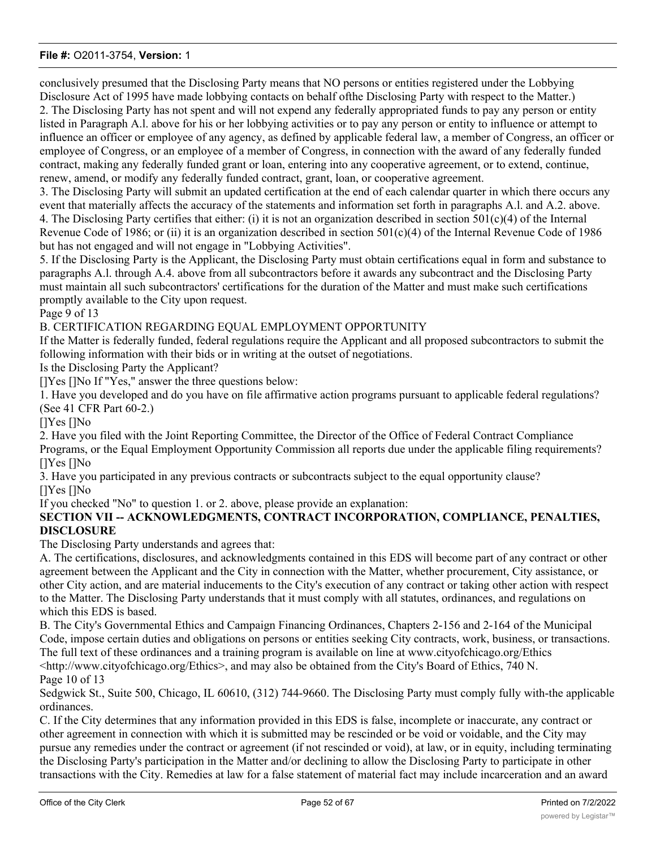conclusively presumed that the Disclosing Party means that NO persons or entities registered under the Lobbying Disclosure Act of 1995 have made lobbying contacts on behalf ofthe Disclosing Party with respect to the Matter.) 2. The Disclosing Party has not spent and will not expend any federally appropriated funds to pay any person or entity listed in Paragraph A.l. above for his or her lobbying activities or to pay any person or entity to influence or attempt to influence an officer or employee of any agency, as defined by applicable federal law, a member of Congress, an officer or employee of Congress, or an employee of a member of Congress, in connection with the award of any federally funded contract, making any federally funded grant or loan, entering into any cooperative agreement, or to extend, continue, renew, amend, or modify any federally funded contract, grant, loan, or cooperative agreement.

3. The Disclosing Party will submit an updated certification at the end of each calendar quarter in which there occurs any event that materially affects the accuracy of the statements and information set forth in paragraphs A.l. and A.2. above. 4. The Disclosing Party certifies that either: (i) it is not an organization described in section  $501(c)(4)$  of the Internal Revenue Code of 1986; or (ii) it is an organization described in section  $501(c)(4)$  of the Internal Revenue Code of 1986 but has not engaged and will not engage in "Lobbying Activities".

5. If the Disclosing Party is the Applicant, the Disclosing Party must obtain certifications equal in form and substance to paragraphs A.l. through A.4. above from all subcontractors before it awards any subcontract and the Disclosing Party must maintain all such subcontractors' certifications for the duration of the Matter and must make such certifications promptly available to the City upon request.

#### Page 9 of 13

B. CERTIFICATION REGARDING EQUAL EMPLOYMENT OPPORTUNITY

If the Matter is federally funded, federal regulations require the Applicant and all proposed subcontractors to submit the following information with their bids or in writing at the outset of negotiations.

Is the Disclosing Party the Applicant?

[]Yes []No If "Yes," answer the three questions below:

1. Have you developed and do you have on file affirmative action programs pursuant to applicable federal regulations? (See 41 CFR Part 60-2.)

[]Yes []No

2. Have you filed with the Joint Reporting Committee, the Director of the Office of Federal Contract Compliance Programs, or the Equal Employment Opportunity Commission all reports due under the applicable filing requirements? []Yes []No

3. Have you participated in any previous contracts or subcontracts subject to the equal opportunity clause? []Yes []No

If you checked "No" to question 1. or 2. above, please provide an explanation:

#### **SECTION VII -- ACKNOWLEDGMENTS, CONTRACT INCORPORATION, COMPLIANCE, PENALTIES, DISCLOSURE**

The Disclosing Party understands and agrees that:

A. The certifications, disclosures, and acknowledgments contained in this EDS will become part of any contract or other agreement between the Applicant and the City in connection with the Matter, whether procurement, City assistance, or other City action, and are material inducements to the City's execution of any contract or taking other action with respect to the Matter. The Disclosing Party understands that it must comply with all statutes, ordinances, and regulations on which this EDS is based.

B. The City's Governmental Ethics and Campaign Financing Ordinances, Chapters 2-156 and 2-164 of the Municipal Code, impose certain duties and obligations on persons or entities seeking City contracts, work, business, or transactions. The full text of these ordinances and a training program is available on line at www.cityofchicago.org/Ethics <http://www.cityofchicago.org/Ethics>, and may also be obtained from the City's Board of Ethics, 740 N. Page 10 of 13

Sedgwick St., Suite 500, Chicago, IL 60610, (312) 744-9660. The Disclosing Party must comply fully with-the applicable ordinances.

C. If the City determines that any information provided in this EDS is false, incomplete or inaccurate, any contract or other agreement in connection with which it is submitted may be rescinded or be void or voidable, and the City may pursue any remedies under the contract or agreement (if not rescinded or void), at law, or in equity, including terminating the Disclosing Party's participation in the Matter and/or declining to allow the Disclosing Party to participate in other transactions with the City. Remedies at law for a false statement of material fact may include incarceration and an award

to the City of treble damages.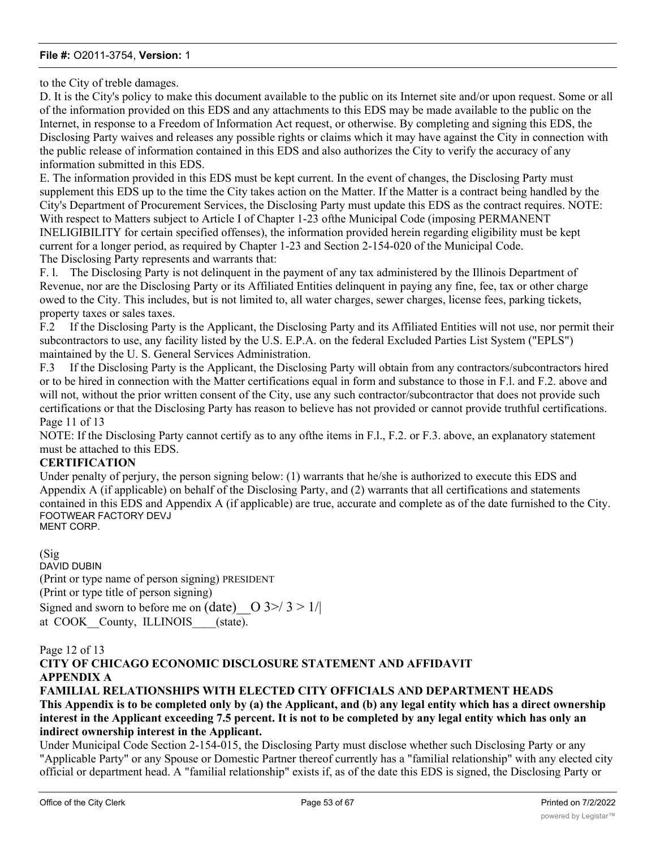to the City of treble damages.

D. It is the City's policy to make this document available to the public on its Internet site and/or upon request. Some or all of the information provided on this EDS and any attachments to this EDS may be made available to the public on the Internet, in response to a Freedom of Information Act request, or otherwise. By completing and signing this EDS, the Disclosing Party waives and releases any possible rights or claims which it may have against the City in connection with the public release of information contained in this EDS and also authorizes the City to verify the accuracy of any information submitted in this EDS.

E. The information provided in this EDS must be kept current. In the event of changes, the Disclosing Party must supplement this EDS up to the time the City takes action on the Matter. If the Matter is a contract being handled by the City's Department of Procurement Services, the Disclosing Party must update this EDS as the contract requires. NOTE: With respect to Matters subject to Article I of Chapter 1-23 ofthe Municipal Code (imposing PERMANENT INELIGIBILITY for certain specified offenses), the information provided herein regarding eligibility must be kept current for a longer period, as required by Chapter 1-23 and Section 2-154-020 of the Municipal Code. The Disclosing Party represents and warrants that:

F. l. The Disclosing Party is not delinquent in the payment of any tax administered by the Illinois Department of Revenue, nor are the Disclosing Party or its Affiliated Entities delinquent in paying any fine, fee, tax or other charge owed to the City. This includes, but is not limited to, all water charges, sewer charges, license fees, parking tickets, property taxes or sales taxes.

F.2 If the Disclosing Party is the Applicant, the Disclosing Party and its Affiliated Entities will not use, nor permit their subcontractors to use, any facility listed by the U.S. E.P.A. on the federal Excluded Parties List System ("EPLS") maintained by the U. S. General Services Administration.

F.3 If the Disclosing Party is the Applicant, the Disclosing Party will obtain from any contractors/subcontractors hired or to be hired in connection with the Matter certifications equal in form and substance to those in F.l. and F.2. above and will not, without the prior written consent of the City, use any such contractor/subcontractor that does not provide such certifications or that the Disclosing Party has reason to believe has not provided or cannot provide truthful certifications. Page 11 of 13

NOTE: If the Disclosing Party cannot certify as to any ofthe items in F.l., F.2. or F.3. above, an explanatory statement must be attached to this EDS.

#### **CERTIFICATION**

Under penalty of perjury, the person signing below: (1) warrants that he/she is authorized to execute this EDS and Appendix A (if applicable) on behalf of the Disclosing Party, and (2) warrants that all certifications and statements contained in this EDS and Appendix A (if applicable) are true, accurate and complete as of the date furnished to the City. FOOTWEAR FACTORY DEVJ MENT CORP.

(Sig DAVID DUBIN (Print or type name of person signing) PRESIDENT (Print or type title of person signing) Signed and sworn to before me on (date)  $\vert$  O 3>/ 3 > 1/| at COOK County, ILLINOIS (state).

# Page 12 of 13 **CITY OF CHICAGO ECONOMIC DISCLOSURE STATEMENT AND AFFIDAVIT APPENDIX A**

# **FAMILIAL RELATIONSHIPS WITH ELECTED CITY OFFICIALS AND DEPARTMENT HEADS This Appendix is to be completed only by (a) the Applicant, and (b) any legal entity which has a direct ownership interest in the Applicant exceeding 7.5 percent. It is not to be completed by any legal entity which has only an indirect ownership interest in the Applicant.**

Under Municipal Code Section 2-154-015, the Disclosing Party must disclose whether such Disclosing Party or any "Applicable Party" or any Spouse or Domestic Partner thereof currently has a "familial relationship" with any elected city official or department head. A "familial relationship" exists if, as of the date this EDS is signed, the Disclosing Party or

any "Applicable Party" or any Spouse or Domestic Partner thereof is related to the mayor, any alderman, the city clerk,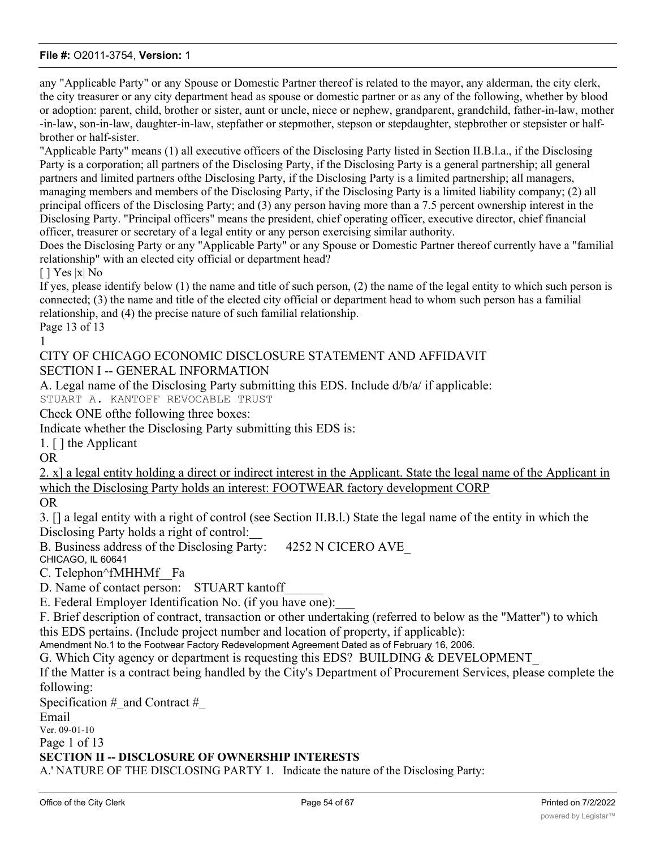any "Applicable Party" or any Spouse or Domestic Partner thereof is related to the mayor, any alderman, the city clerk, the city treasurer or any city department head as spouse or domestic partner or as any of the following, whether by blood or adoption: parent, child, brother or sister, aunt or uncle, niece or nephew, grandparent, grandchild, father-in-law, mother -in-law, son-in-law, daughter-in-law, stepfather or stepmother, stepson or stepdaughter, stepbrother or stepsister or halfbrother or half-sister.

"Applicable Party" means (1) all executive officers of the Disclosing Party listed in Section II.B.l.a., if the Disclosing Party is a corporation; all partners of the Disclosing Party, if the Disclosing Party is a general partnership; all general partners and limited partners ofthe Disclosing Party, if the Disclosing Party is a limited partnership; all managers, managing members and members of the Disclosing Party, if the Disclosing Party is a limited liability company; (2) all principal officers of the Disclosing Party; and (3) any person having more than a 7.5 percent ownership interest in the Disclosing Party. "Principal officers" means the president, chief operating officer, executive director, chief financial officer, treasurer or secretary of a legal entity or any person exercising similar authority.

Does the Disclosing Party or any "Applicable Party" or any Spouse or Domestic Partner thereof currently have a "familial relationship" with an elected city official or department head?

[ ] Yes |x| No

If yes, please identify below (1) the name and title of such person, (2) the name of the legal entity to which such person is connected; (3) the name and title of the elected city official or department head to whom such person has a familial relationship, and (4) the precise nature of such familial relationship. Page 13 of 13

1

# CITY OF CHICAGO ECONOMIC DISCLOSURE STATEMENT AND AFFIDAVIT SECTION I -- GENERAL INFORMATION

A. Legal name of the Disclosing Party submitting this EDS. Include d/b/a/ if applicable: STUART A. KANTOFF REVOCABLE TRUST

Check ONE ofthe following three boxes:

Indicate whether the Disclosing Party submitting this EDS is:

1. [ ] the Applicant

OR

2. x] a legal entity holding a direct or indirect interest in the Applicant. State the legal name of the Applicant in which the Disclosing Party holds an interest: FOOTWEAR factory development CORP

OR

3. [] a legal entity with a right of control (see Section II.B.l.) State the legal name of the entity in which the Disclosing Party holds a right of control:

B. Business address of the Disclosing Party: 4252 N CICERO AVE

CHICAGO, IL 60641

C. Telephon^fMHHMf Fa

D. Name of contact person: STUART kantoff

E. Federal Employer Identification No. (if you have one):

F. Brief description of contract, transaction or other undertaking (referred to below as the "Matter") to which this EDS pertains. (Include project number and location of property, if applicable):

Amendment No.1 to the Footwear Factory Redevelopment Agreement Dated as of February 16, 2006.

G. Which City agency or department is requesting this EDS? BUILDING & DEVELOPMENT\_

If the Matter is a contract being handled by the City's Department of Procurement Services, please complete the following:

Specification  $\#$  and Contract  $\#$ 

Email

Ver. 09-01-10

Page 1 of 13

### **SECTION II -- DISCLOSURE OF OWNERSHIP INTERESTS**

A.' NATURE OF THE DISCLOSING PARTY 1. Indicate the nature of the Disclosing Party: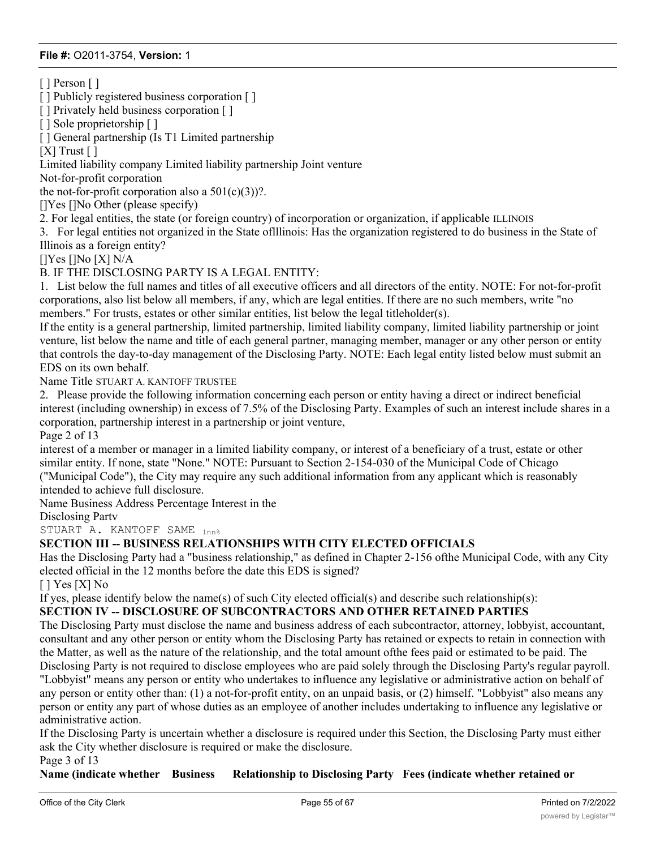[ ] Person [ ]

[ ] Publicly registered business corporation [ ]

[ ] Privately held business corporation [ ]

[ ] Sole proprietorship [ ]

[ ] General partnership (Is T1 Limited partnership

 $[X]$  Trust  $[ ]$ 

Limited liability company Limited liability partnership Joint venture

Not-for-profit corporation

the not-for-profit corporation also a  $501(c)(3)$ ?.

[]Yes []No Other (please specify)

2. For legal entities, the state (or foreign country) of incorporation or organization, if applicable ILLINOIS

3. For legal entities not organized in the State oflllinois: Has the organization registered to do business in the State of Illinois as a foreign entity?

[]Yes []No [X] N/A

# B. IF THE DISCLOSING PARTY IS A LEGAL ENTITY:

1. List below the full names and titles of all executive officers and all directors of the entity. NOTE: For not-for-profit corporations, also list below all members, if any, which are legal entities. If there are no such members, write "no members." For trusts, estates or other similar entities, list below the legal titleholder(s).

If the entity is a general partnership, limited partnership, limited liability company, limited liability partnership or joint venture, list below the name and title of each general partner, managing member, manager or any other person or entity that controls the day-to-day management of the Disclosing Party. NOTE: Each legal entity listed below must submit an EDS on its own behalf.

Name Title STUART A. KANTOFF TRUSTEE

2. Please provide the following information concerning each person or entity having a direct or indirect beneficial interest (including ownership) in excess of 7.5% of the Disclosing Party. Examples of such an interest include shares in a corporation, partnership interest in a partnership or joint venture,

Page 2 of 13

interest of a member or manager in a limited liability company, or interest of a beneficiary of a trust, estate or other similar entity. If none, state "None." NOTE: Pursuant to Section 2-154-030 of the Municipal Code of Chicago ("Municipal Code"), the City may require any such additional information from any applicant which is reasonably intended to achieve full disclosure.

Name Business Address Percentage Interest in the

Disclosing Partv

STUART A. KANTOFF SAME  $_{1nn*}$ 

#### **SECTION III -- BUSINESS RELATIONSHIPS WITH CITY ELECTED OFFICIALS**

**anticipated Address (subcontractor, attorney, paid or estimated.) NOTE:**

Has the Disclosing Party had a "business relationship," as defined in Chapter 2-156 ofthe Municipal Code, with any City elected official in the 12 months before the date this EDS is signed?

[ ] Yes [X] No

If yes, please identify below the name(s) of such City elected official(s) and describe such relationship(s):

# **SECTION IV -- DISCLOSURE OF SUBCONTRACTORS AND OTHER RETAINED PARTIES**

The Disclosing Party must disclose the name and business address of each subcontractor, attorney, lobbyist, accountant, consultant and any other person or entity whom the Disclosing Party has retained or expects to retain in connection with the Matter, as well as the nature of the relationship, and the total amount ofthe fees paid or estimated to be paid. The Disclosing Party is not required to disclose employees who are paid solely through the Disclosing Party's regular payroll. "Lobbyist" means any person or entity who undertakes to influence any legislative or administrative action on behalf of any person or entity other than: (1) a not-for-profit entity, on an unpaid basis, or (2) himself. "Lobbyist" also means any person or entity any part of whose duties as an employee of another includes undertaking to influence any legislative or administrative action.

If the Disclosing Party is uncertain whether a disclosure is required under this Section, the Disclosing Party must either ask the City whether disclosure is required or make the disclosure. Page 3 of 13

**Name (indicate whether Business Relationship to Disclosing Party Fees (indicate whether retained or**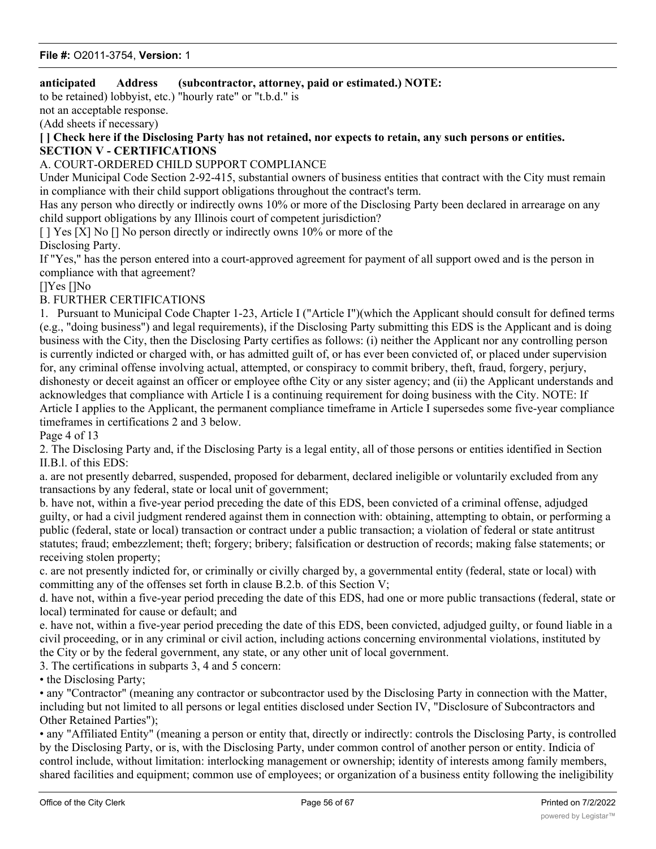# **anticipated Address (subcontractor, attorney, paid or estimated.) NOTE:**

to be retained) lobbyist, etc.) "hourly rate" or "t.b.d." is

not an acceptable response.

(Add sheets if necessary)

### **[ ] Check here if the Disclosing Party has not retained, nor expects to retain, any such persons or entities. SECTION V - CERTIFICATIONS**

### A. COURT-ORDERED CHILD SUPPORT COMPLIANCE

Under Municipal Code Section 2-92-415, substantial owners of business entities that contract with the City must remain in compliance with their child support obligations throughout the contract's term.

Has any person who directly or indirectly owns 10% or more of the Disclosing Party been declared in arrearage on any child support obligations by any Illinois court of competent jurisdiction?

[ ] Yes [X] No [] No person directly or indirectly owns 10% or more of the

Disclosing Party.

If "Yes," has the person entered into a court-approved agreement for payment of all support owed and is the person in compliance with that agreement?

[]Yes []No

#### B. FURTHER CERTIFICATIONS

1. Pursuant to Municipal Code Chapter 1-23, Article I ("Article I")(which the Applicant should consult for defined terms (e.g., "doing business") and legal requirements), if the Disclosing Party submitting this EDS is the Applicant and is doing business with the City, then the Disclosing Party certifies as follows: (i) neither the Applicant nor any controlling person is currently indicted or charged with, or has admitted guilt of, or has ever been convicted of, or placed under supervision for, any criminal offense involving actual, attempted, or conspiracy to commit bribery, theft, fraud, forgery, perjury, dishonesty or deceit against an officer or employee ofthe City or any sister agency; and (ii) the Applicant understands and acknowledges that compliance with Article I is a continuing requirement for doing business with the City. NOTE: If Article I applies to the Applicant, the permanent compliance timeframe in Article I supersedes some five-year compliance timeframes in certifications 2 and 3 below.

Page 4 of 13

2. The Disclosing Party and, if the Disclosing Party is a legal entity, all of those persons or entities identified in Section II.B.l. of this EDS:

a. are not presently debarred, suspended, proposed for debarment, declared ineligible or voluntarily excluded from any transactions by any federal, state or local unit of government;

b. have not, within a five-year period preceding the date of this EDS, been convicted of a criminal offense, adjudged guilty, or had a civil judgment rendered against them in connection with: obtaining, attempting to obtain, or performing a public (federal, state or local) transaction or contract under a public transaction; a violation of federal or state antitrust statutes; fraud; embezzlement; theft; forgery; bribery; falsification or destruction of records; making false statements; or receiving stolen property;

c. are not presently indicted for, or criminally or civilly charged by, a governmental entity (federal, state or local) with committing any of the offenses set forth in clause B.2.b. of this Section V;

d. have not, within a five-year period preceding the date of this EDS, had one or more public transactions (federal, state or local) terminated for cause or default; and

e. have not, within a five-year period preceding the date of this EDS, been convicted, adjudged guilty, or found liable in a civil proceeding, or in any criminal or civil action, including actions concerning environmental violations, instituted by the City or by the federal government, any state, or any other unit of local government.

3. The certifications in subparts 3, 4 and 5 concern:

• the Disclosing Party:

• any "Contractor" (meaning any contractor or subcontractor used by the Disclosing Party in connection with the Matter, including but not limited to all persons or legal entities disclosed under Section IV, "Disclosure of Subcontractors and Other Retained Parties");

• any "Affiliated Entity" (meaning a person or entity that, directly or indirectly: controls the Disclosing Party, is controlled by the Disclosing Party, or is, with the Disclosing Party, under common control of another person or entity. Indicia of control include, without limitation: interlocking management or ownership; identity of interests among family members, shared facilities and equipment; common use of employees; or organization of a business entity following the ineligibility

of a business entity to do business with federal or state or local government, including the City, using substantially the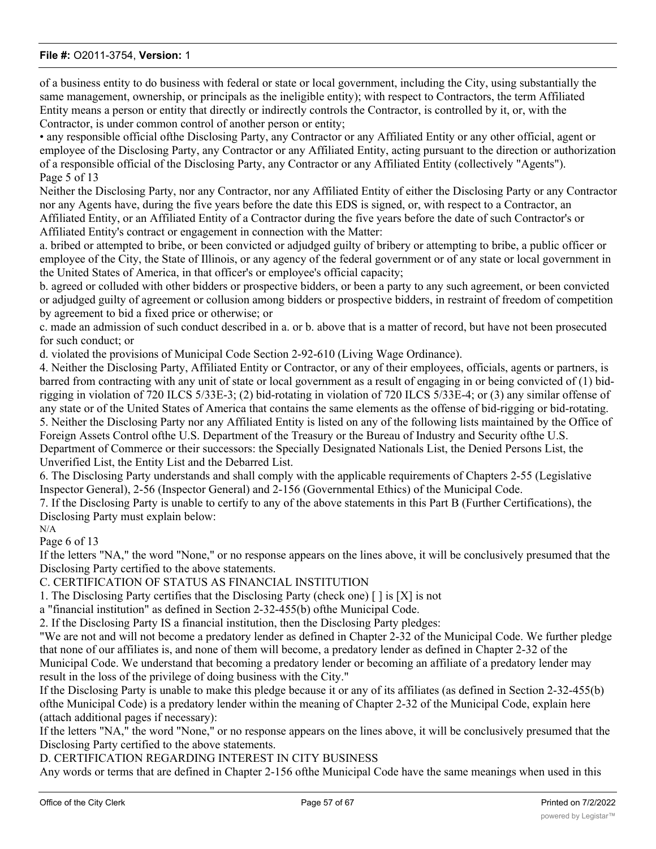of a business entity to do business with federal or state or local government, including the City, using substantially the same management, ownership, or principals as the ineligible entity); with respect to Contractors, the term Affiliated Entity means a person or entity that directly or indirectly controls the Contractor, is controlled by it, or, with the Contractor, is under common control of another person or entity;

• any responsible official ofthe Disclosing Party, any Contractor or any Affiliated Entity or any other official, agent or employee of the Disclosing Party, any Contractor or any Affiliated Entity, acting pursuant to the direction or authorization of a responsible official of the Disclosing Party, any Contractor or any Affiliated Entity (collectively "Agents"). Page 5 of 13

Neither the Disclosing Party, nor any Contractor, nor any Affiliated Entity of either the Disclosing Party or any Contractor nor any Agents have, during the five years before the date this EDS is signed, or, with respect to a Contractor, an Affiliated Entity, or an Affiliated Entity of a Contractor during the five years before the date of such Contractor's or Affiliated Entity's contract or engagement in connection with the Matter:

a. bribed or attempted to bribe, or been convicted or adjudged guilty of bribery or attempting to bribe, a public officer or employee of the City, the State of Illinois, or any agency of the federal government or of any state or local government in the United States of America, in that officer's or employee's official capacity;

b. agreed or colluded with other bidders or prospective bidders, or been a party to any such agreement, or been convicted or adjudged guilty of agreement or collusion among bidders or prospective bidders, in restraint of freedom of competition by agreement to bid a fixed price or otherwise; or

c. made an admission of such conduct described in a. or b. above that is a matter of record, but have not been prosecuted for such conduct; or

d. violated the provisions of Municipal Code Section 2-92-610 (Living Wage Ordinance).

4. Neither the Disclosing Party, Affiliated Entity or Contractor, or any of their employees, officials, agents or partners, is barred from contracting with any unit of state or local government as a result of engaging in or being convicted of (1) bidrigging in violation of 720 ILCS 5/33E-3; (2) bid-rotating in violation of 720 ILCS 5/33E-4; or (3) any similar offense of any state or of the United States of America that contains the same elements as the offense of bid-rigging or bid-rotating. 5. Neither the Disclosing Party nor any Affiliated Entity is listed on any of the following lists maintained by the Office of Foreign Assets Control ofthe U.S. Department of the Treasury or the Bureau of Industry and Security ofthe U.S. Department of Commerce or their successors: the Specially Designated Nationals List, the Denied Persons List, the

Unverified List, the Entity List and the Debarred List.

6. The Disclosing Party understands and shall comply with the applicable requirements of Chapters 2-55 (Legislative Inspector General), 2-56 (Inspector General) and 2-156 (Governmental Ethics) of the Municipal Code.

7. If the Disclosing Party is unable to certify to any of the above statements in this Part B (Further Certifications), the Disclosing Party must explain below:

N/A

Page 6 of 13

If the letters "NA," the word "None," or no response appears on the lines above, it will be conclusively presumed that the Disclosing Party certified to the above statements.

C. CERTIFICATION OF STATUS AS FINANCIAL INSTITUTION

1. The Disclosing Party certifies that the Disclosing Party (check one) [ ] is [X] is not

a "financial institution" as defined in Section 2-32-455(b) ofthe Municipal Code.

2. If the Disclosing Party IS a financial institution, then the Disclosing Party pledges:

"We are not and will not become a predatory lender as defined in Chapter 2-32 of the Municipal Code. We further pledge that none of our affiliates is, and none of them will become, a predatory lender as defined in Chapter 2-32 of the Municipal Code. We understand that becoming a predatory lender or becoming an affiliate of a predatory lender may result in the loss of the privilege of doing business with the City."

If the Disclosing Party is unable to make this pledge because it or any of its affiliates (as defined in Section 2-32-455(b) ofthe Municipal Code) is a predatory lender within the meaning of Chapter 2-32 of the Municipal Code, explain here (attach additional pages if necessary):

If the letters "NA," the word "None," or no response appears on the lines above, it will be conclusively presumed that the Disclosing Party certified to the above statements.

D. CERTIFICATION REGARDING INTEREST IN CITY BUSINESS

Any words or terms that are defined in Chapter 2-156 ofthe Municipal Code have the same meanings when used in this

Part D.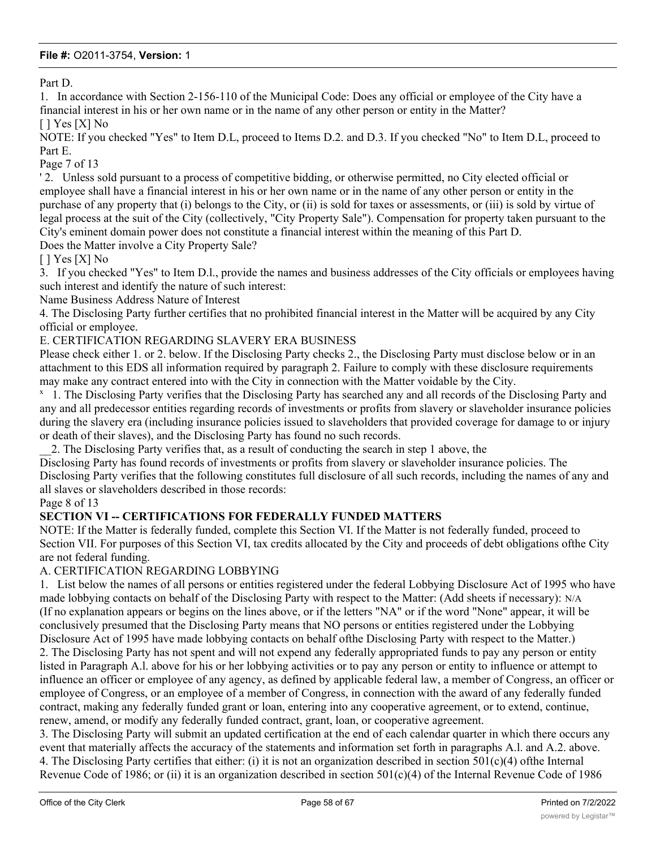Part D.

1. In accordance with Section 2-156-110 of the Municipal Code: Does any official or employee of the City have a financial interest in his or her own name or in the name of any other person or entity in the Matter?

[ ] Yes [X] No

NOTE: If you checked "Yes" to Item D.L, proceed to Items D.2. and D.3. If you checked "No" to Item D.L, proceed to Part E.

Page 7 of 13

' 2. Unless sold pursuant to a process of competitive bidding, or otherwise permitted, no City elected official or employee shall have a financial interest in his or her own name or in the name of any other person or entity in the purchase of any property that (i) belongs to the City, or (ii) is sold for taxes or assessments, or (iii) is sold by virtue of legal process at the suit of the City (collectively, "City Property Sale"). Compensation for property taken pursuant to the City's eminent domain power does not constitute a financial interest within the meaning of this Part D. Does the Matter involve a City Property Sale?

[ ] Yes [X] No

3. If you checked "Yes" to Item D.l., provide the names and business addresses of the City officials or employees having such interest and identify the nature of such interest:

Name Business Address Nature of Interest

4. The Disclosing Party further certifies that no prohibited financial interest in the Matter will be acquired by any City official or employee.

E. CERTIFICATION REGARDING SLAVERY ERA BUSINESS

Please check either 1. or 2. below. If the Disclosing Party checks 2., the Disclosing Party must disclose below or in an attachment to this EDS all information required by paragraph 2. Failure to comply with these disclosure requirements may make any contract entered into with the City in connection with the Matter voidable by the City.

<sup>x</sup> 1. The Disclosing Party verifies that the Disclosing Party has searched any and all records of the Disclosing Party and any and all predecessor entities regarding records of investments or profits from slavery or slaveholder insurance policies during the slavery era (including insurance policies issued to slaveholders that provided coverage for damage to or injury or death of their slaves), and the Disclosing Party has found no such records.

\_\_2. The Disclosing Party verifies that, as a result of conducting the search in step 1 above, the

Disclosing Party has found records of investments or profits from slavery or slaveholder insurance policies. The Disclosing Party verifies that the following constitutes full disclosure of all such records, including the names of any and all slaves or slaveholders described in those records:

Page 8 of 13

#### **SECTION VI -- CERTIFICATIONS FOR FEDERALLY FUNDED MATTERS**

NOTE: If the Matter is federally funded, complete this Section VI. If the Matter is not federally funded, proceed to Section VII. For purposes of this Section VI, tax credits allocated by the City and proceeds of debt obligations ofthe City are not federal funding.

#### A. CERTIFICATION REGARDING LOBBYING

but has not engaged and will not engage in "Lobbying Activities".

1. List below the names of all persons or entities registered under the federal Lobbying Disclosure Act of 1995 who have made lobbying contacts on behalf of the Disclosing Party with respect to the Matter: (Add sheets if necessary): N/A (If no explanation appears or begins on the lines above, or if the letters "NA" or if the word "None" appear, it will be conclusively presumed that the Disclosing Party means that NO persons or entities registered under the Lobbying Disclosure Act of 1995 have made lobbying contacts on behalf ofthe Disclosing Party with respect to the Matter.) 2. The Disclosing Party has not spent and will not expend any federally appropriated funds to pay any person or entity listed in Paragraph A.l. above for his or her lobbying activities or to pay any person or entity to influence or attempt to influence an officer or employee of any agency, as defined by applicable federal law, a member of Congress, an officer or employee of Congress, or an employee of a member of Congress, in connection with the award of any federally funded contract, making any federally funded grant or loan, entering into any cooperative agreement, or to extend, continue, renew, amend, or modify any federally funded contract, grant, loan, or cooperative agreement.

3. The Disclosing Party will submit an updated certification at the end of each calendar quarter in which there occurs any event that materially affects the accuracy of the statements and information set forth in paragraphs A.l. and A.2. above. 4. The Disclosing Party certifies that either: (i) it is not an organization described in section 501(c)(4) ofthe Internal Revenue Code of 1986; or (ii) it is an organization described in section  $501(c)(4)$  of the Internal Revenue Code of 1986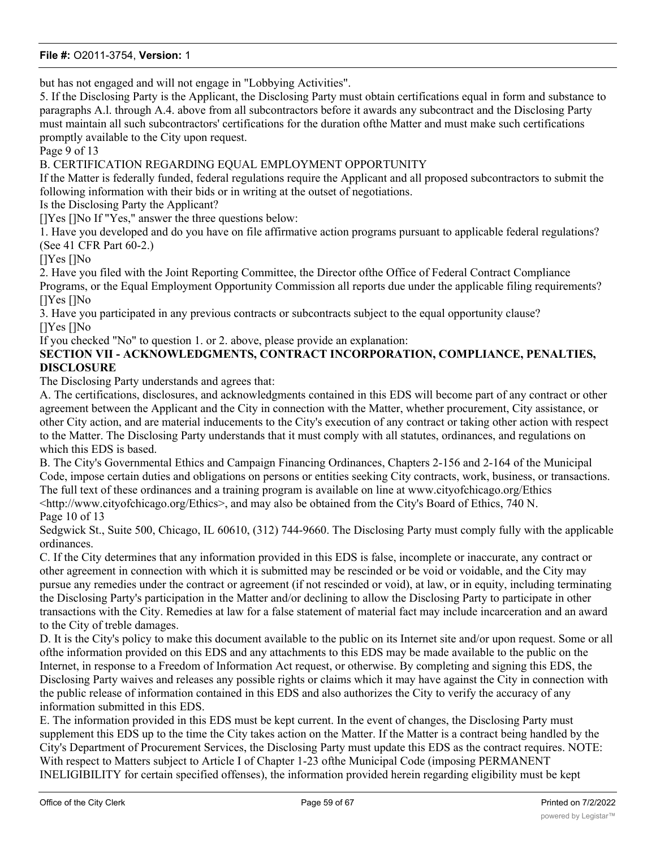but has not engaged and will not engage in "Lobbying Activities".

5. If the Disclosing Party is the Applicant, the Disclosing Party must obtain certifications equal in form and substance to paragraphs A.l. through A.4. above from all subcontractors before it awards any subcontract and the Disclosing Party must maintain all such subcontractors' certifications for the duration ofthe Matter and must make such certifications promptly available to the City upon request.

Page 9 of 13

B. CERTIFICATION REGARDING EQUAL EMPLOYMENT OPPORTUNITY

If the Matter is federally funded, federal regulations require the Applicant and all proposed subcontractors to submit the following information with their bids or in writing at the outset of negotiations.

Is the Disclosing Party the Applicant?

[]Yes []No If "Yes," answer the three questions below:

1. Have you developed and do you have on file affirmative action programs pursuant to applicable federal regulations? (See 41 CFR Part 60-2.)

[]Yes []No

2. Have you filed with the Joint Reporting Committee, the Director ofthe Office of Federal Contract Compliance Programs, or the Equal Employment Opportunity Commission all reports due under the applicable filing requirements? []Yes []No

3. Have you participated in any previous contracts or subcontracts subject to the equal opportunity clause? []Yes []No

If you checked "No" to question 1. or 2. above, please provide an explanation:

# **SECTION VII - ACKNOWLEDGMENTS, CONTRACT INCORPORATION, COMPLIANCE, PENALTIES, DISCLOSURE**

The Disclosing Party understands and agrees that:

A. The certifications, disclosures, and acknowledgments contained in this EDS will become part of any contract or other agreement between the Applicant and the City in connection with the Matter, whether procurement, City assistance, or other City action, and are material inducements to the City's execution of any contract or taking other action with respect to the Matter. The Disclosing Party understands that it must comply with all statutes, ordinances, and regulations on which this EDS is based.

B. The City's Governmental Ethics and Campaign Financing Ordinances, Chapters 2-156 and 2-164 of the Municipal Code, impose certain duties and obligations on persons or entities seeking City contracts, work, business, or transactions. The full text of these ordinances and a training program is available on line at www.cityofchicago.org/Ethics <http://www.cityofchicago.org/Ethics>, and may also be obtained from the City's Board of Ethics, 740 N. Page 10 of 13

Sedgwick St., Suite 500, Chicago, IL 60610, (312) 744-9660. The Disclosing Party must comply fully with the applicable ordinances.

C. If the City determines that any information provided in this EDS is false, incomplete or inaccurate, any contract or other agreement in connection with which it is submitted may be rescinded or be void or voidable, and the City may pursue any remedies under the contract or agreement (if not rescinded or void), at law, or in equity, including terminating the Disclosing Party's participation in the Matter and/or declining to allow the Disclosing Party to participate in other transactions with the City. Remedies at law for a false statement of material fact may include incarceration and an award to the City of treble damages.

D. It is the City's policy to make this document available to the public on its Internet site and/or upon request. Some or all ofthe information provided on this EDS and any attachments to this EDS may be made available to the public on the Internet, in response to a Freedom of Information Act request, or otherwise. By completing and signing this EDS, the Disclosing Party waives and releases any possible rights or claims which it may have against the City in connection with the public release of information contained in this EDS and also authorizes the City to verify the accuracy of any information submitted in this EDS.

E. The information provided in this EDS must be kept current. In the event of changes, the Disclosing Party must supplement this EDS up to the time the City takes action on the Matter. If the Matter is a contract being handled by the City's Department of Procurement Services, the Disclosing Party must update this EDS as the contract requires. NOTE: With respect to Matters subject to Article I of Chapter 1-23 ofthe Municipal Code (imposing PERMANENT INELIGIBILITY for certain specified offenses), the information provided herein regarding eligibility must be kept

current for a longer period, as required by Chapter 1-23 and Section 2-154-020 of the Municipal Code.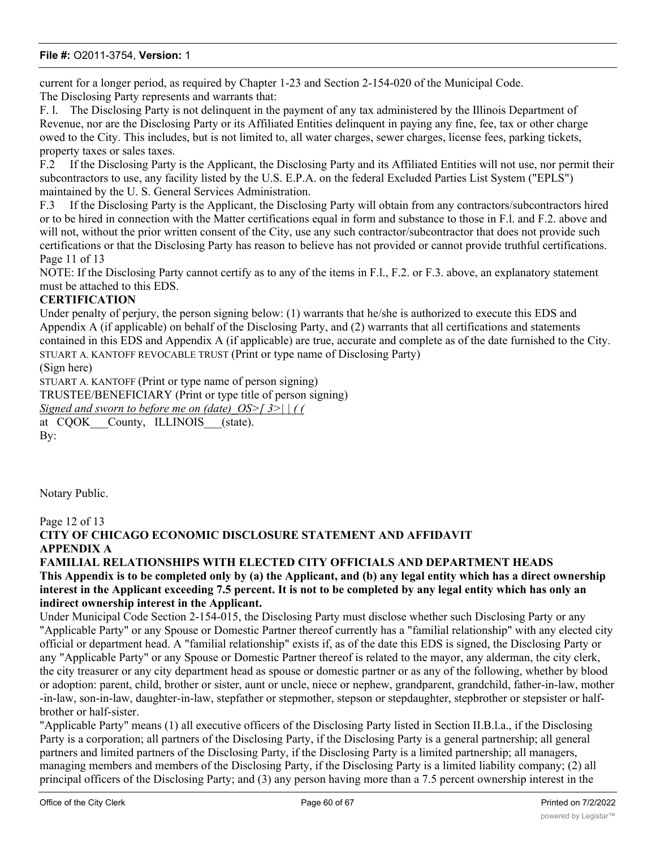current for a longer period, as required by Chapter 1-23 and Section 2-154-020 of the Municipal Code. The Disclosing Party represents and warrants that:

F. l. The Disclosing Party is not delinquent in the payment of any tax administered by the Illinois Department of Revenue, nor are the Disclosing Party or its Affiliated Entities delinquent in paying any fine, fee, tax or other charge owed to the City. This includes, but is not limited to, all water charges, sewer charges, license fees, parking tickets, property taxes or sales taxes.

F.2 If the Disclosing Party is the Applicant, the Disclosing Party and its Affiliated Entities will not use, nor permit their subcontractors to use, any facility listed by the U.S. E.P.A. on the federal Excluded Parties List System ("EPLS") maintained by the U. S. General Services Administration.

F.3 If the Disclosing Party is the Applicant, the Disclosing Party will obtain from any contractors/subcontractors hired or to be hired in connection with the Matter certifications equal in form and substance to those in F.l. and F.2. above and will not, without the prior written consent of the City, use any such contractor/subcontractor that does not provide such certifications or that the Disclosing Party has reason to believe has not provided or cannot provide truthful certifications. Page 11 of 13

NOTE: If the Disclosing Party cannot certify as to any of the items in F.l., F.2. or F.3. above, an explanatory statement must be attached to this EDS.

# **CERTIFICATION**

Under penalty of perjury, the person signing below: (1) warrants that he/she is authorized to execute this EDS and Appendix A (if applicable) on behalf of the Disclosing Party, and (2) warrants that all certifications and statements contained in this EDS and Appendix A (if applicable) are true, accurate and complete as of the date furnished to the City. STUART A. KANTOFF REVOCABLE TRUST (Print or type name of Disclosing Party)

(Sign here)

STUART A. KANTOFF (Print or type name of person signing)

TRUSTEE/BENEFICIARY (Print or type title of person signing)

*Signed and sworn to before me on (date)\_OS>[ 3>| | ( (*

at CQOK County, ILLINOIS (state). By:

Notary Public.

Page 12 of 13

# **CITY OF CHICAGO ECONOMIC DISCLOSURE STATEMENT AND AFFIDAVIT APPENDIX A**

#### **FAMILIAL RELATIONSHIPS WITH ELECTED CITY OFFICIALS AND DEPARTMENT HEADS This Appendix is to be completed only by (a) the Applicant, and (b) any legal entity which has a direct ownership interest in the Applicant exceeding 7.5 percent. It is not to be completed by any legal entity which has only an indirect ownership interest in the Applicant.**

Under Municipal Code Section 2-154-015, the Disclosing Party must disclose whether such Disclosing Party or any "Applicable Party" or any Spouse or Domestic Partner thereof currently has a "familial relationship" with any elected city official or department head. A "familial relationship" exists if, as of the date this EDS is signed, the Disclosing Party or any "Applicable Party" or any Spouse or Domestic Partner thereof is related to the mayor, any alderman, the city clerk, the city treasurer or any city department head as spouse or domestic partner or as any of the following, whether by blood or adoption: parent, child, brother or sister, aunt or uncle, niece or nephew, grandparent, grandchild, father-in-law, mother -in-law, son-in-law, daughter-in-law, stepfather or stepmother, stepson or stepdaughter, stepbrother or stepsister or halfbrother or half-sister.

"Applicable Party" means (1) all executive officers of the Disclosing Party listed in Section II.B.l.a., if the Disclosing Party is a corporation; all partners of the Disclosing Party, if the Disclosing Party is a general partnership; all general partners and limited partners of the Disclosing Party, if the Disclosing Party is a limited partnership; all managers, managing members and members of the Disclosing Party, if the Disclosing Party is a limited liability company; (2) all principal officers of the Disclosing Party; and (3) any person having more than a 7.5 percent ownership interest in the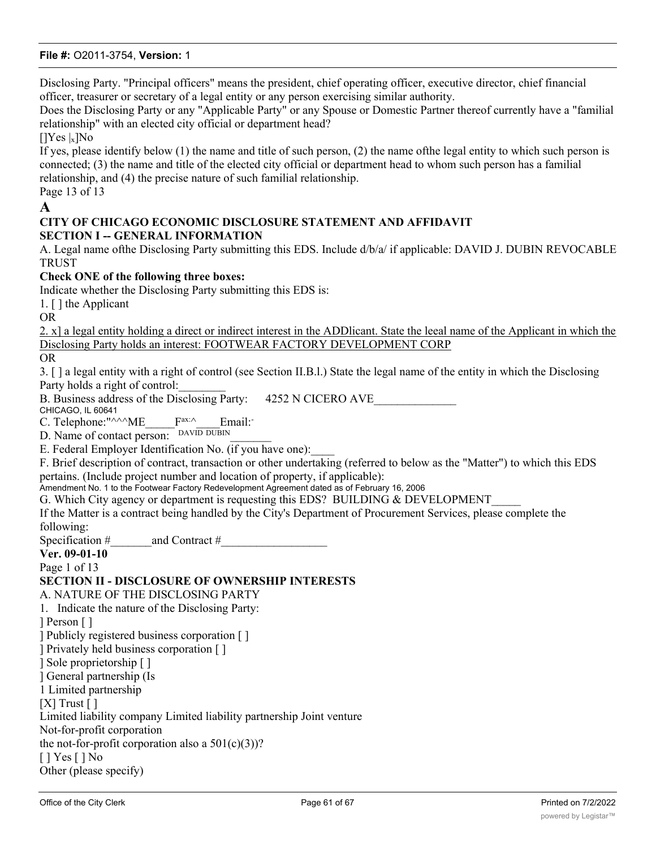Disclosing Party. "Principal officers" means the president, chief operating officer, executive director, chief financial officer, treasurer or secretary of a legal entity or any person exercising similar authority.

Does the Disclosing Party or any "Applicable Party" or any Spouse or Domestic Partner thereof currently have a "familial relationship" with an elected city official or department head?

 $[$ |Yes |<sub>x</sub>]No

If yes, please identify below (1) the name and title of such person, (2) the name ofthe legal entity to which such person is connected; (3) the name and title of the elected city official or department head to whom such person has a familial relationship, and (4) the precise nature of such familial relationship.

# Page 13 of 13

# **A**

### **CITY OF CHICAGO ECONOMIC DISCLOSURE STATEMENT AND AFFIDAVIT SECTION I -- GENERAL INFORMATION**

A. Legal name ofthe Disclosing Party submitting this EDS. Include d/b/a/ if applicable: DAVID J. DUBIN REVOCABLE TRUST

# **Check ONE of the following three boxes:**

Indicate whether the Disclosing Party submitting this EDS is:

1. [ ] the Applicant

OR

2. x] a legal entity holding a direct or indirect interest in the ADDlicant. State the leeal name of the Applicant in which the Disclosing Party holds an interest: FOOTWEAR FACTORY DEVELOPMENT CORP

OR

3. [ ] a legal entity with a right of control (see Section II.B.l.) State the legal name of the entity in which the Disclosing Party holds a right of control:

B. Business address of the Disclosing Party: 4252 N CICERO AVE

CHICAGO, IL 60641

C. Telephone:"^^^ME F<sup>ax:^</sup> Email: D. Name of contact person: DAVID DUBIN

E. Federal Employer Identification No. (if you have one):

F. Brief description of contract, transaction or other undertaking (referred to below as the "Matter") to which this EDS pertains. (Include project number and location of property, if applicable):

Amendment No. 1 to the Footwear Factory Redevelopment Agreement dated as of February 16, 2006

G. Which City agency or department is requesting this EDS? BUILDING & DEVELOPMENT

If the Matter is a contract being handled by the City's Department of Procurement Services, please complete the following:

Specification  $\#$  and Contract  $\#$ 

**Ver. 09-01-10**

Page 1 of 13

#### **SECTION II - DISCLOSURE OF OWNERSHIP INTERESTS**

A. NATURE OF THE DISCLOSING PARTY

1. Indicate the nature of the Disclosing Party: ] Person [ ] ] Publicly registered business corporation [ ]

] Privately held business corporation [ ]

] Sole proprietorship [ ]

] General partnership (Is

1 Limited partnership

 $[X]$  Trust  $[ ]$ 

Limited liability company Limited liability partnership Joint venture

Not-for-profit corporation

the not-for-profit corporation also a  $501(c)(3)$ ?

[ ] Yes [ ] No

Other (please specify)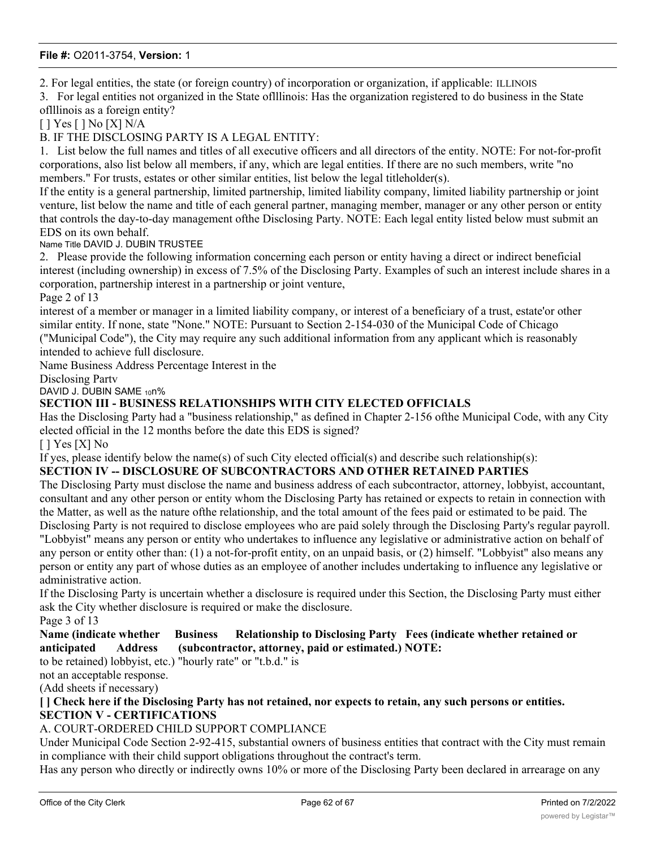2. For legal entities, the state (or foreign country) of incorporation or organization, if applicable: ILLINOIS

3. For legal entities not organized in the State oflllinois: Has the organization registered to do business in the State oflllinois as a foreign entity?

[ ] Yes [ ] No [X] N/A

B. IF THE DISCLOSING PARTY IS A LEGAL ENTITY:

1. List below the full names and titles of all executive officers and all directors of the entity. NOTE: For not-for-profit corporations, also list below all members, if any, which are legal entities. If there are no such members, write "no members." For trusts, estates or other similar entities, list below the legal titleholder(s).

If the entity is a general partnership, limited partnership, limited liability company, limited liability partnership or joint venture, list below the name and title of each general partner, managing member, manager or any other person or entity that controls the day-to-day management ofthe Disclosing Party. NOTE: Each legal entity listed below must submit an EDS on its own behalf.

Name Title DAVID J. DUBIN TRUSTEE

2. Please provide the following information concerning each person or entity having a direct or indirect beneficial interest (including ownership) in excess of 7.5% of the Disclosing Party. Examples of such an interest include shares in a corporation, partnership interest in a partnership or joint venture,

Page 2 of 13

interest of a member or manager in a limited liability company, or interest of a beneficiary of a trust, estate'or other similar entity. If none, state "None." NOTE: Pursuant to Section 2-154-030 of the Municipal Code of Chicago ("Municipal Code"), the City may require any such additional information from any applicant which is reasonably intended to achieve full disclosure.

Name Business Address Percentage Interest in the

Disclosing Partv

DAVID J. DUBIN SAME 10n%

#### **SECTION III - BUSINESS RELATIONSHIPS WITH CITY ELECTED OFFICIALS**

Has the Disclosing Party had a "business relationship," as defined in Chapter 2-156 ofthe Municipal Code, with any City elected official in the 12 months before the date this EDS is signed?

 $[$   $]$  Yes  $[X]$  No

If yes, please identify below the name(s) of such City elected official(s) and describe such relationship(s):

#### **SECTION IV -- DISCLOSURE OF SUBCONTRACTORS AND OTHER RETAINED PARTIES**

The Disclosing Party must disclose the name and business address of each subcontractor, attorney, lobbyist, accountant, consultant and any other person or entity whom the Disclosing Party has retained or expects to retain in connection with the Matter, as well as the nature ofthe relationship, and the total amount of the fees paid or estimated to be paid. The Disclosing Party is not required to disclose employees who are paid solely through the Disclosing Party's regular payroll. "Lobbyist" means any person or entity who undertakes to influence any legislative or administrative action on behalf of any person or entity other than: (1) a not-for-profit entity, on an unpaid basis, or (2) himself. "Lobbyist" also means any person or entity any part of whose duties as an employee of another includes undertaking to influence any legislative or administrative action.

If the Disclosing Party is uncertain whether a disclosure is required under this Section, the Disclosing Party must either ask the City whether disclosure is required or make the disclosure. Page 3 of 13

**Name (indicate whether Business Relationship to Disclosing Party Fees (indicate whether retained or anticipated Address (subcontractor, attorney, paid or estimated.) NOTE:**

to be retained) lobbyist, etc.) "hourly rate" or "t.b.d." is

not an acceptable response.

(Add sheets if necessary)

**[ ] Check here if the Disclosing Party has not retained, nor expects to retain, any such persons or entities. SECTION V - CERTIFICATIONS**

#### A. COURT-ORDERED CHILD SUPPORT COMPLIANCE

Under Municipal Code Section 2-92-415, substantial owners of business entities that contract with the City must remain in compliance with their child support obligations throughout the contract's term.

Has any person who directly or indirectly owns 10% or more of the Disclosing Party been declared in arrearage on any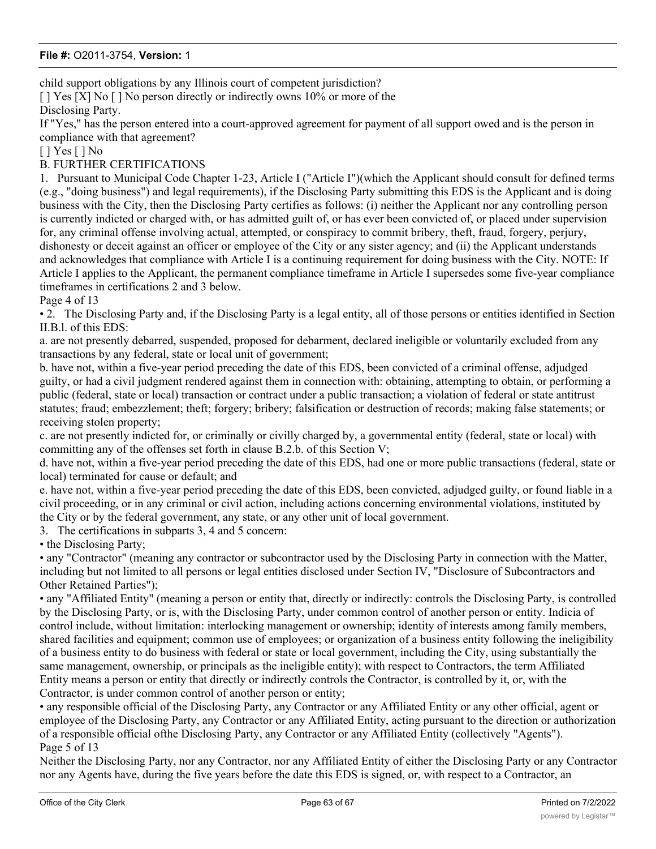child support obligations by any Illinois court of competent jurisdiction?

[ ] Yes [X] No [ ] No person directly or indirectly owns 10% or more of the

Disclosing Party.

If "Yes," has the person entered into a court-approved agreement for payment of all support owed and is the person in compliance with that agreement?

[ ] Yes [ ] No

B. FURTHER CERTIFICATIONS

1. Pursuant to Municipal Code Chapter 1-23, Article I ("Article I")(which the Applicant should consult for defined terms (e.g., "doing business") and legal requirements), if the Disclosing Party submitting this EDS is the Applicant and is doing business with the City, then the Disclosing Party certifies as follows: (i) neither the Applicant nor any controlling person is currently indicted or charged with, or has admitted guilt of, or has ever been convicted of, or placed under supervision for, any criminal offense involving actual, attempted, or conspiracy to commit bribery, theft, fraud, forgery, perjury, dishonesty or deceit against an officer or employee of the City or any sister agency; and (ii) the Applicant understands and acknowledges that compliance with Article I is a continuing requirement for doing business with the City. NOTE: If Article I applies to the Applicant, the permanent compliance timeframe in Article I supersedes some five-year compliance timeframes in certifications 2 and 3 below.

Page 4 of 13

• 2. The Disclosing Party and, if the Disclosing Party is a legal entity, all of those persons or entities identified in Section II.B.l. of this EDS:

a. are not presently debarred, suspended, proposed for debarment, declared ineligible or voluntarily excluded from any transactions by any federal, state or local unit of government;

b. have not, within a five-year period preceding the date of this EDS, been convicted of a criminal offense, adjudged guilty, or had a civil judgment rendered against them in connection with: obtaining, attempting to obtain, or performing a public (federal, state or local) transaction or contract under a public transaction; a violation of federal or state antitrust statutes; fraud; embezzlement; theft; forgery; bribery; falsification or destruction of records; making false statements; or receiving stolen property;

c. are not presently indicted for, or criminally or civilly charged by, a governmental entity (federal, state or local) with committing any of the offenses set forth in clause B.2.b. of this Section V;

d. have not, within a five-year period preceding the date of this EDS, had one or more public transactions (federal, state or local) terminated for cause or default; and

e. have not, within a five-year period preceding the date of this EDS, been convicted, adjudged guilty, or found liable in a civil proceeding, or in any criminal or civil action, including actions concerning environmental violations, instituted by the City or by the federal government, any state, or any other unit of local government.

3. The certifications in subparts 3, 4 and 5 concern:

• the Disclosing Party;

• any "Contractor" (meaning any contractor or subcontractor used by the Disclosing Party in connection with the Matter, including but not limited to all persons or legal entities disclosed under Section IV, "Disclosure of Subcontractors and Other Retained Parties");

• any "Affiliated Entity" (meaning a person or entity that, directly or indirectly: controls the Disclosing Party, is controlled by the Disclosing Party, or is, with the Disclosing Party, under common control of another person or entity. Indicia of control include, without limitation: interlocking management or ownership; identity of interests among family members, shared facilities and equipment; common use of employees; or organization of a business entity following the ineligibility of a business entity to do business with federal or state or local government, including the City, using substantially the same management, ownership, or principals as the ineligible entity); with respect to Contractors, the term Affiliated Entity means a person or entity that directly or indirectly controls the Contractor, is controlled by it, or, with the Contractor, is under common control of another person or entity;

• any responsible official of the Disclosing Party, any Contractor or any Affiliated Entity or any other official, agent or employee of the Disclosing Party, any Contractor or any Affiliated Entity, acting pursuant to the direction or authorization of a responsible official ofthe Disclosing Party, any Contractor or any Affiliated Entity (collectively "Agents"). Page 5 of 13

Neither the Disclosing Party, nor any Contractor, nor any Affiliated Entity of either the Disclosing Party or any Contractor nor any Agents have, during the five years before the date this EDS is signed, or, with respect to a Contractor, an

 $A$  and  $A$  and  $A$   $\sim$   $A$   $\sim$   $A$   $\sim$   $A$   $\sim$   $A$   $\sim$   $A$   $\sim$   $A$   $\sim$   $A$   $\sim$   $A$   $\sim$   $A$   $\sim$   $A$   $\sim$   $A$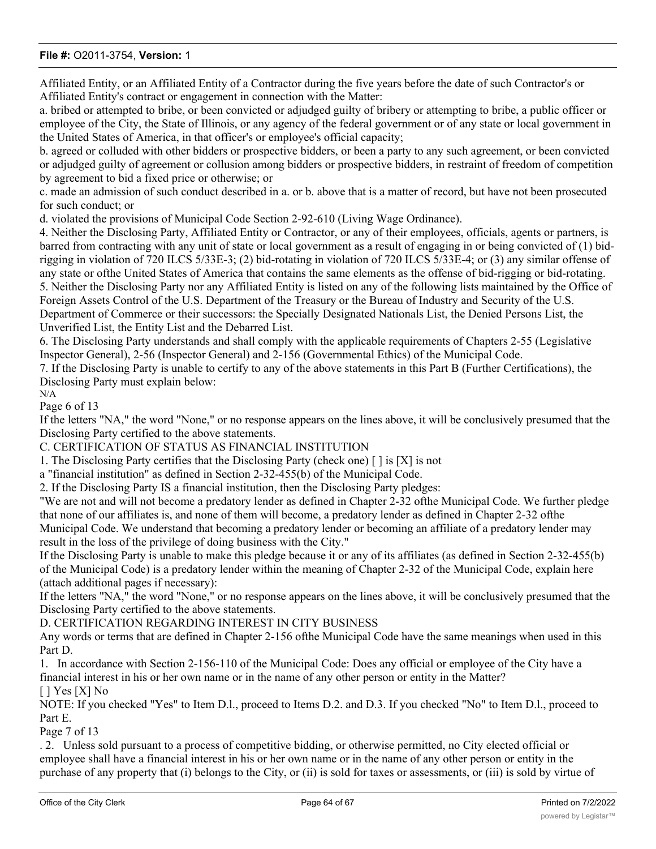Affiliated Entity, or an Affiliated Entity of a Contractor during the five years before the date of such Contractor's or Affiliated Entity's contract or engagement in connection with the Matter:

a. bribed or attempted to bribe, or been convicted or adjudged guilty of bribery or attempting to bribe, a public officer or employee of the City, the State of Illinois, or any agency of the federal government or of any state or local government in the United States of America, in that officer's or employee's official capacity;

b. agreed or colluded with other bidders or prospective bidders, or been a party to any such agreement, or been convicted or adjudged guilty of agreement or collusion among bidders or prospective bidders, in restraint of freedom of competition by agreement to bid a fixed price or otherwise; or

c. made an admission of such conduct described in a. or b. above that is a matter of record, but have not been prosecuted for such conduct; or

d. violated the provisions of Municipal Code Section 2-92-610 (Living Wage Ordinance).

4. Neither the Disclosing Party, Affiliated Entity or Contractor, or any of their employees, officials, agents or partners, is barred from contracting with any unit of state or local government as a result of engaging in or being convicted of (1) bidrigging in violation of 720 ILCS 5/33E-3; (2) bid-rotating in violation of 720 ILCS 5/33E-4; or (3) any similar offense of any state or ofthe United States of America that contains the same elements as the offense of bid-rigging or bid-rotating. 5. Neither the Disclosing Party nor any Affiliated Entity is listed on any of the following lists maintained by the Office of Foreign Assets Control of the U.S. Department of the Treasury or the Bureau of Industry and Security of the U.S. Department of Commerce or their successors: the Specially Designated Nationals List, the Denied Persons List, the Unverified List, the Entity List and the Debarred List.

6. The Disclosing Party understands and shall comply with the applicable requirements of Chapters 2-55 (Legislative Inspector General), 2-56 (Inspector General) and 2-156 (Governmental Ethics) of the Municipal Code.

7. If the Disclosing Party is unable to certify to any of the above statements in this Part B (Further Certifications), the Disclosing Party must explain below:

N/A Page 6 of 13

If the letters "NA," the word "None," or no response appears on the lines above, it will be conclusively presumed that the Disclosing Party certified to the above statements.

C. CERTIFICATION OF STATUS AS FINANCIAL INSTITUTION

1. The Disclosing Party certifies that the Disclosing Party (check one) [ ] is [X] is not

a "financial institution" as defined in Section 2-32-455(b) of the Municipal Code.

2. If the Disclosing Party IS a financial institution, then the Disclosing Party pledges:

"We are not and will not become a predatory lender as defined in Chapter 2-32 ofthe Municipal Code. We further pledge that none of our affiliates is, and none of them will become, a predatory lender as defined in Chapter 2-32 ofthe Municipal Code. We understand that becoming a predatory lender or becoming an affiliate of a predatory lender may result in the loss of the privilege of doing business with the City."

If the Disclosing Party is unable to make this pledge because it or any of its affiliates (as defined in Section 2-32-455(b) of the Municipal Code) is a predatory lender within the meaning of Chapter 2-32 of the Municipal Code, explain here (attach additional pages if necessary):

If the letters "NA," the word "None," or no response appears on the lines above, it will be conclusively presumed that the Disclosing Party certified to the above statements.

D. CERTIFICATION REGARDING INTEREST IN CITY BUSINESS

Any words or terms that are defined in Chapter 2-156 ofthe Municipal Code have the same meanings when used in this Part D.

1. In accordance with Section 2-156-110 of the Municipal Code: Does any official or employee of the City have a financial interest in his or her own name or in the name of any other person or entity in the Matter? [ ] Yes [X] No

NOTE: If you checked "Yes" to Item D.l., proceed to Items D.2. and D.3. If you checked "No" to Item D.l., proceed to Part E.

Page 7 of 13

. 2. Unless sold pursuant to a process of competitive bidding, or otherwise permitted, no City elected official or employee shall have a financial interest in his or her own name or in the name of any other person or entity in the purchase of any property that (i) belongs to the City, or (ii) is sold for taxes or assessments, or (iii) is sold by virtue of

legal process at the suit ofthe City (collectively, "City Property Sale"). Compensation for property taken pursuant to the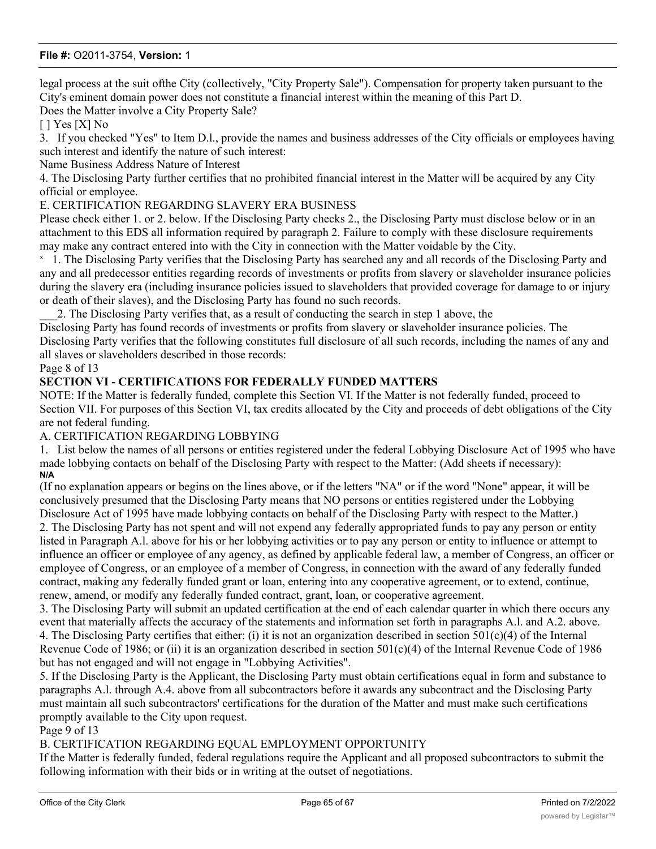legal process at the suit ofthe City (collectively, "City Property Sale"). Compensation for property taken pursuant to the City's eminent domain power does not constitute a financial interest within the meaning of this Part D.

Does the Matter involve a City Property Sale?

[ ] Yes [X] No

3. If you checked "Yes" to Item D.l., provide the names and business addresses of the City officials or employees having such interest and identify the nature of such interest:

Name Business Address Nature of Interest

4. The Disclosing Party further certifies that no prohibited financial interest in the Matter will be acquired by any City official or employee.

E. CERTIFICATION REGARDING SLAVERY ERA BUSINESS

Please check either 1. or 2. below. If the Disclosing Party checks 2., the Disclosing Party must disclose below or in an attachment to this EDS all information required by paragraph 2. Failure to comply with these disclosure requirements may make any contract entered into with the City in connection with the Matter voidable by the City.

<sup>x</sup> 1. The Disclosing Party verifies that the Disclosing Party has searched any and all records of the Disclosing Party and any and all predecessor entities regarding records of investments or profits from slavery or slaveholder insurance policies during the slavery era (including insurance policies issued to slaveholders that provided coverage for damage to or injury or death of their slaves), and the Disclosing Party has found no such records.

\_\_\_2. The Disclosing Party verifies that, as a result of conducting the search in step 1 above, the

Disclosing Party has found records of investments or profits from slavery or slaveholder insurance policies. The Disclosing Party verifies that the following constitutes full disclosure of all such records, including the names of any and all slaves or slaveholders described in those records:

Page 8 of 13

#### **SECTION VI - CERTIFICATIONS FOR FEDERALLY FUNDED MATTERS**

NOTE: If the Matter is federally funded, complete this Section VI. If the Matter is not federally funded, proceed to Section VII. For purposes of this Section VI, tax credits allocated by the City and proceeds of debt obligations of the City are not federal funding.

#### A. CERTIFICATION REGARDING LOBBYING

1. List below the names of all persons or entities registered under the federal Lobbying Disclosure Act of 1995 who have made lobbying contacts on behalf of the Disclosing Party with respect to the Matter: (Add sheets if necessary): **N/A**

(If no explanation appears or begins on the lines above, or if the letters "NA" or if the word "None" appear, it will be conclusively presumed that the Disclosing Party means that NO persons or entities registered under the Lobbying Disclosure Act of 1995 have made lobbying contacts on behalf of the Disclosing Party with respect to the Matter.) 2. The Disclosing Party has not spent and will not expend any federally appropriated funds to pay any person or entity listed in Paragraph A.l. above for his or her lobbying activities or to pay any person or entity to influence or attempt to influence an officer or employee of any agency, as defined by applicable federal law, a member of Congress, an officer or employee of Congress, or an employee of a member of Congress, in connection with the award of any federally funded contract, making any federally funded grant or loan, entering into any cooperative agreement, or to extend, continue, renew, amend, or modify any federally funded contract, grant, loan, or cooperative agreement.

3. The Disclosing Party will submit an updated certification at the end of each calendar quarter in which there occurs any event that materially affects the accuracy of the statements and information set forth in paragraphs A.l. and A.2. above. 4. The Disclosing Party certifies that either: (i) it is not an organization described in section  $501(c)(4)$  of the Internal Revenue Code of 1986; or (ii) it is an organization described in section 501(c)(4) of the Internal Revenue Code of 1986 but has not engaged and will not engage in "Lobbying Activities".

5. If the Disclosing Party is the Applicant, the Disclosing Party must obtain certifications equal in form and substance to paragraphs A.l. through A.4. above from all subcontractors before it awards any subcontract and the Disclosing Party must maintain all such subcontractors' certifications for the duration of the Matter and must make such certifications promptly available to the City upon request.

Page 9 of 13

# B. CERTIFICATION REGARDING EQUAL EMPLOYMENT OPPORTUNITY

If the Matter is federally funded, federal regulations require the Applicant and all proposed subcontractors to submit the following information with their bids or in writing at the outset of negotiations.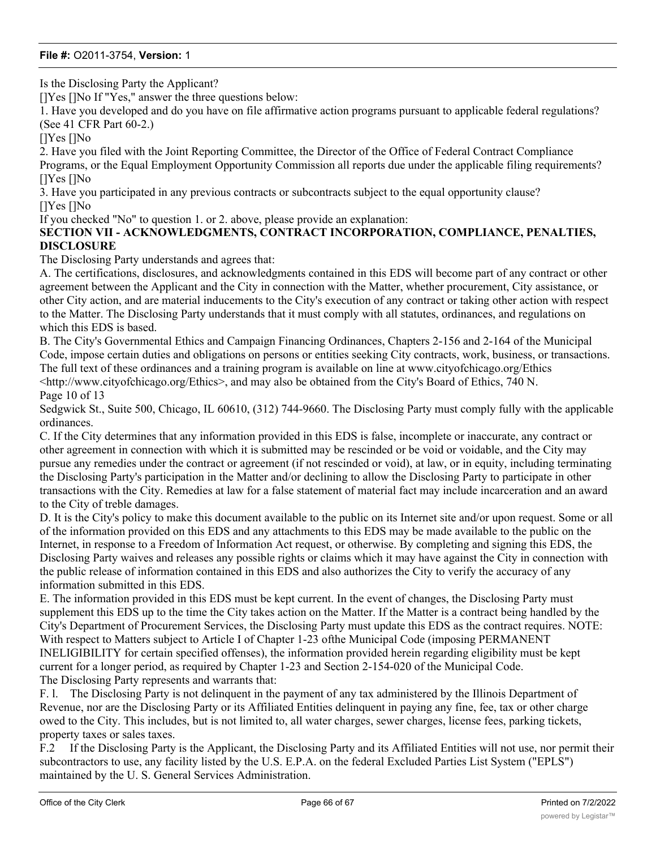Is the Disclosing Party the Applicant?

[]Yes []No If "Yes," answer the three questions below:

1. Have you developed and do you have on file affirmative action programs pursuant to applicable federal regulations? (See 41 CFR Part 60-2.)

[]Yes []No

2. Have you filed with the Joint Reporting Committee, the Director of the Office of Federal Contract Compliance Programs, or the Equal Employment Opportunity Commission all reports due under the applicable filing requirements? []Yes []No

3. Have you participated in any previous contracts or subcontracts subject to the equal opportunity clause? []Yes []No

If you checked "No" to question 1. or 2. above, please provide an explanation:

#### **SECTION VII - ACKNOWLEDGMENTS, CONTRACT INCORPORATION, COMPLIANCE, PENALTIES, DISCLOSURE**

The Disclosing Party understands and agrees that:

A. The certifications, disclosures, and acknowledgments contained in this EDS will become part of any contract or other agreement between the Applicant and the City in connection with the Matter, whether procurement, City assistance, or other City action, and are material inducements to the City's execution of any contract or taking other action with respect to the Matter. The Disclosing Party understands that it must comply with all statutes, ordinances, and regulations on which this EDS is based.

B. The City's Governmental Ethics and Campaign Financing Ordinances, Chapters 2-156 and 2-164 of the Municipal Code, impose certain duties and obligations on persons or entities seeking City contracts, work, business, or transactions. The full text of these ordinances and a training program is available on line at www.cityofchicago.org/Ethics  $\lt$ http://www.cityofchicago.org/Ethics>, and may also be obtained from the City's Board of Ethics, 740 N. Page 10 of 13

Sedgwick St., Suite 500, Chicago, IL 60610, (312) 744-9660. The Disclosing Party must comply fully with the applicable ordinances.

C. If the City determines that any information provided in this EDS is false, incomplete or inaccurate, any contract or other agreement in connection with which it is submitted may be rescinded or be void or voidable, and the City may pursue any remedies under the contract or agreement (if not rescinded or void), at law, or in equity, including terminating the Disclosing Party's participation in the Matter and/or declining to allow the Disclosing Party to participate in other transactions with the City. Remedies at law for a false statement of material fact may include incarceration and an award to the City of treble damages.

D. It is the City's policy to make this document available to the public on its Internet site and/or upon request. Some or all of the information provided on this EDS and any attachments to this EDS may be made available to the public on the Internet, in response to a Freedom of Information Act request, or otherwise. By completing and signing this EDS, the Disclosing Party waives and releases any possible rights or claims which it may have against the City in connection with the public release of information contained in this EDS and also authorizes the City to verify the accuracy of any information submitted in this EDS.

E. The information provided in this EDS must be kept current. In the event of changes, the Disclosing Party must supplement this EDS up to the time the City takes action on the Matter. If the Matter is a contract being handled by the City's Department of Procurement Services, the Disclosing Party must update this EDS as the contract requires. NOTE: With respect to Matters subject to Article I of Chapter 1-23 ofthe Municipal Code (imposing PERMANENT INELIGIBILITY for certain specified offenses), the information provided herein regarding eligibility must be kept current for a longer period, as required by Chapter 1-23 and Section 2-154-020 of the Municipal Code. The Disclosing Party represents and warrants that:

F. l. The Disclosing Party is not delinquent in the payment of any tax administered by the Illinois Department of Revenue, nor are the Disclosing Party or its Affiliated Entities delinquent in paying any fine, fee, tax or other charge owed to the City. This includes, but is not limited to, all water charges, sewer charges, license fees, parking tickets, property taxes or sales taxes.

F.2 If the Disclosing Party is the Applicant, the Disclosing Party and its Affiliated Entities will not use, nor permit their subcontractors to use, any facility listed by the U.S. E.P.A. on the federal Excluded Parties List System ("EPLS") maintained by the U. S. General Services Administration.